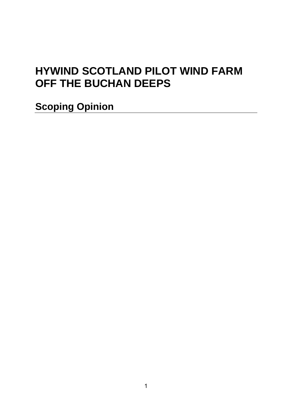# **HYWIND SCOTLAND PILOT WIND FARM OFF THE BUCHAN DEEPS**

**Scoping Opinion**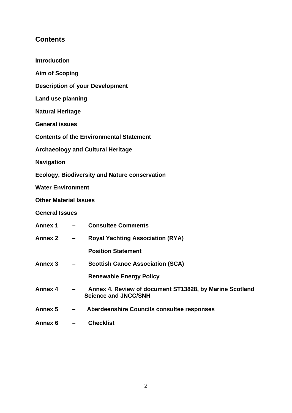## **Contents**

| <b>Introduction</b>                                  |                                        |                                                                                        |  |
|------------------------------------------------------|----------------------------------------|----------------------------------------------------------------------------------------|--|
| <b>Aim of Scoping</b>                                |                                        |                                                                                        |  |
|                                                      | <b>Description of your Development</b> |                                                                                        |  |
| Land use planning                                    |                                        |                                                                                        |  |
| <b>Natural Heritage</b>                              |                                        |                                                                                        |  |
| <b>General issues</b>                                |                                        |                                                                                        |  |
| <b>Contents of the Environmental Statement</b>       |                                        |                                                                                        |  |
| <b>Archaeology and Cultural Heritage</b>             |                                        |                                                                                        |  |
| <b>Navigation</b>                                    |                                        |                                                                                        |  |
| <b>Ecology, Biodiversity and Nature conservation</b> |                                        |                                                                                        |  |
| <b>Water Environment</b>                             |                                        |                                                                                        |  |
| <b>Other Material Issues</b>                         |                                        |                                                                                        |  |
| <b>General Issues</b>                                |                                        |                                                                                        |  |
| Annex 1                                              | $\overline{\phantom{0}}$               | <b>Consultee Comments</b>                                                              |  |
| <b>Annex 2</b>                                       |                                        | <b>Royal Yachting Association (RYA)</b>                                                |  |
|                                                      |                                        | <b>Position Statement</b>                                                              |  |
| Annex <sub>3</sub>                                   | $\qquad \qquad \blacksquare$           | <b>Scottish Canoe Association (SCA)</b>                                                |  |
|                                                      |                                        | <b>Renewable Energy Policy</b>                                                         |  |
| <b>Annex 4</b>                                       |                                        | Annex 4. Review of document ST13828, by Marine Scotland<br><b>Science and JNCC/SNH</b> |  |
| Annex <sub>5</sub>                                   |                                        | Aberdeenshire Councils consultee responses                                             |  |
| Annex 6                                              |                                        | <b>Checklist</b>                                                                       |  |
|                                                      |                                        |                                                                                        |  |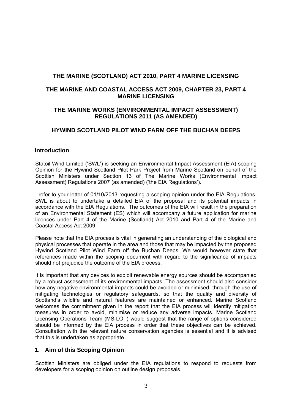## **THE MARINE (SCOTLAND) ACT 2010, PART 4 MARINE LICENSING**

## **THE MARINE AND COASTAL ACCESS ACT 2009, CHAPTER 23, PART 4 MARINE LICENSING**

## **THE MARINE WORKS (ENVIRONMENTAL IMPACT ASSESSMENT) REGULATIONS 2011 (AS AMENDED)**

## **HYWIND SCOTLAND PILOT WIND FARM OFF THE BUCHAN DEEPS**

## **Introduction**

Statoil Wind Limited ('SWL') is seeking an Environmental Impact Assessment (EIA) scoping Opinion for the Hywind Scotland Pilot Park Project from Marine Scotland on behalf of the Scottish Ministers under Section 13 of The Marine Works (Environmental Impact Assessment) Regulations 2007 (as amended) ('the EIA Regulations').

I refer to your letter of 01/10/2013 requesting a scoping opinion under the EIA Regulations. SWL is about to undertake a detailed EIA of the proposal and its potential impacts in accordance with the EIA Regulations. The outcomes of the EIA will result in the preparation of an Environmental Statement (ES) which will accompany a future application for marine licences under Part 4 of the Marine (Scotland) Act 2010 and Part 4 of the Marine and Coastal Access Act 2009.

Please note that the EIA process is vital in generating an understanding of the biological and physical processes that operate in the area and those that may be impacted by the proposed Hywind Scotland Pilot Wind Farm off the Buchan Deeps. We would however state that references made within the scoping document with regard to the significance of impacts should not prejudice the outcome of the EIA process.

It is important that any devices to exploit renewable energy sources should be accompanied by a robust assessment of its environmental impacts. The assessment should also consider how any negative environmental impacts could be avoided or minimised, through the use of mitigating technologies or regulatory safeguards, so that the quality and diversity of Scotland's wildlife and natural features are maintained or enhanced. Marine Scotland welcomes the commitment given in the report that the EIA process will identify mitigation measures in order to avoid, minimise or reduce any adverse impacts. Marine Scotland Licensing Operations Team (MS-LOT) would suggest that the range of options considered should be informed by the EIA process in order that these objectives can be achieved. Consultation with the relevant nature conservation agencies is essential and it is advised that this is undertaken as appropriate.

## **1. Aim of this Scoping Opinion**

Scottish Ministers are obliged under the EIA regulations to respond to requests from developers for a scoping opinion on outline design proposals.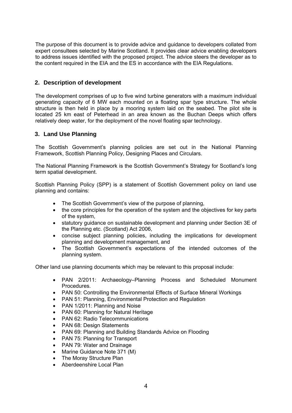The purpose of this document is to provide advice and guidance to developers collated from expert consultees selected by Marine Scotland. It provides clear advice enabling developers to address issues identified with the proposed project. The advice steers the developer as to the content required in the EIA and the ES in accordance with the EIA Regulations.

## **2. Description of development**

The development comprises of up to five wind turbine generators with a maximum individual generating capacity of 6 MW each mounted on a floating spar type structure. The whole structure is then held in place by a mooring system laid on the seabed. The pilot site is located 25 km east of Peterhead in an area known as the Buchan Deeps which offers relatively deep water, for the deployment of the novel floating spar technology.

## **3. Land Use Planning**

The Scottish Government's planning policies are set out in the National Planning Framework, Scottish Planning Policy, Designing Places and Circulars.

The National Planning Framework is the Scottish Government's Strategy for Scotland's long term spatial development.

Scottish Planning Policy (SPP) is a statement of Scottish Government policy on land use planning and contains:

- The Scottish Government's view of the purpose of planning,
- the core principles for the operation of the system and the objectives for key parts of the system,
- statutory guidance on sustainable development and planning under Section 3E of the Planning etc. (Scotland) Act 2006,
- concise subject planning policies, including the implications for development planning and development management, and
- The Scottish Government's expectations of the intended outcomes of the planning system.

Other land use planning documents which may be relevant to this proposal include:

- PAN 2/2011: Archaeology–Planning Process and Scheduled Monument Procedures.
- PAN 50: Controlling the Environmental Effects of Surface Mineral Workings
- PAN 51: Planning, Environmental Protection and Regulation
- PAN 1/2011: Planning and Noise
- PAN 60: Planning for Natural Heritage
- PAN 62: Radio Telecommunications
- PAN 68: Design Statements
- PAN 69: Planning and Building Standards Advice on Flooding
- PAN 75: Planning for Transport
- PAN 79: Water and Drainage
- Marine Guidance Note 371 (M)
- The Moray Structure Plan
- Aberdeenshire Local Plan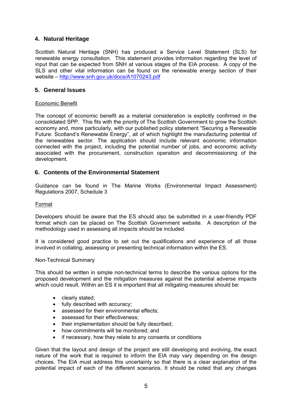## **4. Natural Heritage**

Scottish Natural Heritage (SNH) has produced a Service Level Statement (SLS) for renewable energy consultation. This statement provides information regarding the level of input that can be expected from SNH at various stages of the EIA process. A copy of the SLS and other vital information can be found on the renewable energy section of their website – http://www.snh.gov.uk/docs/A1070243.pdf

## **5. General Issues**

## Economic Benefit

The concept of economic benefit as a material consideration is explicitly confirmed in the consolidated SPP. This fits with the priority of The Scottish Government to grow the Scottish economy and, more particularly, with our published policy statement "Securing a Renewable Future: Scotland's Renewable Energy", all of which highlight the manufacturing potential of the renewables sector. The application should include relevant economic information connected with the project, including the potential number of jobs, and economic activity associated with the procurement, construction operation and decommissioning of the development.

## **6. Contents of the Environmental Statement**

Guidance can be found in The Marine Works (Environmental Impact Assessment) Regulations 2007, Schedule 3

#### Format

Developers should be aware that the ES should also be submitted in a user-friendly PDF format which can be placed on The Scottish Government website. A description of the methodology used in assessing all impacts should be included.

It is considered good practice to set out the qualifications and experience of all those involved in collating, assessing or presenting technical information within the ES.

#### Non-Technical Summary

This should be written in simple non-technical terms to describe the various options for the proposed development and the mitigation measures against the potential adverse impacts which could result. Within an ES it is important that all mitigating measures should be:

- clearly stated;
- fully described with accuracy:
- assessed for their environmental effects:
- assessed for their effectiveness;
- their implementation should be fully described;
- how commitments will be monitored; and
- if necessary, how they relate to any consents or conditions

Given that the layout and design of the project are still developing and evolving, the exact nature of the work that is required to inform the EIA may vary depending on the design choices. The EIA must address this uncertainty so that there is a clear explanation of the potential impact of each of the different scenarios. It should be noted that any changes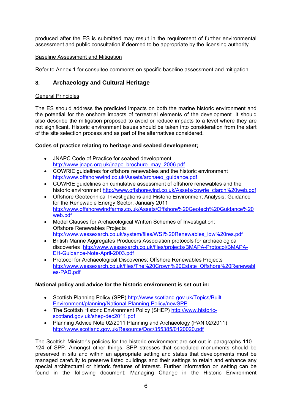produced after the ES is submitted may result in the requirement of further environmental assessment and public consultation if deemed to be appropriate by the licensing authority.

## Baseline Assessment and Mitigation

Refer to Annex 1 for consultee comments on specific baseline assessment and mitigation.

## **8. Archaeology and Cultural Heritage**

## General Principles

The ES should address the predicted impacts on both the marine historic environment and the potential for the onshore impacts of terrestrial elements of the development. It should also describe the mitigation proposed to avoid or reduce impacts to a level where they are not significant. Historic environment issues should be taken into consideration from the start of the site selection process and as part of the alternatives considered.

## **Codes of practice relating to heritage and seabed development;**

- JNAPC Code of Practice for seabed development http://www.jnapc.org.uk/jnapc\_brochure\_may\_2006.pdf
- COWRIE guidelines for offshore renewables and the historic environment http://www.offshorewind.co.uk/Assets/archaeo\_guidance.pdf
- COWRIE guidelines on cumulative assessment of offshore renewables and the historic environment http://www.offshorewind.co.uk/Assets/cowrie\_ciarch%20web.pdf
- Offshore Geotechnical Investigations and Historic Environment Analysis: Guidance for the Renewable Energy Sector, January 2011 http://www.offshorewindfarms.co.uk/Assets/Offshore%20Geotech%20Guidance%20 web.pdf
- Model Clauses for Archaeological Written Schemes of Investigation: Offshore Renewables Projects http://www.wessexarch.co.uk/system/files/WSI%20Renewables\_low%20res.pdf
- British Marine Aggregates Producers Association protocols for archaeological discoveries http://www.wessexarch.co.uk/files/projects/BMAPA-Protocol/BMAPA-EH-Guidance-Note-April-2003.pdf
- Protocol for Archaeological Discoveries: Offshore Renewables Projects http://www.wessexarch.co.uk/files/The%20Crown%20Estate\_Offshore%20Renewabl es-PAD.pdf

## **National policy and advice for the historic environment is set out in:**

- Scottish Planning Policy (SPP) http://www.scotland.gov.uk/Topics/Built-Environment/planning/National-Planning-Policy/newSPP
- The Scottish Historic Environment Policy (SHEP) http://www.historicscotland.gov.uk/shep-dec2011.pdf
- Planning Advice Note 02/2011 Planning and Archaeology (PAN 02/2011) http://www.scotland.gov.uk/Resource/Doc/355385/0120020.pdf

The Scottish Minister's policies for the historic environment are set out in paragraphs 110 – 124 of SPP. Amongst other things, SPP stresses that scheduled monuments should be preserved in situ and within an appropriate setting and states that developments must be managed carefully to preserve listed buildings and their settings to retain and enhance any special architectural or historic features of interest. Further information on setting can be found in the following document: Managing Change in the Historic Environment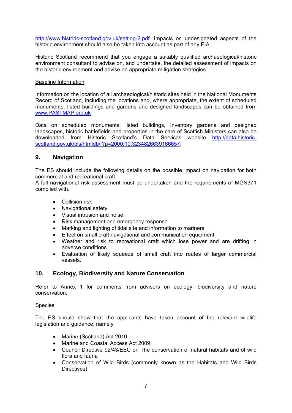http://www.historic-scotland.gov.uk/setting-2.pdf. Impacts on undesignated aspects of the historic environment should also be taken into account as part of any EIA.

Historic Scotland recommend that you engage a suitably qualified archaeological/historic environment consultant to advise on, and undertake, the detailed assessment of impacts on the historic environment and advise on appropriate mitigation strategies.

#### Baseline Information

Information on the location of all archaeological/historic sites held in the National Monuments Record of Scotland, including the locations and, where appropriate, the extent of scheduled monuments, listed buildings and gardens and designed landscapes can be obtained from www.PASTMAP.org.uk

Data on scheduled monuments, listed buildings, Inventory gardens and designed landscapes, historic battlefields and properties in the care of Scottish Ministers can also be downloaded from Historic Scotland's Data Services website http://data.historicscotland.gov.uk/pls/htmldb/f?p=2000:10:3234826639166657.

## **9. Navigation**

The ES should include the following details on the possible impact on navigation for both commercial and recreational craft.

A full navigational risk assessment must be undertaken and the requirements of MGN371 complied with.

- **•** Collision risk
- Navigational safety
- Visual intrusion and noise
- Risk management and emergency response
- Marking and lighting of tidal site and information to mariners
- Effect on small craft navigational and communication equipment
- Weather and risk to recreational craft which lose power and are drifting in adverse conditions
- Evaluation of likely squeeze of small craft into routes of larger commercial vessels.

## **10. Ecology, Biodiversity and Nature Conservation**

Refer to Annex 1 for comments from advisors on ecology, biodiversity and nature conservation.

## **Species**

The ES should show that the applicants have taken account of the relevant wildlife legislation and guidance, namely

- Marine (Scotland) Act 2010
- Marine and Coastal Access Act 2009
- Council Directive 92/43/EEC on The conservation of natural habitats and of wild flora and fauna
- Conservation of Wild Birds (commonly known as the Habitats and Wild Birds Directives)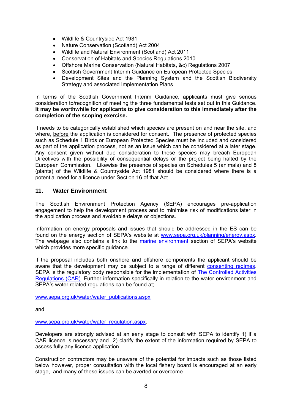- Wildlife & Countryside Act 1981
- Nature Conservation (Scotland) Act 2004
- Wildlife and Natural Environment (Scotland) Act 2011
- Conservation of Habitats and Species Regulations 2010
- Offshore Marine Conservation (Natural Habitats, &c) Regulations 2007
- Scottish Government Interim Guidance on European Protected Species
- Development Sites and the Planning System and the Scottish Biodiversity Strategy and associated Implementation Plans

In terms of the Scottish Government Interim Guidance, applicants must give serious consideration to/recognition of meeting the three fundamental tests set out in this Guidance. **It may be worthwhile for applicants to give consideration to this immediately after the completion of the scoping exercise.** 

It needs to be categorically established which species are present on and near the site, and where, before the application is considered for consent. The presence of protected species such as Schedule 1 Birds or European Protected Species must be included and considered as part of the application process, not as an issue which can be considered at a later stage. Any consent given without due consideration to these species may breach European Directives with the possibility of consequential delays or the project being halted by the European Commission. Likewise the presence of species on Schedules 5 (animals) and 8 (plants) of the Wildlife & Countryside Act 1981 should be considered where there is a potential need for a licence under Section 16 of that Act.

## **11. Water Environment**

The Scottish Environment Protection Agency (SEPA) encourages pre-application engagement to help the development process and to minimise risk of modifications later in the application process and avoidable delays or objections.

Information on energy proposals and issues that should be addressed in the ES can be found on the energy section of SEPA's website at www.sepa.org.uk/planning/energy.aspx. The webpage also contains a link to the marine environment section of SEPA's website which provides more specific guidance.

If the proposal includes both onshore and offshore components the applicant should be aware that the development may be subject to a range of different consenting regimes. SEPA is the regulatory body responsible for the implementation of The Controlled Activities Regulations (CAR). Further information specifically in relation to the water environment and SEPA's water related regulations can be found at;

www.sepa.org.uk/water/water\_publications.aspx

and

www.sepa.org.uk/water/water\_regulation.aspx.

Developers are strongly advised at an early stage to consult with SEPA to identify 1) if a CAR licence is necessary and 2) clarify the extent of the information required by SEPA to assess fully any licence application.

Construction contractors may be unaware of the potential for impacts such as those listed below however, proper consultation with the local fishery board is encouraged at an early stage, and many of these issues can be averted or overcome.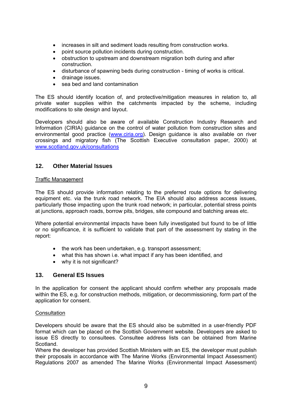- increases in silt and sediment loads resulting from construction works.
- point source pollution incidents during construction.
- obstruction to upstream and downstream migration both during and after construction.
- disturbance of spawning beds during construction timing of works is critical.
- drainage issues.
- sea bed and land contamination

The ES should identify location of, and protective/mitigation measures in relation to, all private water supplies within the catchments impacted by the scheme, including modifications to site design and layout.

Developers should also be aware of available Construction Industry Research and Information (CIRIA) guidance on the control of water pollution from construction sites and environmental good practice (www.ciria.org). Design guidance is also available on river crossings and migratory fish (The Scottish Executive consultation paper, 2000) at www.scotland.gov.uk/consultations

## **12. Other Material Issues**

#### Traffic Management

The ES should provide information relating to the preferred route options for delivering equipment etc. via the trunk road network. The EIA should also address access issues, particularly those impacting upon the trunk road network; in particular, potential stress points at junctions, approach roads, borrow pits, bridges, site compound and batching areas etc.

Where potential environmental impacts have been fully investigated but found to be of little or no significance, it is sufficient to validate that part of the assessment by stating in the report:

- the work has been undertaken, e.g. transport assessment;
- what this has shown i.e. what impact if any has been identified, and
- why it is not significant?

## **13. General ES Issues**

In the application for consent the applicant should confirm whether any proposals made within the ES, e.g. for construction methods, mitigation, or decommissioning, form part of the application for consent.

## **Consultation**

Developers should be aware that the ES should also be submitted in a user-friendly PDF format which can be placed on the Scottish Government website. Developers are asked to issue ES directly to consultees. Consultee address lists can be obtained from Marine Scotland.

Where the developer has provided Scottish Ministers with an ES, the developer must publish their proposals in accordance with The Marine Works (Environmental Impact Assessment) Regulations 2007 as amended The Marine Works (Environmental Impact Assessment)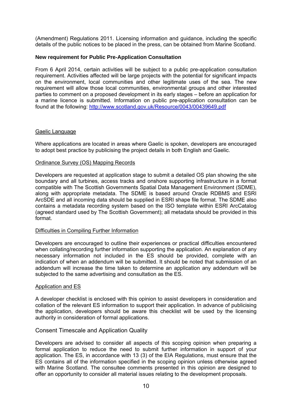(Amendment) Regulations 2011. Licensing information and guidance, including the specific details of the public notices to be placed in the press, can be obtained from Marine Scotland.

## **New requirement for Public Pre-Application Consultation**

From 6 April 2014, certain activities will be subject to a public pre-application consultation requirement. Activities affected will be large projects with the potential for significant impacts on the environment, local communities and other legitimate uses of the sea. The new requirement will allow those local communities, environmental groups and other interested parties to comment on a proposed development in its early stages – before an application for a marine licence is submitted. Information on public pre-application consultation can be found at the following: http://www.scotland.gov.uk/Resource/0043/00439649.pdf

#### Gaelic Language

Where applications are located in areas where Gaelic is spoken, developers are encouraged to adopt best practice by publicising the project details in both English and Gaelic.

#### Ordinance Survey (OS) Mapping Records

Developers are requested at application stage to submit a detailed OS plan showing the site boundary and all turbines, access tracks and onshore supporting infrastructure in a format compatible with The Scottish Governments Spatial Data Management Environment (SDME), along with appropriate metadata. The SDME is based around Oracle RDBMS and ESRI ArcSDE and all incoming data should be supplied in ESRI shape file format. The SDME also contains a metadata recording system based on the ISO template within ESRI ArcCatalog (agreed standard used by The Scottish Government); all metadata should be provided in this format.

#### Difficulties in Compiling Further Information

Developers are encouraged to outline their experiences or practical difficulties encountered when collating/recording further information supporting the application. An explanation of any necessary information not included in the ES should be provided, complete with an indication of when an addendum will be submitted. It should be noted that submission of an addendum will increase the time taken to determine an application any addendum will be subjected to the same advertising and consultation as the ES.

#### Application and ES

A developer checklist is enclosed with this opinion to assist developers in consideration and collation of the relevant ES information to support their application. In advance of publicising the application, developers should be aware this checklist will be used by the licensing authority in consideration of formal applications.

## Consent Timescale and Application Quality

Developers are advised to consider all aspects of this scoping opinion when preparing a formal application to reduce the need to submit further information in support of your application. The ES, in accordance with 13 (3) of the EIA Regulations, must ensure that the ES contains all of the information specified in the scoping opinion unless otherwise agreed with Marine Scotland. The consultee comments presented in this opinion are designed to offer an opportunity to consider all material issues relating to the development proposals.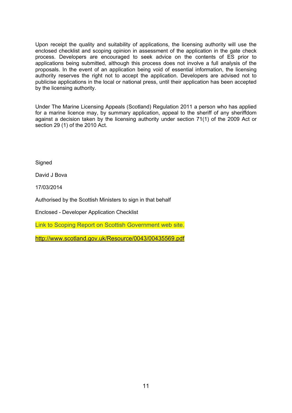Upon receipt the quality and suitability of applications, the licensing authority will use the enclosed checklist and scoping opinion in assessment of the application in the gate check process. Developers are encouraged to seek advice on the contents of ES prior to applications being submitted, although this process does not involve a full analysis of the proposals. In the event of an application being void of essential information, the licensing authority reserves the right not to accept the application. Developers are advised not to publicise applications in the local or national press, until their application has been accepted by the licensing authority.

Under The Marine Licensing Appeals (Scotland) Regulation 2011 a person who has applied for a marine licence may, by summary application, appeal to the sheriff of any sheriffdom against a decision taken by the licensing authority under section 71(1) of the 2009 Act or section 29 (1) of the 2010 Act.

**Signed** 

David J Bova

17/03/2014

Authorised by the Scottish Ministers to sign in that behalf

Enclosed - Developer Application Checklist

Link to Scoping Report on Scottish Government web site.

http://www.scotland.gov.uk/Resource/0043/00435569.pdf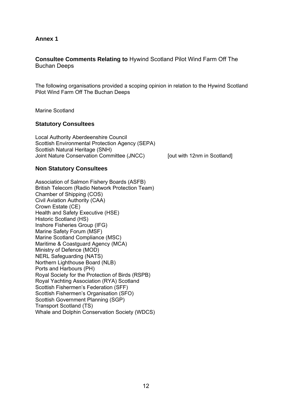## **Annex 1**

## **Consultee Comments Relating to** Hywind Scotland Pilot Wind Farm Off The Buchan Deeps

The following organisations provided a scoping opinion in relation to the Hywind Scotland Pilot Wind Farm Off The Buchan Deeps

Marine Scotland

#### **Statutory Consultees**

Local Authority Aberdeenshire Council Scottish Environmental Protection Agency (SEPA) Scottish Natural Heritage (SNH) Joint Nature Conservation Committee (JNCC) [out with 12nm in Scotland]

## **Non Statutory Consultees**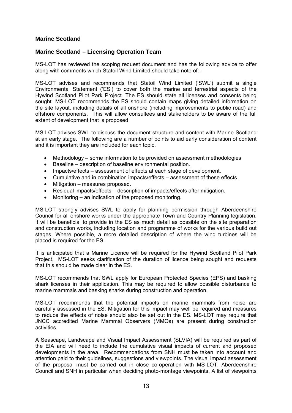## **Marine Scotland**

## **Marine Scotland – Licensing Operation Team**

MS-LOT has reviewed the scoping request document and has the following advice to offer along with comments which Statoil Wind Limited should take note of:-

MS-LOT advises and recommends that Statoil Wind Limited ('SWL') submit a single Environmental Statement ('ES') to cover both the marine and terrestrial aspects of the Hywind Scotland Pilot Park Project. The ES should state all licenses and consents being sought. MS-LOT recommends the ES should contain maps giving detailed information on the site layout, including details of all onshore (including improvements to public road) and offshore components. This will allow consultees and stakeholders to be aware of the full extent of development that is proposed

MS-LOT advises SWL to discuss the document structure and content with Marine Scotland at an early stage. The following are a number of points to aid early consideration of content and it is important they are included for each topic.

- Methodology some information to be provided on assessment methodologies.
- Baseline description of baseline environmental position.
- Impacts/effects assessment of effects at each stage of development.
- Cumulative and in combination impacts/effects assessment of these effects.
- Mitigation measures proposed.
- Residual impacts/effects description of impacts/effects after mitigation.
- Monitoring an indication of the proposed monitoring.

MS-LOT strongly advises SWL to apply for planning permission through Aberdeenshire Council for all onshore works under the appropriate Town and Country Planning legislation. It will be beneficial to provide in the ES as much detail as possible on the site preparation and construction works, including location and programme of works for the various build out stages. Where possible, a more detailed description of where the wind turbines will be placed is required for the ES.

It is anticipated that a Marine Licence will be required for the Hywind Scotland Pilot Park Project. MS-LOT seeks clarification of the duration of licence being sought and requests that this should be made clear in the ES.

MS-LOT recommends that SWL apply for European Protected Species (EPS) and basking shark licenses in their application. This may be required to allow possible disturbance to marine mammals and basking sharks during construction and operation.

MS-LOT recommends that the potential impacts on marine mammals from noise are carefully assessed in the ES. Mitigation for this impact may well be required and measures to reduce the effects of noise should also be set out in the ES. MS-LOT may require that JNCC accredited Marine Mammal Observers (MMOs) are present during construction activities.

A Seascape, Landscape and Visual Impact Assessment (SLVIA) will be required as part of the EIA and will need to include the cumulative visual impacts of current and proposed developments in the area. Recommendations from SNH must be taken into account and attention paid to their guidelines, suggestions and viewpoints. The visual impact assessment of the proposal must be carried out in close co-operation with MS-LOT, Aberdeenshire Council and SNH in particular when deciding photo-montage viewpoints. A list of viewpoints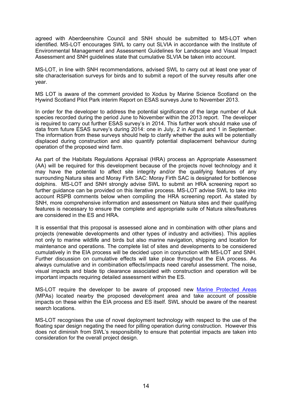agreed with Aberdeenshire Council and SNH should be submitted to MS-LOT when identified. MS-LOT encourages SWL to carry out SLVIA in accordance with the Institute of Environmental Management and Assessment Guidelines for Landscape and Visual Impact Assessment and SNH guidelines state that cumulative SLVIA be taken into account.

MS-LOT, in line with SNH recommendations, advised SWL to carry out at least one year of site characterisation surveys for birds and to submit a report of the survey results after one year.

MS LOT is aware of the comment provided to Xodus by Marine Science Scotland on the Hywind Scotland Pilot Park interim Report on ESAS surveys June to November 2013.

In order for the developer to address the potential significance of the large number of Auk species recorded during the period June to November within the 2013 report. The developer is required to carry out further ESAS survey's in 2014. This further work should make use of data from future ESAS survey's during 2014: one in July, 2 in August and 1 in September. The information from these surveys should help to clarify whether the auks will be potentially displaced during construction and also quantify potential displacement behaviour during operation of the proposed wind farm.

As part of the Habitats Regulations Appraisal (HRA) process an Appropriate Assessment (AA) will be required for this development because of the projects novel technology and it may have the potential to affect site integrity and/or the qualifying features of any surrounding Natura sites and Moray Firth SAC: Moray Firth SAC is designated for bottlenose dolphins. MS-LOT and SNH strongly advise SWL to submit an HRA screening report so further guidance can be provided on this iterative process. MS-LOT advise SWL to take into account RSPB comments below when compiling the HRA screening report. As stated by SNH, more comprehensive information and assessment on Natura sites and their qualifying features is necessary to ensure the complete and appropriate suite of Natura sites/features are considered in the ES and HRA.

It is essential that this proposal is assessed alone and in combination with other plans and projects (renewable developments and other types of industry and activities). This applies not only to marine wildlife and birds but also marine navigation, shipping and location for maintenance and operations. The complete list of sites and developments to be considered cumulatively in the EIA process will be decided upon in conjunction with MS-LOT and SNH. Further discussion on cumulative effects will take place throughout the EIA process. As always cumulative and in combination effects/impacts need careful assessment. The noise, visual impacts and blade tip clearance associated with construction and operation will be important impacts requiring detailed assessment within the ES.

MS-LOT require the developer to be aware of proposed new Marine Protected Areas (MPAs) located nearby the proposed development area and take account of possible impacts on these within the EIA process and ES itself. SWL should be aware of the nearest search locations.

MS-LOT recognises the use of novel deployment technology with respect to the use of the floating spar design negating the need for pilling operation during construction. However this does not diminish from SWL's responsibility to ensure that potential impacts are taken into consideration for the overall project design.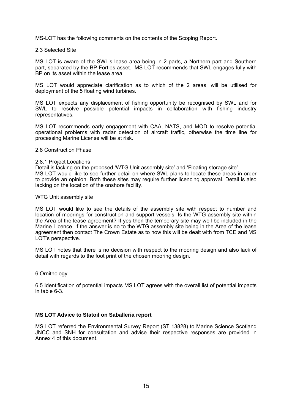MS-LOT has the following comments on the contents of the Scoping Report.

#### 2.3 Selected Site

MS LOT is aware of the SWL's lease area being in 2 parts, a Northern part and Southern part, separated by the BP Forties asset. MS LOT recommends that SWL engages fully with BP on its asset within the lease area.

MS LOT would appreciate clarification as to which of the 2 areas, will be utilised for deployment of the 5 floating wind turbines.

MS LOT expects any displacement of fishing opportunity be recognised by SWL and for SWL to resolve possible potential impacts in collaboration with fishing industry representatives.

MS LOT recommends early engagement with CAA, NATS, and MOD to resolve potential operational problems with radar detection of aircraft traffic, otherwise the time line for processing Marine License will be at risk.

#### 2.8 Construction Phase

#### 2.8.1 Project Locations

Detail is lacking on the proposed 'WTG Unit assembly site' and 'Floating storage site'. MS LOT would like to see further detail on where SWL plans to locate these areas in order to provide an opinion. Both these sites may require further licencing approval. Detail is also lacking on the location of the onshore facility.

#### WTG Unit assembly site

MS LOT would like to see the details of the assembly site with respect to number and location of moorings for construction and support vessels. Is the WTG assembly site within the Area of the lease agreement? If yes then the temporary site may well be included in the Marine Licence. If the answer is no to the WTG assembly site being in the Area of the lease agreement then contact The Crown Estate as to how this will be dealt with from TCE and MS LOT's perspective.

MS LOT notes that there is no decision with respect to the mooring design and also lack of detail with regards to the foot print of the chosen mooring design.

#### 6 Ornithology

6.5 Identification of potential impacts MS LOT agrees with the overall list of potential impacts in table 6-3.

#### **MS LOT Advice to Statoil on Saballeria report**

MS LOT referred the Environmental Survey Report (ST 13828) to Marine Science Scotland JNCC and SNH for consultation and advise their respective responses are provided in Annex 4 of this document.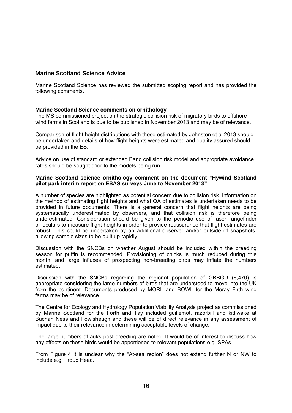## **Marine Scotland Science Advice**

Marine Scotland Science has reviewed the submitted scoping report and has provided the following comments.

## **Marine Scotland Science comments on ornithology**

The MS commissioned project on the strategic collision risk of migratory birds to offshore wind farms in Scotland is due to be published in November 2013 and may be of relevance.

Comparison of flight height distributions with those estimated by Johnston et al 2013 should be undertaken and details of how flight heights were estimated and quality assured should be provided in the ES.

Advice on use of standard or extended Band collision risk model and appropriate avoidance rates should be sought prior to the models being run.

#### **Marine Scotland science ornithology comment on the document "Hywind Scotland pilot park interim report on ESAS surveys June to November 2013"**

A number of species are highlighted as potential concern due to collision risk. Information on the method of estimating flight heights and what QA of estimates is undertaken needs to be provided in future documents. There is a general concern that flight heights are being systematically underestimated by observers, and that collision risk is therefore being underestimated. Consideration should be given to the periodic use of laser rangefinder binoculars to measure flight heights in order to provide reassurance that flight estimates are robust. This could be undertaken by an additional observer and/or outside of snapshots, allowing sample sizes to be built up rapidly.

Discussion with the SNCBs on whether August should be included within the breeding season for puffin is recommended. Provisioning of chicks is much reduced during this month, and large influxes of prospecting non-breeding birds may inflate the numbers estimated.

Discussion with the SNCBs regarding the regional population of GBBGU (6,470) is appropriate considering the large numbers of birds that are understood to move into the UK from the continent. Documents produced by MORL and BOWL for the Moray Firth wind farms may be of relevance.

The Centre for Ecology and Hydrology Population Viability Analysis project as commissioned by Marine Scotland for the Forth and Tay included guillemot, razorbill and kittiwake at Buchan Ness and Fowlsheugh and these will be of direct relevance in any assessment of impact due to their relevance in determining acceptable levels of change.

The large numbers of auks post-breeding are noted. It would be of interest to discuss how any effects on these birds would be apportioned to relevant populations e.g. SPAs.

From Figure 4 it is unclear why the "At-sea region" does not extend further N or NW to include e.g. Troup Head.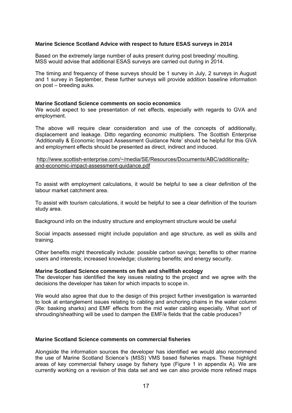#### **Marine Science Scotland Advice with respect to future ESAS surveys in 2014**

Based on the extremely large number of auks present during post breeding/ moulting. MSS would advise that additional ESAS surveys are carried out during in 2014.

The timing and frequency of these surveys should be 1 survey in July, 2 surveys in August and 1 survey in September, these further surveys will provide addition baseline information on post – breeding auks.

#### **Marine Scotland Science comments on socio economics**

We would expect to see presentation of net effects, especially with regards to GVA and employment.

The above will require clear consideration and use of the concepts of additionally, displacement and leakage. Ditto regarding economic multipliers. The Scottish Enterprise 'Additionally & Economic Impact Assessment Guidance Note' should be helpful for this GVA and employment effects should be presented as direct, indirect and induced.

#### http://www.scottish-enterprise.com/~/media/SE/Resources/Documents/ABC/additionalityand-economic-impact-assessment-guidance.pdf

To assist with employment calculations, it would be helpful to see a clear definition of the labour market catchment area.

To assist with tourism calculations, it would be helpful to see a clear definition of the tourism study area.

Background info on the industry structure and employment structure would be useful

Social impacts assessed might include population and age structure, as well as skills and training.

Other benefits might theoretically include: possible carbon savings; benefits to other marine users and interests; increased knowledge; clustering benefits; and energy security.

#### **Marine Scotland Science comments on fish and shellfish ecology**

The developer has identified the key issues relating to the project and we agree with the decisions the developer has taken for which impacts to scope in.

We would also agree that due to the design of this project further investigation is warranted to look at entanglement issues relating to cabling and anchoring chains in the water column (Re: basking sharks) and EMF effects from the mid water cabling especially. What sort of shrouding/sheathing will be used to dampen the EMF/e fields that the cable produces?

#### **Marine Scotland Science comments on commercial fisheries**

Alongside the information sources the developer has identified we would also recommend the use of Marine Scotland Science's (MSS) VMS based fisheries maps. These highlight areas of key commercial fishery usage by fishery type (Figure 1 in appendix A). We are currently working on a revision of this data set and we can also provide more refined maps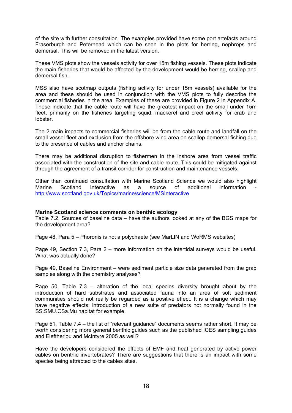of the site with further consultation. The examples provided have some port artefacts around Fraserburgh and Peterhead which can be seen in the plots for herring, nephrops and demersal. This will be removed in the latest version.

These VMS plots show the vessels activity for over 15m fishing vessels. These plots indicate the main fisheries that would be affected by the development would be herring, scallop and demersal fish.

MSS also have scotmap outputs (fishing activity for under 15m vessels) available for the area and these should be used in conjunction with the VMS plots to fully describe the commercial fisheries in the area. Examples of these are provided in Figure 2 in Appendix A. These indicate that the cable route will have the greatest impact on the small under 15m fleet, primarily on the fisheries targeting squid, mackerel and creel activity for crab and lobster.

The 2 main impacts to commercial fisheries will be from the cable route and landfall on the small vessel fleet and exclusion from the offshore wind area on scallop demersal fishing due to the presence of cables and anchor chains.

There may be additional disruption to fishermen in the inshore area from vessel traffic associated with the construction of the site and cable route. This could be mitigated against through the agreement of a transit corridor for construction and maintenance vessels.

Other than continued consultation with Marine Scotland Science we would also highlight Marine Scotland Interactive as a source of additional information http://www.scotland.gov.uk/Topics/marine/science/MSInteractive

#### **Marine Scotland science comments on benthic ecology**

Table 7.2, Sources of baseline data – have the authors looked at any of the BGS maps for the development area?

Page 48, Para 5 – Phoronis is not a polychaete (see MarLIN and WoRMS websites)

Page 49, Section 7.3, Para 2 – more information on the intertidal surveys would be useful. What was actually done?

Page 49, Baseline Environment – were sediment particle size data generated from the grab samples along with the chemistry analyses?

Page 50, Table 7.3 – alteration of the local species diversity brought about by the introduction of hard substrates and associated fauna into an area of soft sediment communities should not really be regarded as a positive effect. It is a change which may have negative effects; introduction of a new suite of predators not normally found in the SS.SMU.CSa.Mu habitat for example.

Page 51, Table 7.4 – the list of "relevant guidance" documents seems rather short. It may be worth considering more general benthic guides such as the published ICES sampling guides and Eleftheriou and McIntyre 2005 as well?

Have the developers considered the effects of EMF and heat generated by active power cables on benthic invertebrates? There are suggestions that there is an impact with some species being attracted to the cables sites.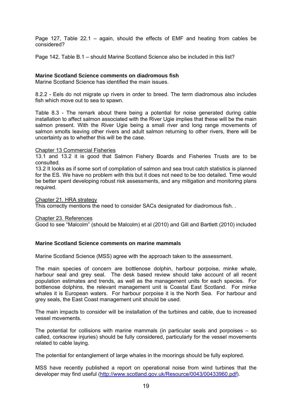Page 127, Table 22.1 – again, should the effects of EMF and heating from cables be considered?

Page 142, Table B.1 – should Marine Scotland Science also be included in this list?

## **Marine Scotland Science comments on diadromous fish**

Marine Scotland Science has identified the main issues.

8.2.2 - Eels do not migrate up rivers in order to breed. The term diadromous also includes fish which move out to sea to spawn.

Table 8.3 - The remark about there being a potential for noise generated during cable installation to affect salmon associated with the River Ugie implies that these will be the main salmon present. With the River Ugie being a small river and long range movements of salmon smolts leaving other rivers and adult salmon returning to other rivers, there will be uncertainty as to whether this will be the case.

#### Chapter 13 Commercial Fisheries

13.1 and 13.2 it is good that Salmon Fishery Boards and Fisheries Trusts are to be consulted.

13.2 It looks as if some sort of compilation of salmon and sea trout catch statistics is planned for the ES. We have no problem with this but it does not need to be too detailed. Time would be better spent developing robust risk assessments, and any mitigation and monitoring plans required.

Chapter 21. HRA strategy

This correctly mentions the need to consider SACs designated for diadromous fish. .

Chapter 23. References

Good to see "Malcolm" (should be Malcolm) et al (2010) and Gill and Bartlett (2010) included

#### **Marine Scotland Science comments on marine mammals**

Marine Scotland Science (MSS) agree with the approach taken to the assessment.

The main species of concern are bottlenose dolphin, harbour porpoise, minke whale, harbour seal and grey seal. The desk based review should take account of all recent population estimates and trends, as well as the management units for each species. For bottlenose dolphins, the relevant management unit is Coastal East Scotland. For minke whales it is European waters. For harbour porpoise it is the North Sea. For harbour and grey seals, the East Coast management unit should be used.

The main impacts to consider will be installation of the turbines and cable, due to increased vessel movements.

The potential for collisions with marine mammals (in particular seals and porpoises – so called, corkscrew injuries) should be fully considered, particularly for the vessel movements related to cable laying.

The potential for entanglement of large whales in the moorings should be fully explored.

MSS have recently published a report on operational noise from wind turbines that the developer may find useful (http://www.scotland.gov.uk/Resource/0043/00433960.pdf).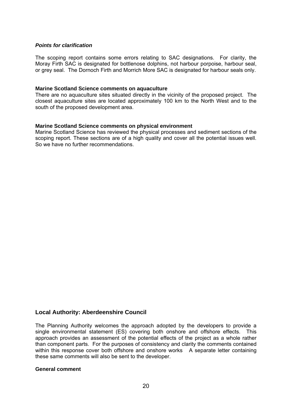#### *Points for clarification*

The scoping report contains some errors relating to SAC designations. For clarity, the Moray Firth SAC is designated for bottlenose dolphins, not harbour porpoise, harbour seal, or grey seal. The Dornoch Firth and Morrich More SAC is designated for harbour seals only.

#### **Marine Scotland Science comments on aquaculture**

There are no aquaculture sites situated directly in the vicinity of the proposed project. The closest aquaculture sites are located approximately 100 km to the North West and to the south of the proposed development area.

#### **Marine Scotland Science comments on physical environment**

Marine Scotland Science has reviewed the physical processes and sediment sections of the scoping report. These sections are of a high quality and cover all the potential issues well. So we have no further recommendations.

## **Local Authority: Aberdeenshire Council**

The Planning Authority welcomes the approach adopted by the developers to provide a single environmental statement (ES) covering both onshore and offshore effects. This approach provides an assessment of the potential effects of the project as a whole rather than component parts. For the purposes of consistency and clarity the comments contained within this response cover both offshore and onshore works A separate letter containing these same comments will also be sent to the developer.

#### **General comment**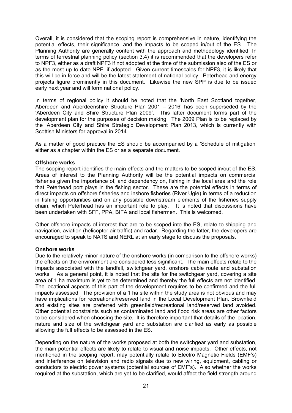Overall, it is considered that the scoping report is comprehensive in nature, identifying the potential effects, their significance, and the impacts to be scoped in/out of the ES. The Planning Authority are generally content with the approach and methodology identified. In terms of terrestrial planning policy (section 3.4) it is recommended that the developers refer to NPF3, either as a draft NPF3 if not adopted at the time of the submission also of the ES or as the most up to date NPF, if adopted. Given current timescales for NPF3, it is likely that this will be in force and will be the latest statement of national policy. Peterhead and energy projects figure prominently in this document. Likewise the new SPP is due to be issued early next year and will form national policy.

In terms of regional policy it should be noted that the 'North East Scotland together, Aberdeen and Aberdeenshire Structure Plan 2001 – 2016' has been superseded by the 'Aberdeen City and Shire Structure Plan 2009'. This latter document forms part of the development plan for the purposes of decision making. The 2009 Plan is to be replaced by the 'Aberdeen City and Shire Strategic Development Plan 2013, which is currently with Scottish Ministers for approval in 2014.

As a matter of good practice the ES should be accompanied by a 'Schedule of mitigation' either as a chapter within the ES or as a separate document.

#### **Offshore works**

The scoping report identifies the main effects and the matters to be scoped in/out of the ES. Areas of interest to the Planning Authority will be the potential impacts on commercial fisheries given the importance of, and dependency on, fishing in the local area and the role that Peterhead port plays in the fishing sector. These are the potential effects in terms of direct impacts on offshore fisheries and inshore fisheries (River Ugie) in terms of a reduction in fishing opportunities and on any possible downstream elements of the fisheries supply chain, which Peterhead has an important role to play. It is noted that discussions have been undertaken with SFF, PPA, BIFA and local fishermen. This is welcomed.

Other offshore impacts of interest that are to be scoped into the ES, relate to shipping and navigation, aviation (helicopter air traffic) and radar. Regarding the latter, the developers are encouraged to speak to NATS and NERL at an early stage to discuss the proposals.

#### **Onshore works**

Due to the relatively minor nature of the onshore works (in comparison to the offshore works) the effects on the environment are considered less significant. The main effects relate to the impacts associated with the landfall, switchgear yard, onshore cable route and substation works. As a general point, it is noted that the site for the switchgear yard, covering a site area of 1 ha maximum is yet to be determined and thereby the full effects are not identified. The locational aspects of this part of the development requires to be confirmed and the full impacts assessed. The provision of a 1 ha site within the study area is not obvious and may have implications for recreational/reserved land in the Local Development Plan. Brownfield and existing sites are preferred with greenfield/recreational land/reserved land avoided. Other potential constraints such as contaminated land and flood risk areas are other factors to be considered when choosing the site. It is therefore important that details of the location, nature and size of the switchgear yard and substation are clarified as early as possible allowing the full effects to be assessed in the ES.

Depending on the nature of the works proposed at both the switchgear yard and substation. the main potential effects are likely to relate to visual and noise impacts. Other effects, not mentioned in the scoping report, may potentially relate to Electro Magnetic Fields (EMF's) and interference on television and radio signals due to new wiring, equipment, cabling or conductors to electric power systems (potential sources of EMF's). Also whether the works required at the substation, which are yet to be clarified, would affect the field strength around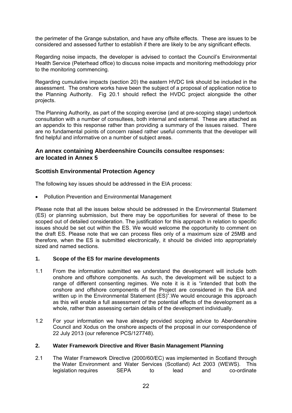the perimeter of the Grange substation, and have any offsite effects. These are issues to be considered and assessed further to establish if there are likely to be any significant effects.

Regarding noise impacts, the developer is advised to contact the Council's Environmental Health Service (Peterhead office) to discuss noise impacts and monitoring methodology prior to the monitoring commencing.

Regarding cumulative impacts (section 20) the eastern HVDC link should be included in the assessment. The onshore works have been the subject of a proposal of application notice to the Planning Authority. Fig 20.1 should reflect the HVDC project alongside the other projects.

The Planning Authority, as part of the scoping exercise (and at pre-scoping stage) undertook consultation with a number of consultees, both internal and external. These are attached as an appendix to this response rather than providing a summary of the issues raised. There are no fundamental points of concern raised rather useful comments that the developer will find helpful and informative on a number of subject areas.

## **An annex containing Aberdeenshire Councils consultee responses: are located in Annex 5**

## **Scottish Environmental Protection Agency**

The following key issues should be addressed in the EIA process:

Pollution Prevention and Environmental Management

Please note that all the issues below should be addressed in the Environmental Statement (ES) or planning submission, but there may be opportunities for several of these to be scoped out of detailed consideration. The justification for this approach in relation to specific issues should be set out within the ES. We would welcome the opportunity to comment on the draft ES. Please note that we can process files only of a maximum size of 25MB and therefore, when the ES is submitted electronically, it should be divided into appropriately sized and named sections.

## **1. Scope of the ES for marine developments**

- 1.1 From the information submitted we understand the development will include both onshore and offshore components. As such, the development will be subject to a range of different consenting regimes. We note it is it is "intended that both the onshore and offshore components of the Project are considered in the EIA and written up in the Environmental Statement (ES)".We would encourage this approach as this will enable a full assessment of the potential effects of the development as a whole, rather than assessing certain details of the development individually.
- 1.2 For your information we have already provided scoping advice to Aberdeenshire Council and Xodus on the onshore aspects of the proposal in our correspondence of 22 July 2013 (our reference PCS/127748).

## **2. Water Framework Directive and River Basin Management Planning**

2.1 The Water Framework Directive (2000/60/EC) was implemented in Scotland through the Water Environment and Water Services (Scotland) Act 2003 (WEWS). This legislation requires SEPA to lead and co-ordinate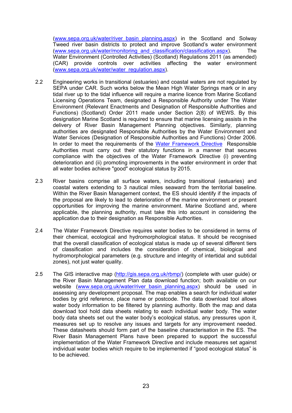(www.sepa.org.uk/water/river\_basin\_planning.aspx) in the Scotland and Solway Tweed river basin districts to protect and improve Scotland's water environment (www.sepa.org.uk/water/monitoring\_and\_classification/classification.aspx). The Water Environment (Controlled Activities) (Scotland) Regulations 2011 (as amended) (CAR) provide controls over activities affecting the water environment (www.sepa.org.uk/water/water\_regulation.aspx).

- 2.2 Engineering works in transitional (estuaries) and coastal waters are not regulated by SEPA under CAR. Such works below the Mean High Water Springs mark or in any tidal river up to the tidal influence will require a marine licence from Marine Scotland Licensing Operations Team, designated a Responsible Authority under The Water Environment (Relevant Enactments and Designation of Responsible Authorities and Functions) (Scotland) Order 2011 made under Section 2(8) of WEWS. By this designation Marine Scotland is required to ensure that marine licensing assists in the delivery of River Basin Management Planning objectives. Similarly, planning authorities are designated Responsible Authorities by the Water Environment and Water Services (Designation of Responsible Authorities and Functions) Order 2006. In order to meet the requirements of the Water Framework Directive Responsible Authorities must carry out their statutory functions in a manner that secures compliance with the objectives of the Water Framework Directive (i) preventing deterioration and (ii) promoting improvements in the water environment in order that all water bodies achieve "good" ecological status by 2015.
- 2.3 River basins comprise all surface waters, including transitional (estuaries) and coastal waters extending to 3 nautical miles seaward from the territorial baseline. Within the River Basin Management context, the ES should identify if the impacts of the proposal are likely to lead to deterioration of the marine environment or present opportunities for improving the marine environment. Marine Scotland and, where applicable, the planning authority, must take this into account in considering the application due to their designation as Responsible Authorities.
- 2.4 The Water Framework Directive requires water bodies to be considered in terms of their chemical, ecological and hydromorphological status. It should be recognised that the overall classification of ecological status is made up of several different tiers of classification and includes the consideration of chemical, biological and hydromorphological parameters (e.g. structure and integrity of intertidal and subtidal zones), not just water quality.
- 2.5 The GIS interactive map (http://gis.sepa.org.uk/rbmp/) (complete with user guide) or the River Basin Management Plan data download function; both available on our website (www.sepa.org.uk/water/river\_basin\_planning.aspx) should be used in assessing any development proposal. The map enables a search for individual water bodies by grid reference, place name or postcode. The data download tool allows water body information to be filtered by planning authority. Both the map and data download tool hold data sheets relating to each individual water body. The water body data sheets set out the water body's ecological status, any pressures upon it, measures set up to resolve any issues and targets for any improvement needed. These datasheets should form part of the baseline characterisation in the ES. The River Basin Management Plans have been prepared to support the successful implementation of the Water Framework Directive and include measures set against individual water bodies which require to be implemented if "good ecological status" is to be achieved.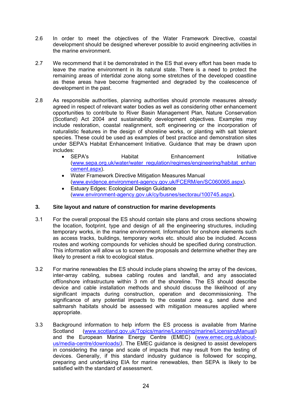- 2.6 In order to meet the objectives of the Water Framework Directive, coastal development should be designed wherever possible to avoid engineering activities in the marine environment.
- 2.7 We recommend that it be demonstrated in the ES that every effort has been made to leave the marine environment in its natural state. There is a need to protect the remaining areas of intertidal zone along some stretches of the developed coastline as these areas have become fragmented and degraded by the coalescence of development in the past.
- 2.8 As responsible authorities, planning authorities should promote measures already agreed in respect of relevant water bodies as well as considering other enhancement opportunities to contribute to River Basin Management Plan, Nature Conservation (Scotland) Act 2004 and sustainability development objectives. Examples may include restoration, coastal realignment, soft engineering or the incorporation of naturalistic features in the design of shoreline works, or planting with salt tolerant species. These could be used as examples of best practice and demonstration sites under SEPA's Habitat Enhancement Initiative. Guidance that may be drawn upon includes:
	- SEPA's **Habitat** Enhancement **Initiative** (www.sepa.org.uk/water/water\_regulation/regimes/engineering/habitat\_enhan cement.aspx).
	- Water Framework Directive Mitigation Measures Manual (www.evidence.environment-agency.gov.uk/FCERM/en/SC060065.aspx).
	- Estuary Edges: Ecological Design Guidance (www.environment-agency.gov.uk/cy/busnes/sectorau/100745.aspx).

## **3. Site layout and nature of construction for marine developments**

- 3.1 For the overall proposal the ES should contain site plans and cross sections showing the location, footprint, type and design of all the engineering structures, including temporary works, in the marine environment. Information for onshore elements such as access tracks, buildings, temporary works etc. should also be included. Access routes and working compounds for vehicles should be specified during construction. This information will allow us to screen the proposals and determine whether they are likely to present a risk to ecological status.
- 3.2 For marine renewables the ES should include plans showing the array of the devices, inter-array cabling, subsea cabling routes and landfall, and any associated off/onshore infrastructure within 3 nm of the shoreline. The ES should describe device and cable installation methods and should discuss the likelihood of any significant impacts during construction, operation and decommissioning. The significance of any potential impacts to the coastal zone e.g. sand dune and saltmarsh habitats should be assessed with mitigation measures applied where appropriate.
- 3.3 Background information to help inform the ES process is available from Marine Scotland (www.scotland.gov.uk/Topics/marine/Licensing/marine/LicensingManual) and the European Marine Energy Centre (EMEC) (www.emec.org.uk/aboutus/media-centre/downloads/*)*. The EMEC guidance is designed to assist developers in considering the range and scale of impacts that may result from the testing of devices. Generally, if this standard industry guidance is followed for scoping, preparing and undertaking EIA for marine renewables, then SEPA is likely to be satisfied with the standard of assessment.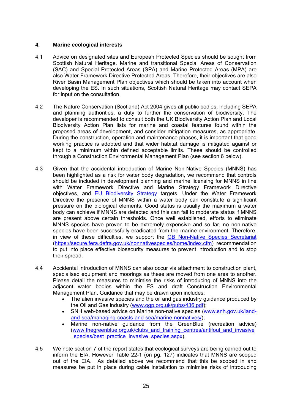## **4. Marine ecological interests**

- 4.1 Advice on designated sites and European Protected Species should be sought from Scottish Natural Heritage. Marine and transitional Special Areas of Conservation (SAC) and Special Protected Areas (SPA) and Marine Protected Areas (MPA) are also Water Framework Directive Protected Areas. Therefore, their objectives are also River Basin Management Plan objectives which should be taken into account when developing the ES. In such situations, Scottish Natural Heritage may contact SEPA for input on the consultation.
- 4.2 The Nature Conservation (Scotland) Act 2004 gives all public bodies, including SEPA and planning authorities, a duty to further the conservation of biodiversity. The developer is recommended to consult both the UK Biodiversity Action Plan and Local Biodiversity Action Plan lists for marine and coastal features found within the proposed areas of development, and consider mitigation measures, as appropriate. During the construction, operation and maintenance phases, it is important that good working practice is adopted and that wider habitat damage is mitigated against or kept to a minimum within defined acceptable limits. These should be controlled through a Construction Environmental Management Plan (see section 6 below).
- 4.3 Given that the accidental introduction of Marine Non-Native Species (MNNS) has been highlighted as a risk for water body degradation, we recommend that controls should be included in development planning and marine licensing for MNNS in line with Water Framework Directive and Marine Strategy Framework Directive objectives, and EU Biodiversity Strategy targets. Under the Water Framework Directive the presence of MNNS within a water body can constitute a significant pressure on the biological elements. Good status is usually the maximum a water body can achieve if MNNS are detected and this can fall to moderate status if MNNS are present above certain thresholds. Once well established, efforts to eliminate MNNS species have proven to be extremely expensive and so far, no non-native species have been successfully eradicated from the marine environment. Therefore, in view of these difficulties, we support the GB Non-Native Species Secretariat (https://secure.fera.defra.gov.uk/nonnativespecies/home/index.cfm) recommendation to put into place effective biosecurity measures to prevent introduction and to stop their spread.
- 4.4 Accidental introduction of MNNS can also occur via attachment to construction plant, specialised equipment and moorings as these are moved from one area to another. Please detail the measures to minimise the risks of introducing of MNNS into the adjacent water bodies within the ES and draft Construction Environmental Management Plan. Guidance that may be drawn upon includes:
	- The alien invasive species and the oil and gas industry guidance produced by the Oil and Gas industry (www.ogp.org.uk/pubs/436.pdf);
	- SNH web-based advice on Marine non-native species (www.snh.gov.uk/landand-sea/managing-coasts-and-sea/marine-nonnatives/);
	- Marine non-native guidance from the GreenBlue (recreation advice) (www.thegreenblue.org.uk/clubs\_and\_training\_centres/antifoul\_and\_invasive species/best\_practice\_invasive\_species.aspx).
- 4.5 We note section 7 of the report states that ecological surveys are being carried out to inform the EIA. However Table 22-1 (on pg. 127) indicates that MNNS are scoped out of the EIA. As detailed above we recommend that this be scoped in and measures be put in place during cable installation to minimise risks of introducing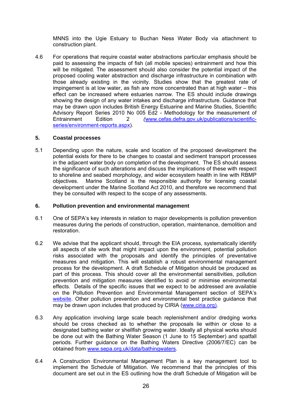MNNS into the Ugie Estuary to Buchan Ness Water Body via attachment to construction plant.

4.6 For operations that require coastal water abstractions particular emphasis should be paid to assessing the impacts of fish (all mobile species) entrainment and how this will be mitigated. The assessment should also consider the potential impact of the proposed cooling water abstraction and discharge infrastructure in combination with those already existing in the vicinity. Studies show that the greatest rate of impingement is at low water, as fish are more concentrated than at high water – this effect can be increased where estuaries narrow. The ES should include drawings showing the design of any water intakes and discharge infrastructure. Guidance that may be drawn upon includes British Energy Estuarine and Marine Studies, Scientific Advisory Report Series 2010 No 005 Ed2 - Methodology for the measurement of Entrainment Edition 2 *(*www.cefas.defra.gov.uk/publications/scientificseries/environment-reports.aspx).

#### **5. Coastal processes**

5.1 Depending upon the nature, scale and location of the proposed development the potential exists for there to be changes to coastal and sediment transport processes in the adjacent water body on completion of the development. The ES should assess the significance of such alterations and discuss the implications of these with respect to shoreline and seabed morphology, and wider ecosystem health in line with RBMP objectives. Marine Scotland is the responsible authority for licensing coastal development under the Marine Scotland Act 2010, and therefore we recommend that they be consulted with respect to the scope of any assessments.

## **6. Pollution prevention and environmental management**

- 6.1 One of SEPA's key interests in relation to major developments is pollution prevention measures during the periods of construction, operation, maintenance, demolition and restoration.
- 6.2 We advise that the applicant should, through the EIA process, systematically identify all aspects of site work that might impact upon the environment, potential pollution risks associated with the proposals and identify the principles of preventative measures and mitigation. This will establish a robust environmental management process for the development. A draft Schedule of Mitigation should be produced as part of this process. This should cover all the environmental sensitivities, pollution prevention and mitigation measures identified to avoid or minimise environmental effects. Details of the specific issues that we expect to be addressed are available on the Pollution Prevention and Environmental Management section of SEPA's website. Other pollution prevention and environmental best practice guidance that may be drawn upon includes that produced by CIRIA (www.ciria.org).
- 6.3 Any application involving large scale beach replenishment and/or dredging works should be cross checked as to whether the proposals lie within or close to a designated bathing water or shellfish growing water. Ideally all physical works should be done out with the Bathing Water Season (1 June to 15 September) and spatfall periods. Further guidance on the Bathing Waters Directive (2006/7/EC) can be obtained from www.sepa.org.uk/data/bathingwaters.
- 6.4 A Construction Environmental Management Plan is a key management tool to implement the Schedule of Mitigation. We recommend that the principles of this document are set out in the ES outlining how the draft Schedule of Mitigation will be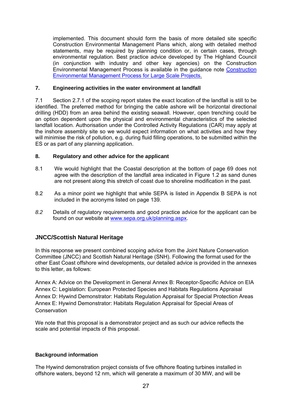implemented. This document should form the basis of more detailed site specific Construction Environmental Management Plans which, along with detailed method statements, may be required by planning condition or, in certain cases, through environmental regulation. Best practice advice developed by The Highland Council (in conjunction with industry and other key agencies) on the Construction Environmental Management Process is available in the guidance note Construction Environmental Management Process for Large Scale Projects.

## **7. Engineering activities in the water environment at landfall**

7.1 Section 2.7.1 of the scoping report states the exact location of the landfall is still to be identified. The preferred method for bringing the cable ashore will be horizontal directional drilling (HDD) from an area behind the existing seawall. However, open trenching could be an option dependent upon the physical and environmental characteristics of the selected landfall location. Authorisation under the Controlled Activity Regulations (CAR) may apply at the inshore assembly site so we would expect information on what activities and how they will minimise the risk of pollution, e.g. during fluid filling operations, to be submitted within the ES or as part of any planning application.

## **8. Regulatory and other advice for the applicant**

- 8.1 We would highlight that the Coastal description at the bottom of page 69 does not agree with the description of the landfall area indicated in Figure 1.2 as sand dunes are not present along this stretch of coast due to shoreline modification in the past.
- 8.2 As a minor point we highlight that while SEPA is listed in Appendix B SEPA is not included in the acronyms listed on page 139.
- *8.2* Details of regulatory requirements and good practice advice for the applicant can be found on our website at www.sepa.org.uk/planning.aspx.

## **JNCC/Scottish Natural Heritage**

In this response we present combined scoping advice from the Joint Nature Conservation Committee (JNCC) and Scottish Natural Heritage (SNH). Following the format used for the other East Coast offshore wind developments, our detailed advice is provided in the annexes to this letter, as follows:

Annex A: Advice on the Development in General Annex B: Receptor-Specific Advice on EIA Annex C: Legislation: European Protected Species and Habitats Regulations Appraisal Annex D: Hywind Demonstrator: Habitats Regulation Appraisal for Special Protection Areas Annex E: Hywind Demonstrator: Habitats Regulation Appraisal for Special Areas of **Conservation** 

We note that this proposal is a demonstrator project and as such our advice reflects the scale and potential impacts of this proposal.

## **Background information**

The Hywind demonstration project consists of five offshore floating turbines installed in offshore waters, beyond 12 nm, which will generate a maximum of 30 MW, and will be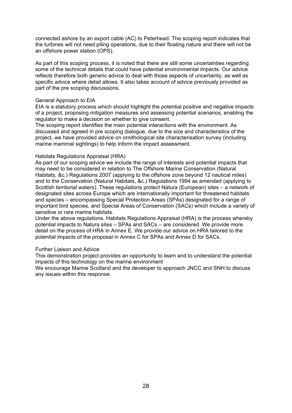connected ashore by an export cable (AC) to Peterhead. The scoping report indicates that the turbines will not need piling operations, due to their floating nature and there will not be an offshore power station (OPS).

As part of this scoping process, it is noted that there are still some uncertainties regarding some of the technical details that could have potential environmental impacts. Our advice reflects therefore both generic advice to deal with those aspects of uncertainty, as well as specific advice where detail allows. It also takes account of advice previously provided as part of the pre scoping discussions.

#### General Approach to EIA

EIA is a statutory process which should highlight the potential positive and negative impacts of a project, proposing mitigation measures and assessing potential scenarios, enabling the regulator to make a decision on whether to give consent.

The scoping report identifies the main potential interactions with the environment. As discussed and agreed in pre scoping dialogue, due to the size and characteristics of the project, we have provided advice on ornithological site characterisation survey (including marine mammal sightings) to help inform the impact assessment.

#### Habitats Regulations Appraisal (HRA)

As part of our scoping advice we include the range of interests and potential impacts that may need to be considered in relation to The Offshore Marine Conservation (Natural Habitats, &c.) Regulations 2007 (applying to the offshore zone beyond 12 nautical miles) and to the Conservation (Natural Habitats, &c.) Regulations 1994 as amended (applying to Scottish territorial waters). These regulations protect Natura (European) sites – a network of designated sites across Europe which are internationally important for threatened habitats and species – encompassing Special Protection Areas (SPAs) designated for a range of important bird species, and Special Areas of Conservation (SACs) which include a variety of sensitive or rare marine habitats.

Under the above regulations, Habitats Regulations Appraisal (HRA) is the process whereby potential impacts to Natura sites – SPAs and SACs – are considered. We provide more detail on the process of HRA in Annex E. We provide our advice on HRA tailored to the potential impacts of the proposal in Annex C for SPAs and Annex D for SACs.

#### Further Liaison and Advice

This demonstration project provides an opportunity to learn and to understand the potential impacts of this technology on the marine environment

We encourage Marine Scotland and the developer to approach JNCC and SNH to discuss any issues within this response.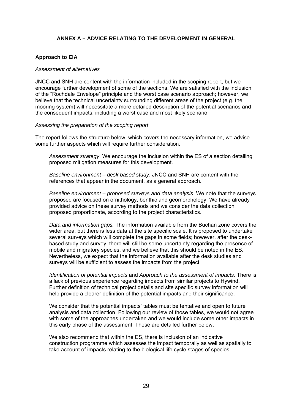## **ANNEX A – ADVICE RELATING TO THE DEVELOPMENT IN GENERAL**

## **Approach to EIA**

#### *Assessment of alternatives*

JNCC and SNH are content with the information included in the scoping report, but we encourage further development of some of the sections. We are satisfied with the inclusion of the "Rochdale Envelope" principle and the worst case scenario approach; however, we believe that the technical uncertainty surrounding different areas of the project (e.g. the mooring system) will necessitate a more detailed description of the potential scenarios and the consequent impacts, including a worst case and most likely scenario

#### *Assessing the preparation of the scoping report*

The report follows the structure below, which covers the necessary information, we advise some further aspects which will require further consideration.

*Assessment strategy*. We encourage the inclusion within the ES of a section detailing proposed mitigation measures for this development.

*Baseline environment – desk based study*. JNCC and SNH are content with the references that appear in the document, as a general approach.

*Baseline environment – proposed surveys and data analysis*. We note that the surveys proposed are focused on ornithology, benthic and geomorphology. We have already provided advice on these survey methods and we consider the data collection proposed proportionate, according to the project characteristics.

*Data and information gaps.* The information available from the Buchan zone covers the wider area, but there is less data at the site specific scale. It is proposed to undertake several surveys which will complete the gaps in some fields; however, after the deskbased study and survey, there will still be some uncertainty regarding the presence of mobile and migratory species, and we believe that this should be noted in the ES. Nevertheless, we expect that the information available after the desk studies and surveys will be sufficient to assess the impacts from the project.

*Identification of potential impacts* and *Approach to the assessment of impacts*. There is a lack of previous experience regarding impacts from similar projects to Hywind. Further definition of technical project details and site specific survey information will help provide a clearer definition of the potential impacts and their significance.

We consider that the potential impacts' tables must be tentative and open to future analysis and data collection. Following our review of those tables, we would not agree with some of the approaches undertaken and we would include some other impacts in this early phase of the assessment. These are detailed further below.

We also recommend that within the ES, there is inclusion of an indicative construction programme which assesses the impact temporally as well as spatially to take account of impacts relating to the biological life cycle stages of species.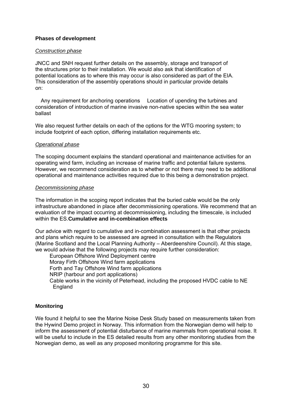## **Phases of development**

#### *Construction phase*

JNCC and SNH request further details on the assembly, storage and transport of the structures prior to their installation. We would also ask that identification of potential locations as to where this may occur is also considered as part of the EIA. This consideration of the assembly operations should in particular provide details on:

 Any requirement for anchoring operations Location of upending the turbines and consideration of introduction of marine invasive non-native species within the sea water ballast

We also request further details on each of the options for the WTG mooring system; to include footprint of each option, differing installation requirements etc.

#### *Operational phase*

The scoping document explains the standard operational and maintenance activities for an operating wind farm, including an increase of marine traffic and potential failure systems. However, we recommend consideration as to whether or not there may need to be additional operational and maintenance activities required due to this being a demonstration project.

#### *Decommissioning phase*

The information in the scoping report indicates that the buried cable would be the only infrastructure abandoned in place after decommissioning operations. We recommend that an evaluation of the impact occurring at decommissioning, including the timescale, is included within the ES.**Cumulative and in-combination effects** 

Our advice with regard to cumulative and in-combination assessment is that other projects and plans which require to be assessed are agreed in consultation with the Regulators (Marine Scotland and the Local Planning Authority – Aberdeenshire Council). At this stage, we would advise that the following projects may require further consideration:

 European Offshore Wind Deployment centre Moray Firth Offshore Wind farm applications Forth and Tay Offshore Wind farm applications NRIP (harbour and port applications) Cable works in the vicinity of Peterhead, including the proposed HVDC cable to NE England

## **Monitoring**

We found it helpful to see the Marine Noise Desk Study based on measurements taken from the Hywind Demo project in Norway. This information from the Norwegian demo will help to inform the assessment of potential disturbance of marine mammals from operational noise. It will be useful to include in the ES detailed results from any other monitoring studies from the Norwegian demo, as well as any proposed monitoring programme for this site.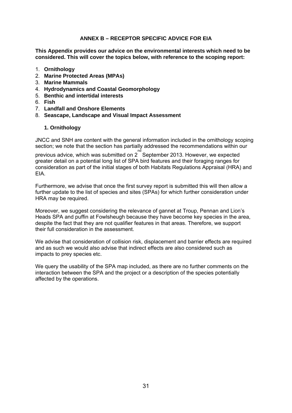## **ANNEX B – RECEPTOR SPECIFIC ADVICE FOR EIA**

**This Appendix provides our advice on the environmental interests which need to be considered. This will cover the topics below, with reference to the scoping report:** 

- 1. **Ornithology**
- 2. **Marine Protected Areas (MPAs)**
- 3. **Marine Mammals**
- 4. **Hydrodynamics and Coastal Geomorphology**
- 5. **Benthic and intertidal interests**
- 6. **Fish**
- 7. **Landfall and Onshore Elements**
- 8. **Seascape, Landscape and Visual Impact Assessment**

#### **1. Ornithology**

JNCC and SNH are content with the general information included in the ornithology scoping section; we note that the section has partially addressed the recommendations within our

previous advice, which was submitted on  $2^{\frac{nd}{d}}$  September 2013. However, we expected greater detail on a potential long list of SPA bird features and their foraging ranges for consideration as part of the initial stages of both Habitats Regulations Appraisal (HRA) and EIA.

Furthermore, we advise that once the first survey report is submitted this will then allow a further update to the list of species and sites (SPAs) for which further consideration under HRA may be required.

Moreover, we suggest considering the relevance of gannet at Troup, Pennan and Lion's Heads SPA and puffin at Fowlsheugh because they have become key species in the area, despite the fact that they are not qualifier features in that areas. Therefore, we support their full consideration in the assessment.

We advise that consideration of collision risk, displacement and barrier effects are required and as such we would also advise that indirect effects are also considered such as impacts to prey species etc.

We query the usability of the SPA map included, as there are no further comments on the interaction between the SPA and the project or a description of the species potentially affected by the operations.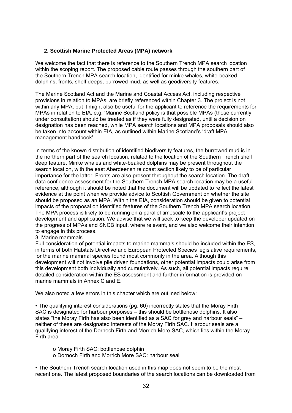## **2. Scottish Marine Protected Areas (MPA) network**

We welcome the fact that there is reference to the Southern Trench MPA search location within the scoping report. The proposed cable route passes through the southern part of the Southern Trench MPA search location, identified for minke whales, white-beaked dolphins, fronts, shelf deeps, burrowed mud, as well as geodiversity features.

The Marine Scotland Act and the Marine and Coastal Access Act, including respective provisions in relation to MPAs, are briefly referenced within Chapter 3. The project is not within any MPA, but it might also be useful for the applicant to reference the requirements for MPAs in relation to EIA, e.g. 'Marine Scotland policy is that possible MPAs (those currently under consultation) should be treated as if they were fully designated, until a decision on designation has been reached, while MPA search locations and MPA proposals should also be taken into account within EIA, as outlined within Marine Scotland's 'draft MPA management handbook'.

In terms of the known distribution of identified biodiversity features, the burrowed mud is in the northern part of the search location, related to the location of the Southern Trench shelf deep feature. Minke whales and white-beaked dolphins may be present throughout the search location, with the east Aberdeenshire coast section likely to be of particular importance for the latter. Fronts are also present throughout the search location. The draft data confidence assessment for the Southern Trench MPA search location may be a useful reference, although it should be noted that the document will be updated to reflect the latest evidence at the point when we provide advice to Scottish Government on whether the site should be proposed as an MPA. Within the EIA, consideration should be given to potential impacts of the proposal on identified features of the Southern Trench MPA search location. The MPA process is likely to be running on a parallel timescale to the applicant's project development and application. We advise that we will seek to keep the developer updated on the progress of MPAs and SNCB input, where relevant, and we also welcome their intention to engage in this process.

## 3. Marine mammals

Full consideration of potential impacts to marine mammals should be included within the ES, in terms of both Habitats Directive and European Protected Species legislative requirements, for the marine mammal species found most commonly in the area. Although this development will not involve pile driven foundations, other potential impacts could arise from this development both individually and cumulatively. As such, all potential impacts require detailed consideration within the ES assessment and further information is provided on marine mammals in Annex C and E.

We also noted a few errors in this chapter which are outlined below:

• The qualifying interest considerations (pg. 60) incorrectly states that the Moray Firth SAC is designated for harbour porpoises – this should be bottlenose dolphins. It also states "the Moray Firth has also been identified as a SAC for grey and harbour seals" – neither of these are designated interests of the Moray Firth SAC. Harbour seals are a qualifying interest of the Dornoch Firth and Morrich More SAC, which lies within the Moray Firth area.

- . o Moray Firth SAC: bottlenose dolphin
- . o Dornoch Firth and Morrich More SAC: harbour seal

• The Southern Trench search location used in this map does not seem to be the most recent one. The latest proposed boundaries of the search locations can be downloaded from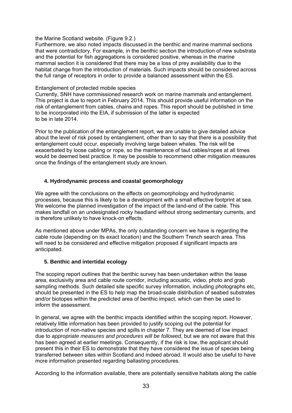the Marine Scotland website. (Figure 9.2.)

Furthermore, we also noted impacts discussed in the benthic and marine mammal sections that were contradictory. For example, in the benthic section the introduction of new substrata and the potential for fish aggregations is considered positive, whereas in the marine mammal section it is considered that there may be a loss of prey availability due to the habitat change from the introduction of materials. Such impacts should be considered across the full range of receptors in order to provide a balanced assessment within the ES.

#### Entanglement of protected mobile species

Currently, SNH have commissioned research work on marine mammals and entanglement. This project is due to report in February 2014. This should provide useful information on the risk of entanglement from cables, chains and ropes. This report should be published in time to be incorporated into the EIA, if submission of the latter is expected to be in late 2014.

Prior to the publication of the entanglement report, we are unable to give detailed advice about the level of risk posed by entanglement, other than to say that there is a possibility that entanglement could occur, especially involving large baleen whales. The risk will be exacerbated by loose cabling or rope, so the maintenance of taut cables/ropes at all times would be deemed best practice. It may be possible to recommend other mitigation measures once the findings of the entanglement study are known.

## **4. Hydrodynamic process and coastal geomorphology**

We agree with the conclusions on the effects on geomorphology and hydrodynamic processes, because this is likely to be a development with a small effective footprint at sea. We welcome the planned investigation of the impact of the land-end of the cable. This makes landfall on an undesignated rocky headland without strong sedimentary currents, and is therefore unlikely to have knock-on effects.

As mentioned above under MPAs, the only outstanding concern we have is regarding the cable route (depending on its exact location) and the Southern Trench search area. This will need to be considered and effective mitigation proposed if significant impacts are anticipated.

## **5. Benthic and intertidal ecology**

The scoping report outlines that the benthic survey has been undertaken within the lease area, exclusivity area and cable route corridor, including acoustic, video, photo and grab sampling methods. Such detailed site specific survey information, including photographs etc, should be presented in the ES to help map the broad-scale distribution of seabed substrates and/or biotopes within the predicted area of benthic impact, which can then be used to inform the assessment.

In general, we agree with the benthic impacts identified within the scoping report. However, relatively little information has been provided to justify scoping out the potential for introduction of non-native species and spills in chapter 7. They are deemed of low impact due to *appropriate measures and procedures will be followed*, but we are not aware that this has been agreed at earlier meetings. Consequently, if the risk is low, the applicant should present this in their ES to demonstrate that they have considered the issue of species being transferred between sites within Scotland and indeed abroad. It would also be useful to have more information presented regarding ballasting procedures.

According to the information available, there are potentially sensitive habitats along the cable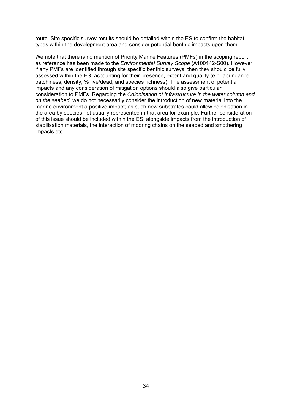route. Site specific survey results should be detailed within the ES to confirm the habitat types within the development area and consider potential benthic impacts upon them.

We note that there is no mention of Priority Marine Features (PMFs) in the scoping report as reference has been made to the *Environmental Survey Scope* (A100142-S00). However, if any PMFs are identified through site specific benthic surveys, then they should be fully assessed within the ES, accounting for their presence, extent and quality (e.g. abundance, patchiness, density, % live/dead, and species richness). The assessment of potential impacts and any consideration of mitigation options should also give particular consideration to PMFs. Regarding the *Colonisation of infrastructure in the water column and on the seabed*, we do not necessarily consider the introduction of new material into the marine environment a positive impact; as such new substrates could allow colonisation in the area by species not usually represented in that area for example. Further consideration of this issue should be included within the ES, alongside impacts from the introduction of stabilisation materials, the interaction of mooring chains on the seabed and smothering impacts etc.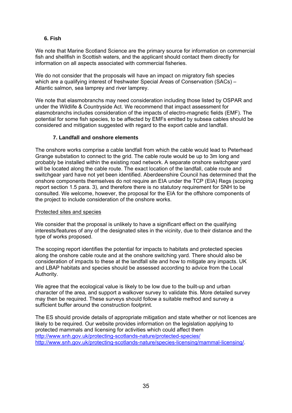## **6. Fish**

We note that Marine Scotland Science are the primary source for information on commercial fish and shellfish in Scottish waters, and the applicant should contact them directly for information on all aspects associated with commercial fisheries.

We do not consider that the proposals will have an impact on migratory fish species which are a qualifying interest of freshwater Special Areas of Conservation (SACs) – Atlantic salmon, sea lamprey and river lamprey.

We note that elasmobranchs may need consideration including those listed by OSPAR and under the Wildlife & Countryside Act. We recommend that impact assessment for elasmobranchs includes consideration of the impacts of electro-magnetic fields (EMF). The potential for some fish species, to be affected by EMFs emitted by subsea cables should be considered and mitigation suggested with regard to the export cable and landfall.

## **7. Landfall and onshore elements**

The onshore works comprise a cable landfall from which the cable would lead to Peterhead Grange substation to connect to the grid. The cable route would be up to 3m long and probably be installed within the existing road network. A separate onshore switchgear yard will be located along the cable route. The exact location of the landfall, cable route and switchgear yard have not yet been identified. Aberdeenshire Council has determined that the onshore components themselves do not require an EIA under the TCP (EIA) Regs (scoping report section 1.5 para. 3), and therefore there is no statutory requirement for SNH to be consulted. We welcome, however, the proposal for the EIA for the offshore components of the project to include consideration of the onshore works.

## Protected sites and species

We consider that the proposal is unlikely to have a significant effect on the qualifying interests/features of any of the designated sites in the vicinity, due to their distance and the type of works proposed.

The scoping report identifies the potential for impacts to habitats and protected species along the onshore cable route and at the onshore switching yard. There should also be consideration of impacts to these at the landfall site and how to mitigate any impacts. UK and LBAP habitats and species should be assessed according to advice from the Local Authority.

We agree that the ecological value is likely to be low due to the built-up and urban character of the area, and support a walkover survey to validate this. More detailed survey may then be required. These surveys should follow a suitable method and survey a sufficient buffer around the construction footprint.

The ES should provide details of appropriate mitigation and state whether or not licences are likely to be required. Our website provides information on the legislation applying to protected mammals and licensing for activities which could affect them http://www.snh.gov.uk/protecting-scotlands-nature/protected-species/ http://www.snh.gov.uk/protecting-scotlands-nature/species-licensing/mammal-licensing/.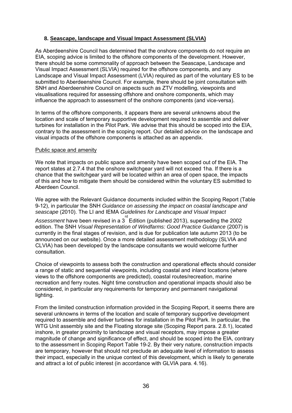## **8. Seascape, landscape and Visual Impact Assessment (SLVIA)**

As Aberdeenshire Council has determined that the onshore components do not require an EIA, scoping advice is limited to the offshore components of the development. However, there should be some commonality of approach between the Seascape, Landscape and Visual Impact Assessment (SLVIA) required for the offshore components, and any Landscape and Visual Impact Assessment (LVIA) required as part of the voluntary ES to be submitted to Aberdeenshire Council. For example, there should be joint consultation with SNH and Aberdeenshire Council on aspects such as ZTV modelling, viewpoints and visualisations required for assessing offshore and onshore components, which may influence the approach to assessment of the onshore components (and vice-versa).

In terms of the offshore components, it appears there are several unknowns about the location and scale of temporary supportive development required to assemble and deliver turbines for installation in the Pilot Park. We advise that this should be scoped into the EIA, contrary to the assessment in the scoping report. Our detailed advice on the landscape and visual impacts of the offshore components is attached as an appendix.

#### Public space and amenity

We note that impacts on public space and amenity have been scoped out of the EIA. The report states at 2.7.4 that the onshore switchgear yard will not exceed 1ha. If there is a chance that the switchgear yard will be located within an area of open space, the impacts of this and how to mitigate them should be considered within the voluntary ES submitted to Aberdeen Council.

We agree with the Relevant Guidance documents included within the Scoping Report (Table 9-12), in particular the SNH *Guidance on assessing the impact on coastal landscape and seascape* (2010). The LI and IEMA *Guidelines for Landscape and Visual Impact* 

Assessment have been revised in a 3<sup>rd</sup> Edition (published 2013), superseding the 2002 edition. The SNH *Visual Representation of Windfarms: Good Practice Guidance* (2007) is currently in the final stages of revision, and is due for publication late autumn 2013 (to be announced on our website). Once a more detailed assessment methodology (SLVIA and CLVIA) has been developed by the landscape consultants we would welcome further consultation.

Choice of viewpoints to assess both the construction and operational effects should consider a range of static and sequential viewpoints, including coastal and inland locations (where views to the offshore components are predicted), coastal routes/recreation, marine recreation and ferry routes. Night time construction and operational impacts should also be considered, in particular any requirements for temporary and permanent navigational lighting.

From the limited construction information provided in the Scoping Report, it seems there are several unknowns in terms of the location and scale of temporary supportive development required to assemble and deliver turbines for installation in the Pilot Park. In particular, the WTG Unit assembly site and the Floating storage site (Scoping Report para. 2.8.1), located inshore, in greater proximity to landscape and visual receptors, may impose a greater magnitude of change and significance of effect, and should be scoped into the EIA, contrary to the assessment in Scoping Report Table 19-2. By their very nature, construction impacts are temporary, however that should not preclude an adequate level of information to assess their impact, especially in the unique context of this development, which is likely to generate and attract a lot of public interest (in accordance with GLVIA para. 4.16).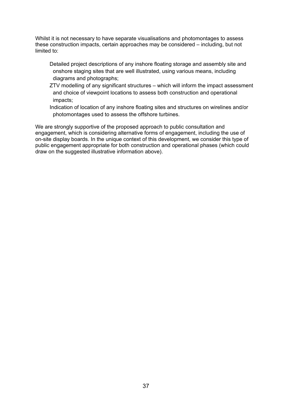Whilst it is not necessary to have separate visualisations and photomontages to assess these construction impacts, certain approaches may be considered – including, but not limited to:

 Detailed project descriptions of any inshore floating storage and assembly site and onshore staging sites that are well illustrated, using various means, including diagrams and photographs;

 ZTV modelling of any significant structures – which will inform the impact assessment and choice of viewpoint locations to assess both construction and operational impacts;

 Indication of location of any inshore floating sites and structures on wirelines and/or photomontages used to assess the offshore turbines.

We are strongly supportive of the proposed approach to public consultation and engagement, which is considering alternative forms of engagement, including the use of on-site display boards. In the unique context of this development, we consider this type of public engagement appropriate for both construction and operational phases (which could draw on the suggested illustrative information above).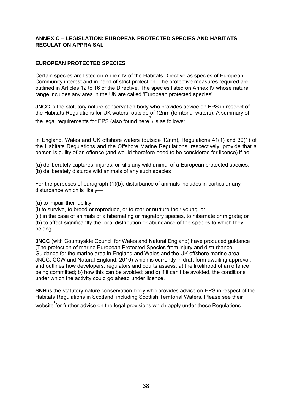### **ANNEX C – LEGISLATION: EUROPEAN PROTECTED SPECIES AND HABITATS REGULATION APPRAISAL**

# **EUROPEAN PROTECTED SPECIES**

Certain species are listed on Annex IV of the Habitats Directive as species of European Community interest and in need of strict protection. The protective measures required are outlined in Articles 12 to 16 of the Directive. The species listed on Annex IV whose natural range includes any area in the UK are called 'European protected species'.

**JNCC** is the statutory nature conservation body who provides advice on EPS in respect of the Habitats Regulations for UK waters, outside of 12nm (territorial waters). A summary of the legal requirements for EPS (also found here 1 ) is as follows:

In England, Wales and UK offshore waters (outside 12nm), Regulations 41(1) and 39(1) of the Habitats Regulations and the Offshore Marine Regulations, respectively, provide that a person is guilty of an offence (and would therefore need to be considered for licence) if he:

(a) deliberately captures, injures, or kills any wild animal of a European protected species; (b) deliberately disturbs wild animals of any such species

For the purposes of paragraph (1)(b), disturbance of animals includes in particular any disturbance which is likely—

(a) to impair their ability—

(i) to survive, to breed or reproduce, or to rear or nurture their young; or

(ii) in the case of animals of a hibernating or migratory species, to hibernate or migrate; or (b) to affect significantly the local distribution or abundance of the species to which they belong.

**JNCC** (with Countryside Council for Wales and Natural England) have produced guidance (The protection of marine European Protected Species from injury and disturbance: Guidance for the marine area in England and Wales and the UK offshore marine area, JNCC, CCW and Natural England, 2010) which is currently in draft form awaiting approval, and outlines how developers, regulators and courts assess: a) the likelihood of an offence being committed; b) how this can be avoided; and c) if it can't be avoided, the conditions under which the activity could go ahead under licence.

**SNH** is the statutory nature conservation body who provides advice on EPS in respect of the Habitats Regulations in Scotland, including Scottish Territorial Waters. Please see their website for further advice on the legal provisions which apply under these Regulations.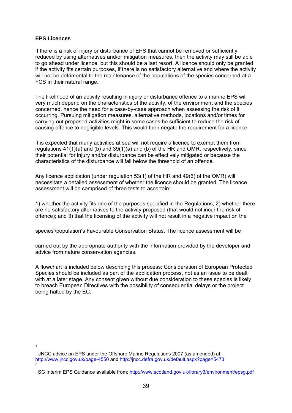### **EPS Licences**

If there is a risk of injury or disturbance of EPS that cannot be removed or sufficiently reduced by using alternatives and/or mitigation measures, then the activity may still be able to go ahead under licence, but this should be a last resort. A licence should only be granted if the activity fits certain purposes, if there is no satisfactory alternative and where the activity will not be detrimental to the maintenance of the populations of the species concerned at a FCS in their natural range.

The likelihood of an activity resulting in injury or disturbance offence to a marine EPS will very much depend on the characteristics of the activity, of the environment and the species concerned, hence the need for a case-by-case approach when assessing the risk of it occurring. Pursuing mitigation measures, alternative methods, locations and/or times for carrying out proposed activities might in some cases be sufficient to reduce the risk of causing offence to negligible levels. This would then negate the requirement for a licence.

It is expected that many activities at sea will not require a licence to exempt them from regulations 41(1)(a) and (b) and 39(1)(a) and (b) of the HR and OMR, respectively, since their potential for injury and/or disturbance can be effectively mitigated or because the characteristics of the disturbance will fall below the threshold of an offence.

Any licence application (under regulation 53(1) of the HR and 49(6) of the OMR) will necessitate a detailed assessment of whether the licence should be granted. The licence assessment will be comprised of three tests to ascertain:

1) whether the activity fits one of the purposes specified in the Regulations; 2) whether there are no satisfactory alternatives to the activity proposed (that would not incur the risk of offence); and 3) that the licensing of the activity will not result in a negative impact on the

species'/population's Favourable Conservation Status. The licence assessment will be

carried out by the appropriate authority with the information provided by the developer and advice from nature conservation agencies.

A flowchart is included below describing this process: Consideration of European Protected Species should be included as part of the application process, not as an issue to be dealt with at a later stage. Any consent given without due consideration to these species is likely to breach European Directives with the possibility of consequential delays or the project being halted by the EC.

1

JNCC advice on EPS under the Offshore Marine Regulations 2007 (as amended) at: http://www.jncc.gov.uk/page-4550 and http://jncc.defra.gov.uk/default.aspx?page=5473 2

SG Interim EPS Guidance available from: http://www.scotland.gov.uk/library3/environment/epsg.pdf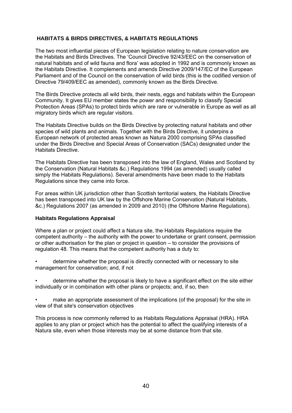# **HABITATS & BIRDS DIRECTIVES, & HABITATS REGULATIONS**

The two most influential pieces of European legislation relating to nature conservation are the Habitats and Birds Directives. The 'Council Directive 92/43/EEC on the conservation of natural habitats and of wild fauna and flora' was adopted in 1992 and is commonly known as the Habitats Directive. It complements and amends Directive 2009/147/EC of the European Parliament and of the Council on the conservation of wild birds (this is the codified version of Directive 79/409/EEC as amended), commonly known as the Birds Directive.

The Birds Directive protects all wild birds, their nests, eggs and habitats within the European Community. It gives EU member states the power and responsibility to classify Special Protection Areas (SPAs) to protect birds which are rare or vulnerable in Europe as well as all migratory birds which are regular visitors.

The Habitats Directive builds on the Birds Directive by protecting natural habitats and other species of wild plants and animals. Together with the Birds Directive, it underpins a European network of protected areas known as Natura 2000 comprising SPAs classified under the Birds Directive and Special Areas of Conservation (SACs) designated under the Habitats Directive.

The Habitats Directive has been transposed into the law of England, Wales and Scotland by the Conservation (Natural Habitats &c.) Regulations 1994 (as amended) usually called simply the Habitats Regulations). Several amendments have been made to the Habitats Regulations since they came into force.

For areas within UK jurisdiction other than Scottish territorial waters, the Habitats Directive has been transposed into UK law by the Offshore Marine Conservation (Natural Habitats, &c.) Regulations 2007 (as amended in 2009 and 2010) (the Offshore Marine Regulations).

## **Habitats Regulations Appraisal**

Where a plan or project could affect a Natura site, the Habitats Regulations require the competent authority – the authority with the power to undertake or grant consent, permission or other authorisation for the plan or project in question – to consider the provisions of regulation 48. This means that the competent authority has a duty to:

• determine whether the proposal is directly connected with or necessary to site management for conservation; and, if not

• determine whether the proposal is likely to have a significant effect on the site either individually or in combination with other plans or projects; and, if so, then

• make an appropriate assessment of the implications (of the proposal) for the site in view of that site's conservation objectives

This process is now commonly referred to as Habitats Regulations Appraisal (HRA). HRA applies to any plan or project which has the potential to affect the qualifying interests of a Natura site, even when those interests may be at some distance from that site.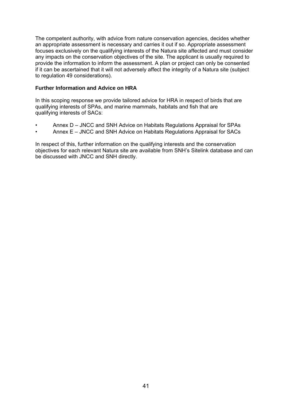The competent authority, with advice from nature conservation agencies, decides whether an appropriate assessment is necessary and carries it out if so. Appropriate assessment focuses exclusively on the qualifying interests of the Natura site affected and must consider any impacts on the conservation objectives of the site. The applicant is usually required to provide the information to inform the assessment. A plan or project can only be consented if it can be ascertained that it will not adversely affect the integrity of a Natura site (subject to regulation 49 considerations).

## **Further Information and Advice on HRA**

In this scoping response we provide tailored advice for HRA in respect of birds that are qualifying interests of SPAs, and marine mammals, habitats and fish that are qualifying interests of SACs:

- Annex D JNCC and SNH Advice on Habitats Regulations Appraisal for SPAs
- Annex E JNCC and SNH Advice on Habitats Regulations Appraisal for SACs

In respect of this, further information on the qualifying interests and the conservation objectives for each relevant Natura site are available from SNH's Sitelink database and can be discussed with JNCC and SNH directly.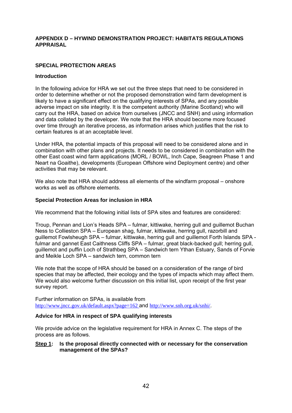### **APPENDIX D – HYWIND DEMONSTRATION PROJECT: HABITATS REGULATIONS APPRAISAL**

## **SPECIAL PROTECTION AREAS**

### **Introduction**

In the following advice for HRA we set out the three steps that need to be considered in order to determine whether or not the proposed demonstration wind farm development is likely to have a significant effect on the qualifying interests of SPAs, and any possible adverse impact on site integrity. It is the competent authority (Marine Scotland) who will carry out the HRA, based on advice from ourselves (JNCC and SNH) and using information and data collated by the developer. We note that the HRA should become more focused over time through an iterative process, as information arises which justifies that the risk to certain features is at an acceptable level.

Under HRA, the potential impacts of this proposal will need to be considered alone and in combination with other plans and projects. It needs to be considered in combination with the other East coast wind farm applications (MORL / BOWL, Inch Cape, Seagreen Phase 1 and Neart na Goaithe), developments (European Offshore wind Deployment centre) and other activities that may be relevant.

We also note that HRA should address all elements of the windfarm proposal – onshore works as well as offshore elements.

### **Special Protection Areas for inclusion in HRA**

We recommend that the following initial lists of SPA sites and features are considered:

Troup, Pennan and Lion's Heads SPA – fulmar, kittiwake, herring gull and guillemot Buchan Ness to Collieston SPA – European shag, fulmar, kittiwake, herring gull, razorbill and guillemot Fowlsheugh SPA – fulmar, kittiwake, herring gull and guillemot Forth Islands SPA fulmar and gannet East Caithness Cliffs SPA – fulmar, great black-backed gull; herring gull, guillemot and puffin Loch of Strathbeg SPA – Sandwich tern Ythan Estuary, Sands of Forvie and Meikle Loch SPA – sandwich tern, common tern

We note that the scope of HRA should be based on a consideration of the range of bird species that may be affected, their ecology and the types of impacts which may affect them. We would also welcome further discussion on this initial list, upon receipt of the first year survey report.

Further information on SPAs, is available from http://www.jncc.gov.uk/default.aspx?page=162 and http://www.snh.org.uk/snhi/.

## **Advice for HRA in respect of SPA qualifying interests**

We provide advice on the legislative requirement for HRA in Annex C. The steps of the process are as follows.

### **Step 1: Is the proposal directly connected with or necessary for the conservation management of the SPAs?**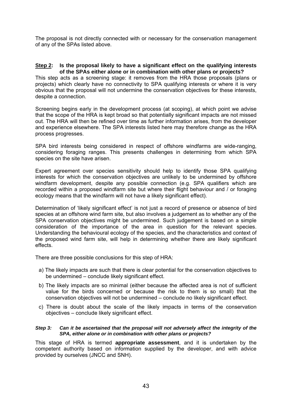The proposal is not directly connected with or necessary for the conservation management of any of the SPAs listed above.

### **Step 2: Is the proposal likely to have a significant effect on the qualifying interests of the SPAs either alone or in combination with other plans or projects?**

This step acts as a screening stage: it removes from the HRA those proposals (plans or projects) which clearly have no connectivity to SPA qualifying interests or where it is very obvious that the proposal will not undermine the conservation objectives for these interests, despite a connection.

Screening begins early in the development process (at scoping), at which point we advise that the scope of the HRA is kept broad so that potentially significant impacts are not missed out. The HRA will then be refined over time as further information arises, from the developer and experience elsewhere. The SPA interests listed here may therefore change as the HRA process progresses.

SPA bird interests being considered in respect of offshore windfarms are wide-ranging, considering foraging ranges. This presents challenges in determining from which SPA species on the site have arisen.

Expert agreement over species sensitivity should help to identify those SPA qualifying interests for which the conservation objectives are unlikely to be undermined by offshore windfarm development, despite any possible connection (e.g. SPA qualifiers which are recorded within a proposed windfarm site but where their flight behaviour and / or foraging ecology means that the windfarm will not have a likely significant effect).

Determination of 'likely significant effect' is not just a record of presence or absence of bird species at an offshore wind farm site, but also involves a judgement as to whether any of the SPA conservation objectives might be undermined. Such judgement is based on a simple consideration of the importance of the area in question for the relevant species. Understanding the behavioural ecology of the species, and the characteristics and context of the proposed wind farm site, will help in determining whether there are likely significant effects.

There are three possible conclusions for this step of HRA:

- a) The likely impacts are such that there is clear potential for the conservation objectives to be undermined – conclude likely significant effect.
- b) The likely impacts are so minimal (either because the affected area is not of sufficient value for the birds concerned or because the risk to them is so small) that the conservation objectives will not be undermined – conclude no likely significant effect.
- c) There is doubt about the scale of the likely impacts in terms of the conservation objectives – conclude likely significant effect.

### *Step 3: Can it be ascertained that the proposal will not adversely affect the integrity of the SPA, either alone or in combination with other plans or projects?*

This stage of HRA is termed **appropriate assessment**, and it is undertaken by the competent authority based on information supplied by the developer, and with advice provided by ourselves (JNCC and SNH).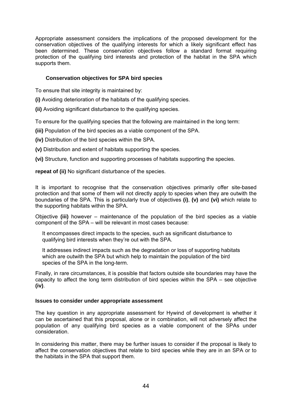Appropriate assessment considers the implications of the proposed development for the conservation objectives of the qualifying interests for which a likely significant effect has been determined. These conservation objectives follow a standard format requiring protection of the qualifying bird interests and protection of the habitat in the SPA which supports them.

# **Conservation objectives for SPA bird species**

To ensure that site integrity is maintained by:

**(i)** Avoiding deterioration of the habitats of the qualifying species.

**(ii)** Avoiding significant disturbance to the qualifying species.

To ensure for the qualifying species that the following are maintained in the long term:

**(iii)** Population of the bird species as a viable component of the SPA.

**(iv)** Distribution of the bird species within the SPA.

**(v)** Distribution and extent of habitats supporting the species.

**(vi)** Structure, function and supporting processes of habitats supporting the species.

**repeat of (ii)** No significant disturbance of the species.

It is important to recognise that the conservation objectives primarily offer site-based protection and that some of them will not directly apply to species when they are outwith the boundaries of the SPA. This is particularly true of objectives **(i)**, **(v)** and **(vi)** which relate to the supporting habitats within the SPA.

Objective **(iii)** however – maintenance of the population of the bird species as a viable component of the SPA – will be relevant in most cases because:

It encompasses direct impacts to the species, such as significant disturbance to qualifying bird interests when they're out with the SPA.

It addresses indirect impacts such as the degradation or loss of supporting habitats which are outwith the SPA but which help to maintain the population of the bird species of the SPA in the long-term.

Finally, in rare circumstances, it is possible that factors outside site boundaries may have the capacity to affect the long term distribution of bird species within the SPA – see objective **(iv)**.

## **Issues to consider under appropriate assessment**

The key question in any appropriate assessment for Hywind of development is whether it can be ascertained that this proposal, alone or in combination, will not adversely affect the population of any qualifying bird species as a viable component of the SPAs under consideration.

In considering this matter, there may be further issues to consider if the proposal is likely to affect the conservation objectives that relate to bird species while they are in an SPA or to the habitats in the SPA that support them.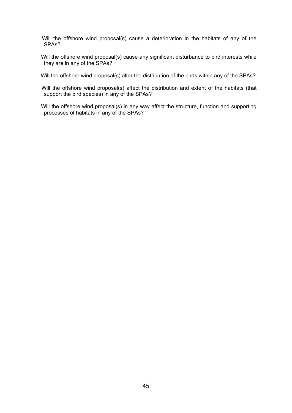Will the offshore wind proposal(s) cause a deterioration in the habitats of any of the SPAs?

Will the offshore wind proposal(s) cause any significant disturbance to bird interests while they are in any of the SPAs?

Will the offshore wind proposal(s) alter the distribution of the birds within any of the SPAs?

- Will the offshore wind proposal(s) affect the distribution and extent of the habitats (that support the bird species) in any of the SPAs?
- Will the offshore wind proposal(s) in any way affect the structure, function and supporting processes of habitats in any of the SPAs?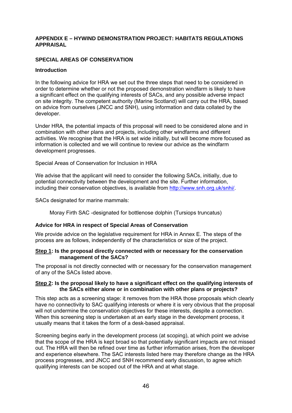### **APPENDIX E – HYWIND DEMONSTRATION PROJECT: HABITATS REGULATIONS APPRAISAL**

## **SPECIAL AREAS OF CONSERVATION**

### **Introduction**

In the following advice for HRA we set out the three steps that need to be considered in order to determine whether or not the proposed demonstration windfarm is likely to have a significant effect on the qualifying interests of SACs, and any possible adverse impact on site integrity. The competent authority (Marine Scotland) will carry out the HRA, based on advice from ourselves (JNCC and SNH), using information and data collated by the developer.

Under HRA, the potential impacts of this proposal will need to be considered alone and in combination with other plans and projects, including other windfarms and different activities. We recognise that the HRA is set wide initially, but will become more focused as information is collected and we will continue to review our advice as the windfarm development progresses.

Special Areas of Conservation for Inclusion in HRA

We advise that the applicant will need to consider the following SACs, initially, due to potential connectivity between the development and the site. Further information, including their conservation objectives, is available from http://www.snh.org.uk/snhi/.

SACs designated for marine mammals:

Moray Firth SAC -designated for bottlenose dolphin (Tursiops truncatus)

## **Advice for HRA in respect of Special Areas of Conservation**

We provide advice on the legislative requirement for HRA in Annex E. The steps of the process are as follows, independently of the characteristics or size of the project.

### **Step 1: Is the proposal directly connected with or necessary for the conservation management of the SACs?**

The proposal is not directly connected with or necessary for the conservation management of any of the SACs listed above.

### **Step 2: Is the proposal likely to have a significant effect on the qualifying interests of the SACs either alone or in combination with other plans or projects?**

This step acts as a screening stage: it removes from the HRA those proposals which clearly have no connectivity to SAC qualifying interests or where it is very obvious that the proposal will not undermine the conservation objectives for these interests, despite a connection. When this screening step is undertaken at an early stage in the development process, it usually means that it takes the form of a desk-based appraisal.

Screening begins early in the development process (at scoping), at which point we advise that the scope of the HRA is kept broad so that potentially significant impacts are not missed out. The HRA will then be refined over time as further information arises, from the developer and experience elsewhere. The SAC interests listed here may therefore change as the HRA process progresses, and JNCC and SNH recommend early discussion, to agree which qualifying interests can be scoped out of the HRA and at what stage.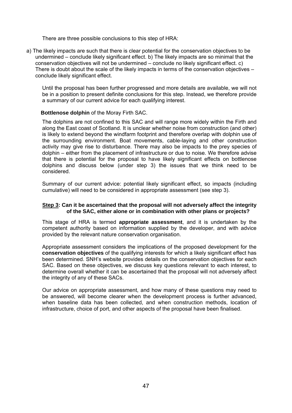There are three possible conclusions to this step of HRA:

a) The likely impacts are such that there is clear potential for the conservation objectives to be undermined – conclude likely significant effect. b) The likely impacts are so minimal that the conservation objectives will not be undermined – conclude no likely significant effect. c) There is doubt about the scale of the likely impacts in terms of the conservation objectives – conclude likely significant effect.

Until the proposal has been further progressed and more details are available, we will not be in a position to present definite conclusions for this step. Instead, we therefore provide a summary of our current advice for each qualifying interest.

## **Bottlenose dolphin** of the Moray Firth SAC.

The dolphins are not confined to this SAC and will range more widely within the Firth and along the East coast of Scotland. It is unclear whether noise from construction (and other) is likely to extend beyond the windfarm footprint and therefore overlap with dolphin use of the surrounding environment. Boat movements, cable-laying and other construction activity may give rise to disturbance. There may also be impacts to the prey species of dolphin – either from the placement of infrastructure or due to noise. We therefore advise that there is potential for the proposal to have likely significant effects on bottlenose dolphins and discuss below (under step 3) the issues that we think need to be considered.

Summary of our current advice: potential likely significant effect, so impacts (including cumulative) will need to be considered in appropriate assessment (see step 3).

### **Step 3: Can it be ascertained that the proposal will not adversely affect the integrity of the SAC, either alone or in combination with other plans or projects?**

This stage of HRA is termed **appropriate assessment**, and it is undertaken by the competent authority based on information supplied by the developer, and with advice provided by the relevant nature conservation organisation.

Appropriate assessment considers the implications of the proposed development for the **conservation objectives** of the qualifying interests for which a likely significant effect has been determined. SNH's website provides details on the conservation objectives for each SAC. Based on these objectives, we discuss key questions relevant to each interest, to determine overall whether it can be ascertained that the proposal will not adversely affect the integrity of any of these SACs.

Our advice on appropriate assessment, and how many of these questions may need to be answered, will become clearer when the development process is further advanced, when baseline data has been collected, and when construction methods, location of infrastructure, choice of port, and other aspects of the proposal have been finalised.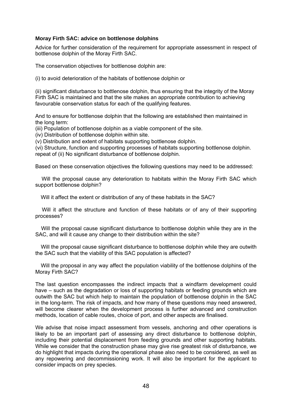### **Moray Firth SAC: advice on bottlenose dolphins**

Advice for further consideration of the requirement for appropriate assessment in respect of bottlenose dolphin of the Moray Firth SAC.

The conservation objectives for bottlenose dolphin are:

(i) to avoid deterioration of the habitats of bottlenose dolphin or

(ii) significant disturbance to bottlenose dolphin, thus ensuring that the integrity of the Moray Firth SAC is maintained and that the site makes an appropriate contribution to achieving favourable conservation status for each of the qualifying features.

And to ensure for bottlenose dolphin that the following are established then maintained in the long term:

(iii) Population of bottlenose dolphin as a viable component of the site.

(iv) Distribution of bottlenose dolphin within site.

(v) Distribution and extent of habitats supporting bottlenose dolphin.

(vi) Structure, function and supporting processes of habitats supporting bottlenose dolphin. repeat of (ii) No significant disturbance of bottlenose dolphin.

Based on these conservation objectives the following questions may need to be addressed:

 Will the proposal cause any deterioration to habitats within the Moray Firth SAC which support bottlenose dolphin?

Will it affect the extent or distribution of any of these habitats in the SAC?

Will it affect the structure and function of these habitats or of any of their supporting processes?

Will the proposal cause significant disturbance to bottlenose dolphin while they are in the SAC, and will it cause any change to their distribution within the site?

 Will the proposal cause significant disturbance to bottlenose dolphin while they are outwith the SAC such that the viability of this SAC population is affected?

 Will the proposal in any way affect the population viability of the bottlenose dolphins of the Moray Firth SAC?

The last question encompasses the indirect impacts that a windfarm development could have – such as the degradation or loss of supporting habitats or feeding grounds which are outwith the SAC but which help to maintain the population of bottlenose dolphin in the SAC in the long-term. The risk of impacts, and how many of these questions may need answered, will become clearer when the development process is further advanced and construction methods, location of cable routes, choice of port, and other aspects are finalised.

We advise that noise impact assessment from vessels, anchoring and other operations is likely to be an important part of assessing any direct disturbance to bottlenose dolphin, including their potential displacement from feeding grounds and other supporting habitats. While we consider that the construction phase may give rise greatest risk of disturbance, we do highlight that impacts during the operational phase also need to be considered, as well as any repowering and decommissioning work. It will also be important for the applicant to consider impacts on prey species.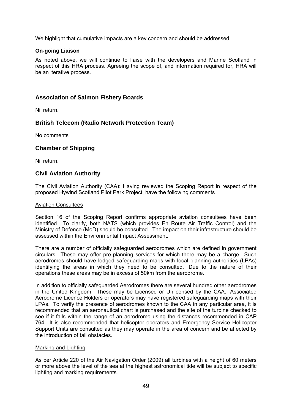We highlight that cumulative impacts are a key concern and should be addressed.

# **On-going Liaison**

As noted above, we will continue to liaise with the developers and Marine Scotland in respect of this HRA process. Agreeing the scope of, and information required for, HRA will be an iterative process.

# **Association of Salmon Fishery Boards**

Nil return.

# **British Telecom (Radio Network Protection Team)**

No comments

# **Chamber of Shipping**

Nil return.

# **Civil Aviation Authority**

The Civil Aviation Authority (CAA): Having reviewed the Scoping Report in respect of the proposed Hywind Scotland Pilot Park Project, have the following comments

## Aviation Consultees

Section 16 of the Scoping Report confirms appropriate aviation consultees have been identified. To clarify, both NATS (which provides En Route Air Traffic Control) and the Ministry of Defence (MoD) should be consulted. The impact on their infrastructure should be assessed within the Environmental Impact Assessment.

There are a number of officially safeguarded aerodromes which are defined in government circulars. These may offer pre-planning services for which there may be a charge. Such aerodromes should have lodged safeguarding maps with local planning authorities (LPAs) identifying the areas in which they need to be consulted. Due to the nature of their operations these areas may be in excess of 50km from the aerodrome.

In addition to officially safeguarded Aerodromes there are several hundred other aerodromes in the United Kingdom. These may be Licensed or Unlicensed by the CAA. Associated Aerodrome Licence Holders or operators may have registered safeguarding maps with their LPAs. To verify the presence of aerodromes known to the CAA in any particular area, it is recommended that an aeronautical chart is purchased and the site of the turbine checked to see if it falls within the range of an aerodrome using the distances recommended in CAP 764. It is also recommended that helicopter operators and Emergency Service Helicopter Support Units are consulted as they may operate in the area of concern and be affected by the introduction of tall obstacles.

## Marking and Lighting

As per Article 220 of the Air Navigation Order (2009) all turbines with a height of 60 meters or more above the level of the sea at the highest astronomical tide will be subject to specific lighting and marking requirements.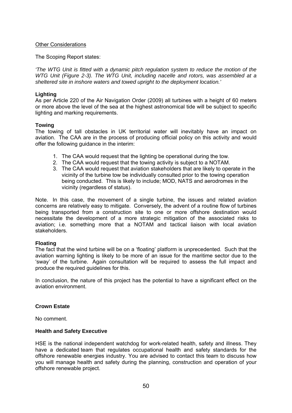## **Other Considerations**

The Scoping Report states:

*'The WTG Unit is fitted with a dynamic pitch regulation system to reduce the motion of the WTG Unit (Figure 2-3). The WTG Unit, including nacelle and rotors, was assembled at a sheltered site in inshore waters and towed upright to the deployment location.'* 

### **Lighting**

As per Article 220 of the Air Navigation Order (2009) all turbines with a height of 60 meters or more above the level of the sea at the highest astronomical tide will be subject to specific lighting and marking requirements.

## **Towing**

The towing of tall obstacles in UK territorial water will inevitably have an impact on aviation. The CAA are in the process of producing official policy on this activity and would offer the following guidance in the interim:

- 1. The CAA would request that the lighting be operational during the tow.
- 2. The CAA would request that the towing activity is subject to a NOTAM.
- 3. The CAA would request that aviation stakeholders that are likely to operate in the vicinity of the turbine tow be individually consulted prior to the towing operation being conducted. This is likely to include; MOD, NATS and aerodromes in the vicinity (regardless of status).

Note. In this case, the movement of a single turbine, the issues and related aviation concerns are relatively easy to mitigate. Conversely, the advent of a routine flow of turbines being transported from a construction site to one or more offshore destination would necessitate the development of a more strategic mitigation of the associated risks to aviation; i.e. something more that a NOTAM and tactical liaison with local aviation stakeholders.

### **Floating**

The fact that the wind turbine will be on a 'floating' platform is unprecedented. Such that the aviation warning lighting is likely to be more of an issue for the maritime sector due to the 'sway' of the turbine. Again consultation will be required to assess the full impact and produce the required guidelines for this.

In conclusion, the nature of this project has the potential to have a significant effect on the aviation environment.

## **Crown Estate**

No comment.

### **Health and Safety Executive**

HSE is the national independent watchdog for work-related health, safety and illness. They have a dedicated team that regulates occupational health and safety standards for the offshore renewable energies industry. You are advised to contact this team to discuss how you will manage health and safety during the planning, construction and operation of your offshore renewable project.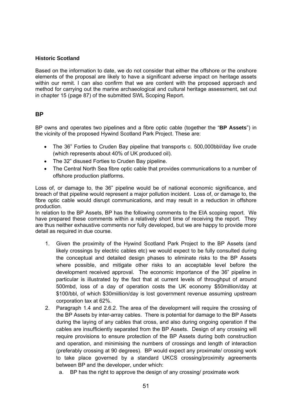# **Historic Scotland**

Based on the information to date, we do not consider that either the offshore or the onshore elements of the proposal are likely to have a significant adverse impact on heritage assets within our remit. I can also confirm that we are content with the proposed approach and method for carrying out the marine archaeological and cultural heritage assessment, set out in chapter 15 (page 87) of the submitted SWL Scoping Report.

# **BP**

BP owns and operates two pipelines and a fibre optic cable (together the "**BP Assets**") in the vicinity of the proposed Hywind Scotland Park Project. These are:

- The 36" Forties to Cruden Bay pipeline that transports c. 500,000bbl/day live crude (which represents about 40% of UK produced oil).
- The 32" disused Forties to Cruden Bay pipeline.
- The Central North Sea fibre optic cable that provides communications to a number of offshore production platforms.

Loss of, or damage to, the 36" pipeline would be of national economic significance, and breach of that pipeline would represent a major pollution incident. Loss of, or damage to, the fibre optic cable would disrupt communications, and may result in a reduction in offshore production.

In relation to the BP Assets. BP has the following comments to the EIA scoping report. We have prepared these comments within a relatively short time of receiving the report. They are thus neither exhaustive comments nor fully developed, but we are happy to provide more detail as required in due course.

- 1. Given the proximity of the Hywind Scotland Park Project to the BP Assets (and likely crossings by electric cables etc) we would expect to be fully consulted during the conceptual and detailed design phases to eliminate risks to the BP Assets where possible, and mitigate other risks to an acceptable level before the development received approval. The economic importance of the 36" pipeline in particular is illustrated by the fact that at current levels of throughput of around 500mbd, loss of a day of operation costs the UK economy \$50million/day at \$100/bbl, of which \$30miillion/day is lost government revenue assuming upstream corporation tax at 62%.
- 2. Paragraph 1.4 and 2.6.2. The area of the development will require the crossing of the BP Assets by inter-array cables. There is potential for damage to the BP Assets during the laying of any cables that cross, and also during ongoing operation if the cables are insufficiently separated from the BP Assets. Design of any crossing will require provisions to ensure protection of the BP Assets during both construction and operation, and minimising the numbers of crossings and length of interaction (preferably crossing at 90 degrees). BP would expect any proximate/ crossing work to take place governed by a standard UKCS crossing/proximity agreements between BP and the developer, under which:
	- a. BP has the right to approve the design of any crossing/ proximate work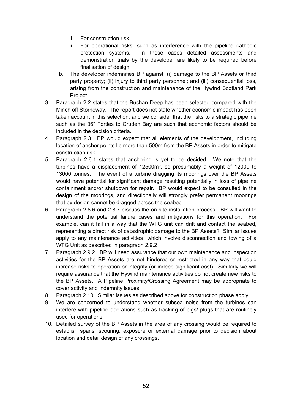- i. For construction risk
- ii. For operational risks, such as interference with the pipeline cathodic protection systems. In these cases detailed assessments and demonstration trials by the developer are likely to be required before finalisation of design.
- b. The developer indemnifies BP against; (i) damage to the BP Assets or third party property; (ii) injury to third party personnel; and (iii) consequential loss, arising from the construction and maintenance of the Hywind Scotland Park Project.
- 3. Paragraph 2.2 states that the Buchan Deep has been selected compared with the Minch off Stornoway. The report does not state whether economic impact has been taken account in this selection, and we consider that the risks to a strategic pipeline such as the 36" Forties to Cruden Bay are such that economic factors should be included in the decision criteria.
- 4. Paragraph 2.3. BP would expect that all elements of the development, including location of anchor points lie more than 500m from the BP Assets in order to mitigate construction risk.
- 5. Paragraph 2.6.1 states that anchoring is yet to be decided. We note that the turbines have a displacement of 12500 $m^3$ , so presumably a weight of 12000 to 13000 tonnes. The event of a turbine dragging its moorings over the BP Assets would have potential for significant damage resulting potentially in loss of pipeline containment and/or shutdown for repair. BP would expect to be consulted in the design of the moorings, and directionally will strongly prefer permanent moorings that by design cannot be dragged across the seabed.
- 6. Paragraph 2.8.6 and 2.8.7 discuss the on-site installation process. BP will want to understand the potential failure cases and mitigations for this operation. For example, can it fail in a way that the WTG unit can drift and contact the seabed, representing a direct risk of catastrophic damage to the BP Assets? Similar issues apply to any maintenance activities which involve disconnection and towing of a WTG Unit as described in paragraph 2.9.2
- 7. Paragraph 2.9.2. BP will need assurance that our own maintenance and inspection activities for the BP Assets are not hindered or restricted in any way that could increase risks to operation or integrity (or indeed significant cost). Similarly we will require assurance that the Hywind maintenance activities do not create new risks to the BP Assets. A Pipeline Proximity/Crossing Agreement may be appropriate to cover activity and indemnity issues.
- 8. Paragraph 2.10. Similar issues as described above for construction phase apply.
- 9. We are concerned to understand whether subsea noise from the turbines can interfere with pipeline operations such as tracking of pigs/ plugs that are routinely used for operations.
- 10. Detailed survey of the BP Assets in the area of any crossing would be required to establish spans, scouring, exposure or external damage prior to decision about location and detail design of any crossings.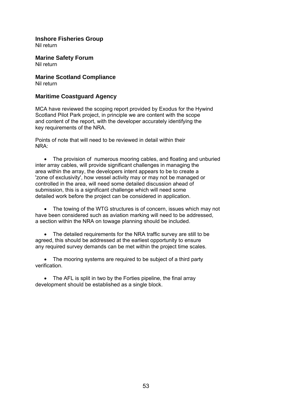# **Inshore Fisheries Group**

Nil return

**Marine Safety Forum**  Nil return

**Marine Scotland Compliance**  Nil return

# **Maritime Coastguard Agency**

MCA have reviewed the scoping report provided by Exodus for the Hywind Scotland Pilot Park project, in principle we are content with the scope and content of the report, with the developer accurately identifying the key requirements of the NRA.

Points of note that will need to be reviewed in detail within their NRA:

• The provision of numerous mooring cables, and floating and unburied inter array cables, will provide significant challenges in managing the area within the array, the developers intent appears to be to create a 'zone of exclusivity', how vessel activity may or may not be managed or controlled in the area, will need some detailed discussion ahead of submission, this is a significant challenge which will need some detailed work before the project can be considered in application.

 The towing of the WTG structures is of concern, issues which may not have been considered such as aviation marking will need to be addressed, a section within the NRA on towage planning should be included.

• The detailed requirements for the NRA traffic survey are still to be agreed, this should be addressed at the earliest opportunity to ensure any required survey demands can be met within the project time scales.

• The mooring systems are required to be subject of a third party verification.

• The AFL is split in two by the Forties pipeline, the final array development should be established as a single block.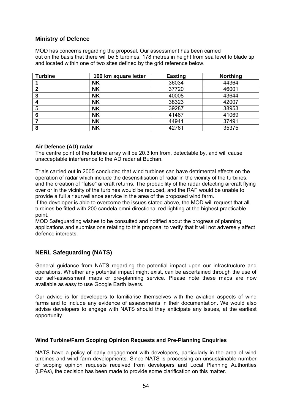# **Ministry of Defence**

MOD has concerns regarding the proposal. Our assessment has been carried out on the basis that there will be 5 turbines, 178 metres in height from sea level to blade tip and located within one of two sites defined by the grid reference below.

| <b>Turbine</b> | 100 km square letter | <b>Easting</b> | <b>Northing</b> |
|----------------|----------------------|----------------|-----------------|
|                | <b>NK</b>            | 36034          | 44364           |
| 2              | <b>NK</b>            | 37720          | 46001           |
| 3              | <b>NK</b>            | 40008          | 43644           |
|                | <b>NK</b>            | 38323          | 42007           |
| 5              | <b>NK</b>            | 39287          | 38953           |
| 6              | <b>NK</b>            | 41467          | 41069           |
|                | <b>NK</b>            | 44941          | 37491           |
| 8              | <b>NK</b>            | 42761          | 35375           |

## **Air Defence (AD) radar**

The centre point of the turbine array will be 20.3 km from, detectable by, and will cause unacceptable interference to the AD radar at Buchan.

Trials carried out in 2005 concluded that wind turbines can have detrimental effects on the operation of radar which include the desensitisation of radar in the vicinity of the turbines, and the creation of "false" aircraft returns. The probability of the radar detecting aircraft flying over or in the vicinity of the turbines would be reduced, and the RAF would be unable to provide a full air surveillance service in the area of the proposed wind farm.

If the developer is able to overcome the issues stated above, the MOD will request that all turbines be fitted with 200 candela omni-directional red lighting at the highest practicable point.

MOD Safeguarding wishes to be consulted and notified about the progress of planning applications and submissions relating to this proposal to verify that it will not adversely affect defence interests.

# **NERL Safeguarding (NATS)**

General guidance from NATS regarding the potential impact upon our infrastructure and operations. Whether any potential impact might exist, can be ascertained through the use of our self-assessment maps or pre-planning service. Please note these maps are now available as easy to use Google Earth layers.

Our advice is for developers to familiarise themselves with the aviation aspects of wind farms and to include any evidence of assessments in their documentation. We would also advise developers to engage with NATS should they anticipate any issues, at the earliest opportunity.

## **Wind Turbine/Farm Scoping Opinion Requests and Pre-Planning Enquiries**

NATS have a policy of early engagement with developers, particularly in the area of wind turbines and wind farm developments. Since NATS is processing an unsustainable number of scoping opinion requests received from developers and Local Planning Authorities (LPAs), the decision has been made to provide some clarification on this matter.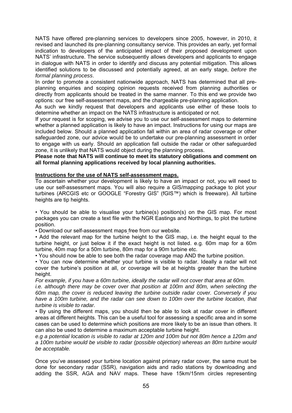NATS have offered pre-planning services to developers since 2005, however, in 2010, it revised and launched its pre-planning consultancy service. This provides an early, yet formal indication to developers of the anticipated impact of their proposed development upon NATS' infrastructure. The service subsequently allows developers and applicants to engage in dialogue with NATS in order to identify and discuss any potential mitigation. This allows identified solutions to be discussed and potentially agreed, at an early stage, *before the formal planning process*.

In order to promote a consistent nationwide approach, NATS has determined that all preplanning enquiries and scoping opinion requests received from planning authorities or directly from applicants should be treated in the same manner. To this end we provide two options: our free self-assessment maps, and the chargeable pre-planning application.

As such we kindly request that developers and applicants use either of these tools to determine whether an impact on the NATS infrastructure is anticipated or not.

If your request is for scoping, we advise you to use our self-assessment maps to determine whether a planned application is likely to have an impact. Instructions for using our maps are included below. Should a planned application fall within an area of radar coverage or other safeguarded zone, our advice would be to undertake our pre-planning assessment in order to engage with us early. Should an application fall outside the radar or other safeguarded zone, it is unlikely that NATS would object during the planning process.

**Please note that NATS will continue to meet its statutory obligations and comment on all formal planning applications received by local planning authorities.** 

## **Instructions for the use of NATS self-assessment maps.**

To ascertain whether your development is likely to have an impact or not, you will need to use our self-assessment maps. You will also require a GIS/mapping package to plot your turbines (ARCGIS etc or GOOGLE "Forestry GIS" (fGIS™) which is freeware). All turbine heights are tip heights.

• You should be able to visualise your turbine(s) position(s) on the GIS map. For most packages you can create a text file with the NGR Eastings and Northings, to plot the turbine position.

• Download our self-assessment maps free from our website.

• Add the relevant map for the turbine height to the GIS map, i.e. the height equal to the turbine height, or just below it if the exact height is not listed. e.g. 60m map for a 60m turbine, 40m map for a 50m turbine, 80m map for a 90m turbine etc.

• You should now be able to see both the radar coverage map AND the turbine position.

• You can now determine whether your turbine is visible to radar. Ideally a radar will not cover the turbine's position at all, or coverage will be at heights greater than the turbine height.

*For example, if you have a 60m turbine, ideally the radar will not cover that area at 60m.* 

*i.e. although there may be cover over that position at 100m and 80m, when selecting the 60m map, the cover is reduced leaving the turbine outside radar cover. Conversely if you have a 100m turbine, and the radar can see down to 100m over the turbine location, that turbine is visible to radar.* 

• By using the different maps, you should then be able to look at radar cover in different areas at different heights. This can be a useful tool for assessing a specific area and in some cases can be used to determine which positions are more likely to be an issue than others. It can also be used to determine a maximum acceptable turbine height.

*e.g a potential location is visible to radar at 120m and 100m but not 80m hence a 120m and a 100m turbine would be visible to radar (possible objection) whereas an 80m turbine would be acceptable.* 

Once you've assessed your turbine location against primary radar cover, the same must be done for secondary radar (SSR), navigation aids and radio stations by downloading and adding the SSR, AGA and NAV maps. These have 15km/15nm circles representing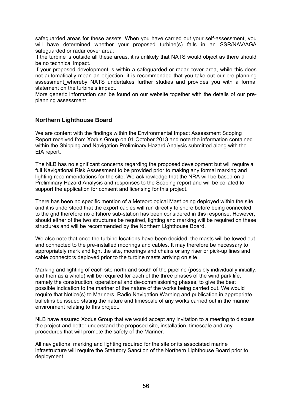safeguarded areas for these assets. When you have carried out your self-assessment, you will have determined whether your proposed turbine(s) falls in an SSR/NAV/AGA safeguarded or radar cover area:

If the turbine is outside all these areas, it is unlikely that NATS would object as there should be no technical impact.

If your proposed development is within a safeguarded or radar cover area, while this does not automatically mean an objection, it is recommended that you take out our pre-planning assessment whereby NATS undertakes further studies and provides you with a formal statement on the turbine's impact.

More generic information can be found on our website together with the details of our preplanning assessment

# **Northern Lighthouse Board**

We are content with the findings within the Environmental Impact Assessment Scoping Report received from Xodus Group on 01 October 2013 and note the information contained within the Shipping and Navigation Preliminary Hazard Analysis submitted along with the EIA report.

The NLB has no significant concerns regarding the proposed development but will require a full Navigational Risk Assessment to be provided prior to making any formal marking and lighting recommendations for the site. We acknowledge that the NRA will be based on a Preliminary Hazard Analysis and responses to the Scoping report and will be collated to support the application for consent and licensing for this project.

There has been no specific mention of a Meteorological Mast being deployed within the site, and it is understood that the export cables will run directly to shore before being connected to the grid therefore no offshore sub-station has been considered in this response. However, should either of the two structures be required, lighting and marking will be required on these structures and will be recommended by the Northern Lighthouse Board.

We also note that once the turbine locations have been decided, the masts will be towed out and connected to the pre-installed moorings and cables. It may therefore be necessary to appropriately mark and light the site, moorings and chains or any riser or pick-up lines and cable connectors deployed prior to the turbine masts arriving on site.

Marking and lighting of each site north and south of the pipeline (possibly individually initially, and then as a whole) will be required for each of the three phases of the wind park life, namely the construction, operational and de-commissioning phases, to give the best possible indication to the mariner of the nature of the works being carried out. We would require that Notice(s) to Mariners, Radio Navigation Warning and publication in appropriate bulletins be issued stating the nature and timescale of any works carried out in the marine environment relating to this project.

NLB have assured Xodus Group that we would accept any invitation to a meeting to discuss the project and better understand the proposed site, installation, timescale and any procedures that will promote the safety of the Mariner.

All navigational marking and lighting required for the site or its associated marine infrastructure will require the Statutory Sanction of the Northern Lighthouse Board prior to deployment.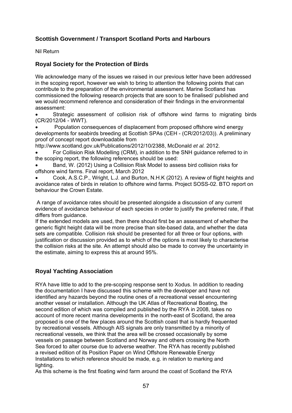# **Scottish Government / Transport Scotland Ports and Harbours**

Nil Return

# **Royal Society for the Protection of Birds**

We acknowledge many of the issues we raised in our previous letter have been addressed in the scoping report, however we wish to bring to attention the following points that can contribute to the preparation of the environmental assessment. Marine Scotland has commissioned the following research projects that are soon to be finalised/ published and we would recommend reference and consideration of their findings in the environmental assessment:

 Strategic assessment of collision risk of offshore wind farms to migrating birds (CR/2012/04 - WWT).

 Population consequences of displacement from proposed offshore wind energy developments for seabirds breeding at Scottish SPAs (CEH - (CR/2012/03)). A preliminary proof of concept report downloadable from

http://www.scotland.gov.uk/Publications/2012/10/2388, McDonald *et al.* 2012.

 For Collision Risk Modelling (CRM), in addition to the SNH guidance referred to in the scoping report, the following references should be used:

 Band, W. (2012) Using a Collision Risk Model to assess bird collision risks for offshore wind farms. Final report, March 2012

 Cook, A.S.C.P., Wright, L.J. and Burton, N.H.K (2012). A review of flight heights and avoidance rates of birds in relation to offshore wind farms. Project SOSS-02. BTO report on behaviour the Crown Estate.

 A range of avoidance rates should be presented alongside a discussion of any current evidence of avoidance behaviour of each species in order to justify the preferred rate, if that differs from guidance.

If the extended models are used, then there should first be an assessment of whether the generic flight height data will be more precise than site-based data, and whether the data sets are compatible. Collision risk should be presented for all three or four options, with justification or discussion provided as to which of the options is most likely to characterise the collision risks at the site. An attempt should also be made to convey the uncertainty in the estimate, aiming to express this at around 95%.

# **Royal Yachting Association**

RYA have little to add to the pre-scoping response sent to Xodus. In addition to reading the documentation I have discussed this scheme with the developer and have not identified any hazards beyond the routine ones of a recreational vessel encountering another vessel or installation. Although the UK Atlas of Recreational Boating, the second edition of which was compiled and published by the RYA in 2008, takes no account of more recent marina developments in the north-east of Scotland, the area proposed is one of the few places around the Scottish coast that is hardly frequented by recreational vessels. Although AIS signals are only transmitted by a minority of recreational vessels, we think that the area will be crossed occasionally by some vessels on passage between Scotland and Norway and others crossing the North Sea forced to alter course due to adverse weather. The RYA has recently published a revised edition of its Position Paper on Wind Offshore Renewable Energy Installations to which reference should be made, e.g. in relation to marking and lighting.

As this scheme is the first floating wind farm around the coast of Scotland the RYA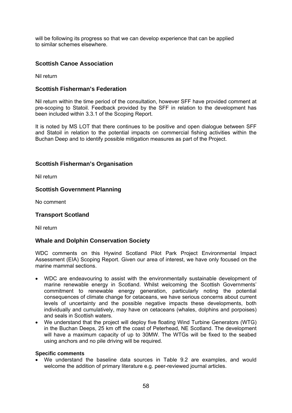will be following its progress so that we can develop experience that can be applied to similar schemes elsewhere.

# **Scottish Canoe Association**

Nil return

# **Scottish Fisherman's Federation**

Nil return within the time period of the consultation, however SFF have provided comment at pre-scoping to Statoil. Feedback provided by the SFF in relation to the development has been included within 3.3.1 of the Scoping Report.

It is noted by MS LOT that there continues to be positive and open dialogue between SFF and Statoil in relation to the potential impacts on commercial fishing activities within the Buchan Deep and to identify possible mitigation measures as part of the Project.

# **Scottish Fisherman's Organisation**

Nil return

# **Scottish Government Planning**

No comment

## **Transport Scotland**

Nil return

## **Whale and Dolphin Conservation Society**

WDC comments on this Hywind Scotland Pilot Park Project Environmental Impact Assessment (EIA) Scoping Report. Given our area of interest, we have only focused on the marine mammal sections.

- WDC are endeavouring to assist with the environmentally sustainable development of marine renewable energy in Scotland. Whilst welcoming the Scottish Governments' commitment to renewable energy generation, particularly noting the potential consequences of climate change for cetaceans, we have serious concerns about current levels of uncertainty and the possible negative impacts these developments, both individually and cumulatively, may have on cetaceans (whales, dolphins and porpoises) and seals in Scottish waters.
- We understand that the project will deploy five floating Wind Turbine Generators (WTG) in the Buchan Deeps, 25 km off the coast of Peterhead, NE Scotland. The development will have a maximum capacity of up to 30MW. The WTGs will be fixed to the seabed using anchors and no pile driving will be required.

### **Specific comments**

 We understand the baseline data sources in Table 9.2 are examples, and would welcome the addition of primary literature e.g. peer-reviewed journal articles.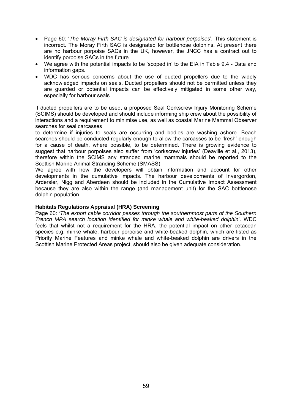- Page 60: '*The Moray Firth SAC is designated for harbour porpoises*'*.* This statement is incorrect. The Moray Firth SAC is designated for bottlenose dolphins. At present there are no harbour porpoise SACs in the UK, however, the JNCC has a contract out to identify porpoise SACs in the future.
- We agree with the potential impacts to be 'scoped in' to the EIA in Table 9.4 Data and information gaps.
- WDC has serious concerns about the use of ducted propellers due to the widely acknowledged impacts on seals. Ducted propellers should not be permitted unless they are guarded or potential impacts can be effectively mitigated in some other way, especially for harbour seals.

If ducted propellers are to be used, a proposed Seal Corkscrew Injury Monitoring Scheme (SCIMS) should be developed and should include informing ship crew about the possibility of interactions and a requirement to minimise use, as well as coastal Marine Mammal Observer searches for seal carcasses

to determine if injuries to seals are occurring and bodies are washing ashore. Beach searches should be conducted regularly enough to allow the carcasses to be 'fresh' enough for a cause of death, where possible, to be determined. There is growing evidence to suggest that harbour porpoises also suffer from 'corkscrew injuries' (Deaville et al., 2013), therefore within the SCIMS any stranded marine mammals should be reported to the Scottish Marine Animal Stranding Scheme (SMASS).

We agree with how the developers will obtain information and account for other developments in the cumulative impacts. The harbour developments of Invergordon, Ardersier, Nigg and Aberdeen should be included in the Cumulative Impact Assessment because they are also within the range (and management unit) for the SAC bottlenose dolphin population.

### **Habitats Regulations Appraisal (HRA) Screening**

Page 60: *'The export cable corridor passes through the southernmost parts of the Southern Trench MPA search location identified for minke whale and white-beaked dolphin*'. WDC feels that whilst not a requirement for the HRA, the potential impact on other cetacean species e.g. minke whale, harbour porpoise and white-beaked dolphin, which are listed as Priority Marine Features and minke whale and white-beaked dolphin are drivers in the Scottish Marine Protected Areas project, should also be given adequate consideration.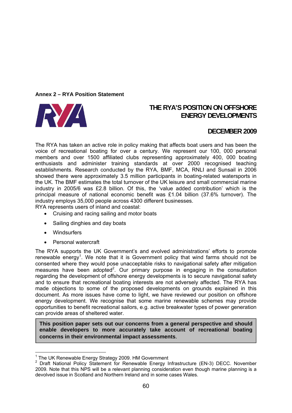## **Annex 2 – RYA Position Statement**



# **THE RYA'S POSITION ON OFFSHORE ENERGY DEVELOPMENTS**

# **DECEMBER 2009**

The RYA has taken an active role in policy making that affects boat users and has been the voice of recreational boating for over a century. We represent our 100, 000 personal members and over 1500 affiliated clubs representing approximately 400, 000 boating enthusiasts and administer training standards at over 2000 recognised teaching establishments. Research conducted by the RYA, BMF, MCA, RNLI and Sunsail in 2006 showed there were approximately 3.5 million participants in boating-related watersports in the UK. The BMF estimates the total turnover of the UK leisure and small commercial marine industry in 2005/6 was £2.8 billion. Of this, the 'value added contribution' which is the principal measure of national economic benefit was £1.04 billion (37.6% turnover). The industry employs 35,000 people across 4300 different businesses.

RYA represents users of inland and coastal:

- Cruising and racing sailing and motor boats
- Sailing dinghies and day boats
- Windsurfers

1

• Personal watercraft

The RYA supports the UK Government's and evolved administrations' efforts to promote renewable energy<sup>1</sup>. We note that it is Government policy that wind farms should not be consented where they would pose unacceptable risks to navigational safety after mitigation measures have been adopted<sup>2</sup>. Our primary purpose in engaging in the consultation regarding the development of offshore energy developments is to secure navigational safety and to ensure that recreational boating interests are not adversely affected. The RYA has made objections to some of the proposed developments on grounds explained in this document. As more issues have come to light, we have reviewed our position on offshore energy development. We recognise that some marine renewable schemes may provide opportunities to benefit recreational sailors, e.g. active breakwater types of power generation can provide areas of sheltered water.

**This position paper sets out our concerns from a general perspective and should enable developers to more accurately take account of recreational boating concerns in their environmental impact assessments**.

<sup>&</sup>lt;sup>1</sup> The UK Renewable Energy Strategy 2009. HM Government

<sup>&</sup>lt;sup>2</sup> Draft National Policy Statement for Renewable Energy Infrastructure (EN-3) DECC. November 2009. Note that this NPS will be a relevant planning consideration even though marine planning is a devolved issue in Scotland and Northern Ireland and in some cases Wales.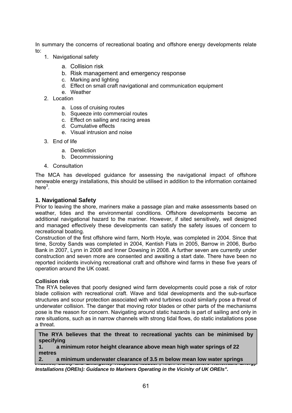In summary the concerns of recreational boating and offshore energy developments relate to:

- 1. Navigational safety
	- a. Collision risk
	- b. Risk management and emergency response
	- c. Marking and lighting
	- d. Effect on small craft navigational and communication equipment
	- e. Weather
- 2. Location
	- a. Loss of cruising routes
	- b. Squeeze into commercial routes
	- c. Effect on sailing and racing areas
	- d. Cumulative effects
	- e. Visual intrusion and noise
- 3. End of life
	- a. Dereliction
	- b. Decommissioning
- 4. Consultation

The MCA has developed guidance for assessing the navigational impact of offshore renewable energy installations, this should be utilised in addition to the information contained here $^3$ .

## **1. Navigational Safety**

Prior to leaving the shore, mariners make a passage plan and make assessments based on weather, tides and the environmental conditions. Offshore developments become an additional navigational hazard to the mariner. However, if sited sensitively, well designed and managed effectively these developments can satisfy the safety issues of concern to recreational boating.

Construction of the first offshore wind farm, North Hoyle, was completed in 2004. Since that time, Scroby Sands was completed in 2004, Kentish Flats in 2005, Barrow in 2006, Burbo Bank in 2007, Lynn in 2008 and Inner Dowsing in 2008. A further seven are currently under construction and seven more are consented and awaiting a start date. There have been no reported incidents involving recreational craft and offshore wind farms in these five years of operation around the UK coast.

## **Collision risk**

The RYA believes that poorly designed wind farm developments could pose a risk of rotor blade collision with recreational craft. Wave and tidal developments and the sub-surface structures and scour protection associated with wind turbines could similarly pose a threat of underwater collision. The danger that moving rotor blades or other parts of the mechanisms pose is the reason for concern. Navigating around static hazards is part of sailing and only in rare situations, such as in narrow channels with strong tidal flows, do static installations pose a threat.

**The RYA believes that the threat to recreational yachts can be minimised by specifying** 

**1. a minimum rotor height clearance above mean high water springs of 22 metres** 

2. a minimum underwater clearance of 3.5 m below mean low water springs <sup>|</sup> *Practice, Safety and Emergency Response Issues.",* MGN 372 *"Offshore Renewable Energy* 

*Installations (OREIs): Guidance to Mariners Operating in the Vicinity of UK OREIs".*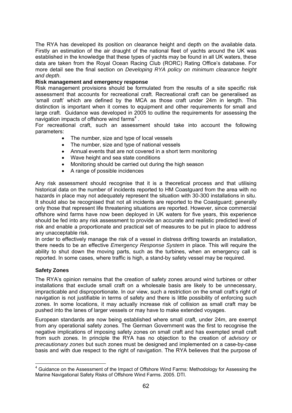The RYA has developed its position on clearance height and depth on the available data. Firstly an estimation of the air draught of the national fleet of yachts around the UK was established in the knowledge that these types of yachts may be found in all UK waters, these data are taken from the Royal Ocean Racing Club (RORC) Rating Office's database. For more detail see the final section on *Developing RYA policy on minimum clearance height and depth*.

## **Risk management and emergency response**

Risk management provisions should be formulated from the results of a site specific risk assessment that accounts for recreational craft. Recreational craft can be generalised as 'small craft' which are defined by the MCA as those craft under 24m in length. This distinction is important when it comes to equipment and other requirements for small and large craft. Guidance was developed in 2005 to outline the requirements for assessing the navigation impacts of offshore wind farms<sup>4</sup>.

For recreational craft, such an assessment should take into account the following parameters:

- The number, size and type of local vessels
- The number, size and type of national vessels
- Annual events that are not covered in a short term monitoring
- Wave height and sea state conditions
- Monitoring should be carried out during the high season
- A range of possible incidences

Any risk assessment should recognise that it is a theoretical process and that utilising historical data on the number of incidents reported to HM Coastguard from the area with no hazards in place may not adequately represent the situation with 30-300 installations in situ. It should also be recognised that not all incidents are reported to the Coastguard; generally only those that represent life threatening situations are reported. However, since commercial offshore wind farms have now been deployed in UK waters for five years, this experience should be fed into any risk assessment to provide an accurate and realistic predicted level of risk and enable a proportionate and practical set of measures to be put in place to address any unacceptable risk.

In order to effectively manage the risk of a vessel in distress drifting towards an installation, there needs to be an effective *Emergency Response System* in place. This will require the ability to shut down the moving parts, such as the turbines, when an emergency call is reported. In some cases, where traffic is high, a stand-by safety vessel may be required.

## **Safety Zones**

The RYA's opinion remains that the creation of safety zones around wind turbines or other installations that exclude small craft on a wholesale basis are likely to be unnecessary, impracticable and disproportionate. In our view, such a restriction on the small craft's right of navigation is not justifiable in terms of safety and there is little possibility of enforcing such zones. In some locations, it may actually increase risk of collision as small craft may be pushed into the lanes of larger vessels or may have to make extended voyages.

European standards are now being established where small craft, under 24m, are exempt from any operational safety zones. The German Government was the first to recognise the negative implications of imposing safety zones on small craft and has exempted small craft from such zones. In principle the RYA has no objection to the creation of *advisory or precautionary zones* but such zones must be designed and implemented on a case-by-case basis and with due respect to the right of navigation. The RYA believes that the purpose of

<sup>1</sup> <sup>4</sup> Guidance on the Assessment of the Impact of Offshore Wind Farms: Methodology for Assessing the Marine Navigational Safety Risks of Offshore Wind Farms. 2005. DTI.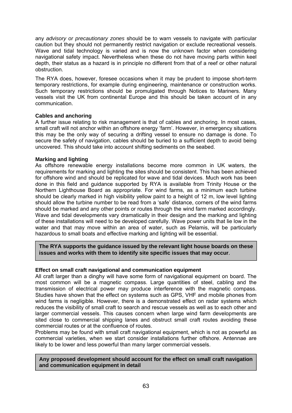any *advisory or precautionary zones* should be to warn vessels to navigate with particular caution but they should not permanently restrict navigation or exclude recreational vessels. Wave and tidal technology is varied and is now the unknown factor when considering navigational safety impact. Nevertheless when these do not have moving parts within keel depth, their status as a hazard is in principle no different from that of a reef or other natural obstruction.

The RYA does, however, foresee occasions when it may be prudent to impose short-term temporary restrictions, for example during engineering, maintenance or construction works. Such temporary restrictions should be promulgated through Notices to Mariners. Many vessels visit the UK from continental Europe and this should be taken account of in any communication.

## **Cables and anchoring**

A further issue relating to risk management is that of cables and anchoring. In most cases, small craft will not anchor within an offshore energy 'farm'. However, in emergency situations this may be the only way of securing a drifting vessel to ensure no damage is done. To secure the safety of navigation, cables should be buried to a sufficient depth to avoid being uncovered. This should take into account shifting sediments on the seabed.

# **Marking and lighting**

As offshore renewable energy installations become more common in UK waters, the requirements for marking and lighting the sites should be consistent. This has been achieved for offshore wind and should be replicated for wave and tidal devices. Much work has been done in this field and guidance supported by RYA is available from Trinity House or the Northern Lighthouse Board as appropriate. For wind farms, as a minimum each turbine should be clearly marked in high visibility yellow paint to a height of 12 m, low level lighting should allow the turbine number to be read from a 'safe' distance, corners of the wind farms should be marked and any other points or routes through the wind farm marked accordingly. Wave and tidal developments vary dramatically in their design and the marking and lighting of these installations will need to be developed carefully. Wave power units that lie low in the water and that may move within an area of water, such as Pelamis, will be particularly hazardous to small boats and effective marking and lighting will be essential.

**The RYA supports the guidance issued by the relevant light house boards on these issues and works with them to identify site specific issues that may occur**.

# **Effect on small craft navigational and communication equipment**

All craft larger than a dinghy will have some form of navigational equipment on board. The most common will be a magnetic compass. Large quantities of steel, cabling and the transmission of electrical power may produce interference with the magnetic compass. Studies have shown that the effect on systems such as GPS, VHF and mobile phones from wind farms is negligible. However, there is a demonstrated effect on radar systems which reduces the visibility of small craft to search and rescue vessels as well as to each other and larger commercial vessels. This causes concern when large wind farm developments are sited close to commercial shipping lanes and obstruct small craft routes avoiding these commercial routes or at the confluence of routes.

Problems may be found with small craft navigational equipment, which is not as powerful as commercial varieties, when we start consider installations further offshore. Antennae are likely to be lower and less powerful than many larger commercial vessels.

## **Any proposed development should account for the effect on small craft navigation and communication equipment in detail**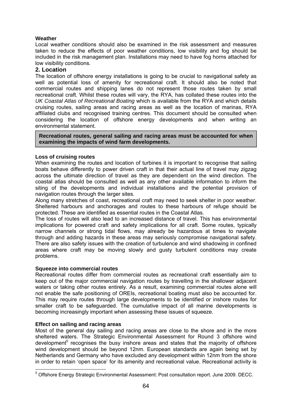# **Weather**

Local weather conditions should also be examined in the risk assessment and measures taken to reduce the effects of poor weather conditions, low visibility and fog should be included in the risk management plan. Installations may need to have fog horns attached for low visibility conditions.

# **2. Location**

The location of offshore energy installations is going to be crucial to navigational safety as well as potential loss of amenity for recreational craft. It should also be noted that commercial routes and shipping lanes do not represent those routes taken by small recreational craft. Whilst these routes will vary, the RYA, has collated these routes into the *UK Coastal Atlas of Recreational Boating* which is available from the RYA and which details cruising routes, sailing areas and racing areas as well as the location of marinas, RYA affiliated clubs and recognised training centres. This document should be consulted when considering the location of offshore energy developments and when writing an environmental statement.

**Recreational routes, general sailing and racing areas must be accounted for when examining the impacts of wind farm developments.** 

### **Loss of cruising routes**

When examining the routes and location of turbines it is important to recognise that sailing boats behave differently to power driven craft in that their actual line of travel may zigzag across the ultimate direction of travel as they are dependent on the wind direction. The coastal atlas should be consulted as well as any other available information to inform the siting of the developments and individual installations and the potential provision of navigation routes through the larger sites.

Along many stretches of coast, recreational craft may need to seek shelter in poor weather. Sheltered harbours and anchorages and routes to these harbours of refuge should be protected. These are identified as essential routes in the Coastal Atlas.

The loss of routes will also lead to an increased distance of travel. This has environmental implications for powered craft and safety implications for all craft. Some routes, typically narrow channels or strong tidal flows, may already be hazardous at times to navigate through and adding hazards in these areas may seriously compromise navigational safety. There are also safety issues with the creation of turbulence and wind shadowing in confined areas where craft may be moving slowly and gusty turbulent conditions may create problems.

## **Squeeze into commercial routes**

Recreational routes differ from commercial routes as recreational craft essentially aim to keep out of the major commercial navigation routes by travelling in the shallower adjacent waters or taking other routes entirely. As a result, examining commercial routes alone will not enable the safe positioning of OREIs, recreational boating must also be accounted for. This may require routes through large developments to be identified or inshore routes for smaller craft to be safeguarded. The cumulative impact of all marine developments is becoming increasingly important when assessing these issues of squeeze.

## **Effect on sailing and racing areas**

Most of the general day sailing and racing areas are close to the shore and in the more sheltered waters. The Strategic Environmental Assessment for Round 3 offshore wind development<sup>5</sup> recognises the busy inshore areas and states that the majority of offshore wind development should be beyond 12nm. European standards are again being set by Netherlands and Germany who have excluded any development within 12nm from the shore in order to retain 'open space' for its amenity and recreational value. Recreational activity is

 5 Offshore Energy Strategic Environmental Assessment: Post consultation report. June 2009. DECC.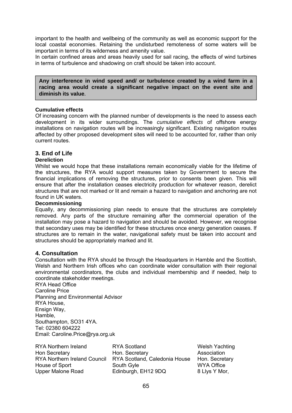important to the health and wellbeing of the community as well as economic support for the local coastal economies. Retaining the undisturbed remoteness of some waters will be important in terms of its wilderness and amenity value.

In certain confined areas and areas heavily used for sail racing, the effects of wind turbines in terms of turbulence and shadowing on craft should be taken into account.

**Any interference in wind speed and/ or turbulence created by a wind farm in a racing area would create a significant negative impact on the event site and diminish its value**.

### **Cumulative effects**

Of increasing concern with the planned number of developments is the need to assess each development in its wider surroundings. The *cumulative effects* of offshore energy installations on navigation routes will be increasingly significant. Existing navigation routes affected by other proposed development sites will need to be accounted for, rather than only current routes.

# **3. End of Life**

### **Dereliction**

Whilst we would hope that these installations remain economically viable for the lifetime of the structures, the RYA would support measures taken by Government to secure the financial implications of removing the structures, prior to consents been given. This will ensure that after the installation ceases electricity production for whatever reason, derelict structures that are not marked or lit and remain a hazard to navigation and anchoring are not found in UK waters.

### **Decommissioning**

Equally, any decommissioning plan needs to ensure that the structures are completely removed. Any parts of the structure remaining after the commercial operation of the installation may pose a hazard to navigation and should be avoided. However, we recognise that secondary uses may be identified for these structures once energy generation ceases. If structures are to remain in the water, navigational safety must be taken into account and structures should be appropriately marked and lit.

## **4. Consultation**

Consultation with the RYA should be through the Headquarters in Hamble and the Scottish, Welsh and Northern Irish offices who can coordinate wider consultation with their regional environmental coordinators, the clubs and individual membership and if needed, help to coordinate stakeholder meetings.

RYA Head Office Caroline Price Planning and Environmental Advisor RYA House, Ensign Way, Hamble, Southampton, SO31 4YA. Tel: 02380 604222 Email: Caroline.Price@rya.org.uk

| <b>RYA Scotland</b>           | <b>Welsh Yachting</b> |
|-------------------------------|-----------------------|
| Hon. Secretary                | Association           |
| RYA Scotland, Caledonia House | Hon. Secretary        |
| South Gyle                    | <b>WYA Office</b>     |
| Edinburgh, EH12 9DQ           | 8 Llys Y Mor,         |
|                               |                       |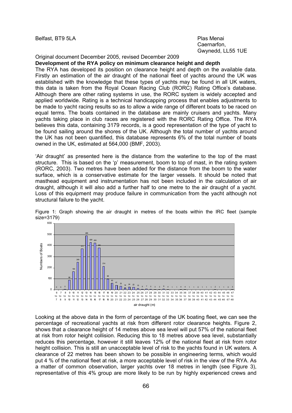Belfast, BT9 5LA Plas Menai

Caernarfon, Gwynedd, LL55 1UE

Original document December 2005, revised December 2009

## **Development of the RYA policy on minimum clearance height and depth**

The RYA has developed its position on clearance height and depth on the available data. Firstly an estimation of the air draught of the national fleet of yachts around the UK was established with the knowledge that these types of yachts may be found in all UK waters, this data is taken from the Royal Ocean Racing Club (RORC) Rating Office's database. Although there are other rating systems in use, the RORC system is widely accepted and applied worldwide. Rating is a technical handicapping process that enables adjustments to be made to yacht racing results so as to allow a wide range of different boats to be raced on equal terms. The boats contained in the database are mainly cruisers and yachts. Many yachts taking place in club races are registered with the RORC Rating Office. The RYA believes this data, containing 3179 records, is a good representation of the type of yacht to be found sailing around the shores of the UK. Although the total number of yachts around the UK has not been quantified, this database represents 6% of the total number of boats owned in the UK, estimated at 564,000 (BMF, 2003).

'Air draught' as presented here is the distance from the waterline to the top of the mast structure. This is based on the 'p' measurement, boom to top of mast, in the rating system (RORC, 2003). Two metres have been added for the distance from the boom to the water surface, which is a conservative estimate for the larger vessels. It should be noted that masthead equipment and instrumentation has not been included in the calculation of air draught, although it will also add a further half to one metre to the air draught of a yacht. Loss of this equipment may produce failure in communication from the yacht although not structural failure to the yacht.



Figure 1: Graph showing the air draught in metres of the boats within the IRC fleet (sample size=3179)

Looking at the above data in the form of percentage of the UK boating fleet, we can see the percentage of recreational yachts at risk from different rotor clearance heights. Figure 2, shows that a clearance height of 14 metres above sea level will put 57% of the national fleet at risk from rotor height collision. Reducing this to 18 metres above sea level, substantially reduces this percentage, however it still leaves 12% of the national fleet at risk from rotor height collision. This is still an unacceptable level of risk to the yachts found in UK waters. A clearance of 22 metres has been shown to be possible in engineering terms, which would put 4 % of the national fleet at risk, a more acceptable level of risk in the view of the RYA. As a matter of common observation, larger yachts over 18 metres in length (see Figure 3), representative of this 4% group are more likely to be run by highly experienced crews and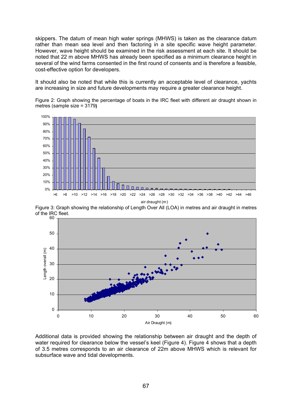skippers. The datum of mean high water springs (MHWS) is taken as the clearance datum rather than mean sea level and then factoring in a site specific wave height parameter. However, wave height should be examined in the risk assessment at each site. It should be noted that 22 m above MHWS has already been specified as a minimum clearance height in several of the wind farms consented in the first round of consents and is therefore a feasible, cost-effective option for developers.

It should also be noted that while this is currently an acceptable level of clearance, yachts are increasing in size and future developments may require a greater clearance height.

Figure 2: Graph showing the percentage of boats in the IRC fleet with different air draught shown in metres (sample size = 3179**)** 



Figure 3: Graph showing the relationship of Length Over All (LOA) in metres and air draught in metres of the IRC fleet.



Additional data is provided showing the relationship between air draught and the depth of water required for clearance below the vessel's keel (Figure 4). Figure 4 shows that a depth of 3.5 metres corresponds to an air clearance of 22m above MHWS which is relevant for subsurface wave and tidal developments.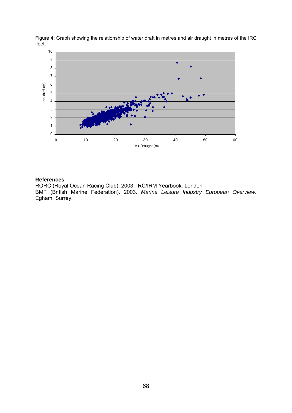

Figure 4: Graph showing the relationship of water draft in metres and air draught in metres of the IRC fleet.

### **References**

RORC (Royal Ocean Racing Club). 2003. IRC/IRM Yearbook. London BMF (British Marine Federation). 2003. *Marine Leisure Industry European Overview*. Egham, Surrey.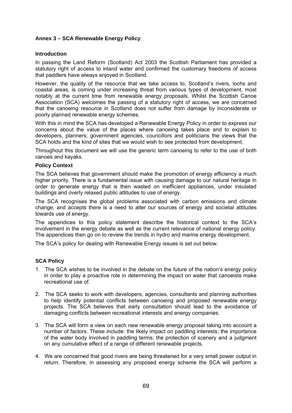## **Annex 3 – SCA Renewable Energy Policy**

### **Introduction**

In passing the Land Reform (Scotland) Act 2003 the Scottish Parliament has provided a statutory right of access to inland water and confirmed the customary freedoms of access that paddlers have always enjoyed in Scotland.

However, the quality of the resource that we take access to, Scotland's rivers, lochs and coastal areas, is coming under increasing threat from various types of development, most notably at the current time from renewable energy proposals. Whilst the Scottish Canoe Association (SCA) welcomes the passing of a statutory right of access, we are concerned that the canoeing resource in Scotland does not suffer from damage by inconsiderate or poorly planned renewable energy schemes.

With this in mind the SCA has developed a Renewable Energy Policy in order to express our concerns about the value of the places where canoeing takes place and to explain to developers, planners, government agencies, councillors and politicians the views that the SCA holds and the kind of sites that we would wish to see protected from development.

Throughout this document we will use the generic term canoeing to refer to the use of both canoes and kayaks.

### **Policy Context**

The SCA believes that government should make the promotion of energy efficiency a much higher priority. There is a fundamental issue with causing damage to our natural heritage in order to generate energy that is then wasted on inefficient appliances, under insulated buildings and overly relaxed public attitudes to use of energy.

The SCA recognises the global problems associated with carbon emissions and climate change, and accepts there is a need to alter our sources of energy and societal attitudes towards use of energy.

The appendices to this policy statement describe the historical context to the SCA's involvement in the energy debate as well as the current relevance of national energy policy. The appendices then go on to review the trends in hydro and marine energy development.

The SCA's policy for dealing with Renewable Energy issues is set out below.

## **SCA Policy**

- 1. The SCA wishes to be involved in the debate on the future of the nation's energy policy in order to play a proactive role in determining the impact on water that canoeists make recreational use of.
- 2. The SCA seeks to work with developers, agencies, consultants and planning authorities to help identify potential conflicts between canoeing and proposed renewable energy projects. The SCA believes that early consultation should lead to the avoidance of damaging conflicts between recreational interests and energy companies.
- 3. The SCA will form a view on each new renewable energy proposal taking into account a number of factors. These include: the likely impact on paddling interests; the importance of the water body involved in paddling terms; the protection of scenery and a judgment on any cumulative effect of a range of different renewable projects.
- 4. We are concerned that good rivers are being threatened for a very small power output in return. Therefore, in assessing any proposed energy scheme the SCA will perform a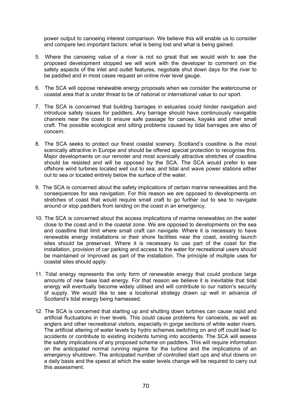power output to canoeing interest comparison. We believe this will enable us to consider and compare two important factors: what is being lost and what is being gained.

- 5. Where the canoeing value of a river is not so great that we would wish to see the proposed development stopped we will work with the developer to comment on the safety aspects of the inlet and outlet features, negotiate shut down days for the river to be paddled and in most cases request an online river level gauge.
- 6. The SCA will oppose renewable energy proposals when we consider the watercourse or coastal area that is under threat to be of national or international value to our sport.
- 7. The SCA is concerned that building barrages in estuaries could hinder navigation and introduce safety issues for paddlers. Any barrage should have continuously navigable channels near the coast to ensure safe passage for canoes, kayaks and other small craft. The possible ecological and silting problems caused by tidal barrages are also of concern.
- 8. The SCA seeks to protect our finest coastal scenery. Scotland's coastline is the most scenically attractive in Europe and should be offered special protection to recognise this. Major developments on our remoter and most scenically attractive stretches of coastline should be resisted and will be opposed by the SCA. The SCA would prefer to see offshore wind turbines located well out to sea; and tidal and wave power stations either out to sea or located entirely below the surface of the water.
- 9. The SCA is concerned about the safety implications of certain marine renewables and the consequences for sea navigation. For this reason we are opposed to developments on stretches of coast that would require small craft to go further out to sea to navigate around or stop paddlers from landing on the coast in an emergency.
- 10. The SCA is concerned about the access implications of marine renewables on the water close to the coast and in the coastal zone. We are opposed to developments on the sea and coastline that limit where small craft can navigate. Where it is necessary to have renewable energy installations or their shore facilities near the coast, existing launch sites should be preserved. Where it is necessary to use part of the coast for the installation, provision of car parking and access to the water for recreational users should be maintained or improved as part of the installation. The principle of multiple uses for coastal sites should apply.
- 11. Tidal energy represents the only form of renewable energy that could produce large amounts of new base load energy. For that reason we believe it is inevitable that tidal energy will eventually become widely utilised and will contribute to our nation's security of supply. We would like to see a locational strategy drawn up well in advance of Scotland's tidal energy being harnessed.
- 12. The SCA is concerned that starting up and shutting down turbines can cause rapid and artificial fluctuations in river levels. This could cause problems for canoeists, as well as anglers and other recreational visitors, especially in gorge sections of white water rivers. The artificial altering of water levels by hydro schemes switching on and off could lead to accidents or contribute to existing incidents turning into accidents. The SCA will assess the safety implications of any proposed scheme on paddlers. This will require information on the anticipated normal running regime for the turbine and the implications of an emergency shutdown. The anticipated number of controlled start ups and shut downs on a daily basis and the speed at which the water levels change will be required to carry out this assessment.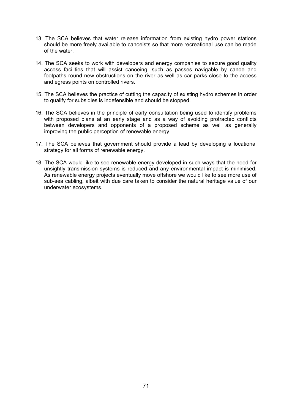- 13. The SCA believes that water release information from existing hydro power stations should be more freely available to canoeists so that more recreational use can be made of the water.
- 14. The SCA seeks to work with developers and energy companies to secure good quality access facilities that will assist canoeing, such as passes navigable by canoe and footpaths round new obstructions on the river as well as car parks close to the access and egress points on controlled rivers.
- 15. The SCA believes the practice of cutting the capacity of existing hydro schemes in order to qualify for subsidies is indefensible and should be stopped.
- 16. The SCA believes in the principle of early consultation being used to identify problems with proposed plans at an early stage and as a way of avoiding protracted conflicts between developers and opponents of a proposed scheme as well as generally improving the public perception of renewable energy.
- 17. The SCA believes that government should provide a lead by developing a locational strategy for all forms of renewable energy.
- 18. The SCA would like to see renewable energy developed in such ways that the need for unsightly transmission systems is reduced and any environmental impact is minimised. As renewable energy projects eventually move offshore we would like to see more use of sub-sea cabling, albeit with due care taken to consider the natural heritage value of our underwater ecosystems.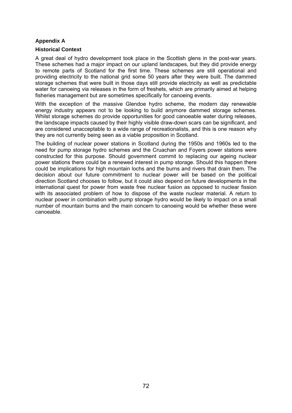## **Appendix A**

### **Historical Context**

A great deal of hydro development took place in the Scottish glens in the post-war years. These schemes had a major impact on our upland landscapes, but they did provide energy to remote parts of Scotland for the first time. These schemes are still operational and providing electricity to the national grid some 50 years after they were built. The dammed storage schemes that were built in those days still provide electricity as well as predictable water for canoeing via releases in the form of freshets, which are primarily aimed at helping fisheries management but are sometimes specifically for canoeing events.

With the exception of the massive Glendoe hydro scheme, the modern day renewable energy industry appears not to be looking to build anymore dammed storage schemes. Whilst storage schemes do provide opportunities for good canoeable water during releases, the landscape impacts caused by their highly visible draw-down scars can be significant, and are considered unacceptable to a wide range of recreationalists, and this is one reason why they are not currently being seen as a viable proposition in Scotland.

The building of nuclear power stations in Scotland during the 1950s and 1960s led to the need for pump storage hydro schemes and the Cruachan and Foyers power stations were constructed for this purpose. Should government commit to replacing our ageing nuclear power stations there could be a renewed interest in pump storage. Should this happen there could be implications for high mountain lochs and the burns and rivers that drain them. The decision about our future commitment to nuclear power will be based on the political direction Scotland chooses to follow, but it could also depend on future developments in the international quest for power from waste free nuclear fusion as opposed to nuclear fission with its associated problem of how to dispose of the waste nuclear material. A return to nuclear power in combination with pump storage hydro would be likely to impact on a small number of mountain burns and the main concern to canoeing would be whether these were canoeable.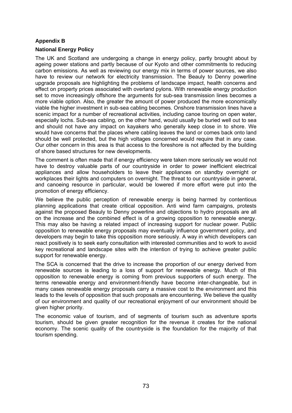### **Appendix B**

### **National Energy Policy**

The UK and Scotland are undergoing a change in energy policy, partly brought about by ageing power stations and partly because of our Kyoto and other commitments to reducing carbon emissions. As well as reviewing our energy mix in terms of power sources, we also have to review our network for electricity transmission. The Beauly to Denny powerline upgrade proposals are highlighting the problems of landscape impact, health concerns and effect on property prices associated with overland pylons. With renewable energy production set to move increasingly offshore the arguments for sub-sea transmission lines becomes a more viable option. Also, the greater the amount of power produced the more economically viable the higher investment in sub-sea cabling becomes. Onshore transmission lines have a scenic impact for a number of recreational activities, including canoe touring on open water, especially lochs. Sub-sea cabling, on the other hand, would usually be buried well out to sea and should not have any impact on kayakers who generally keep close in to shore. We would have concerns that the places where cabling leaves the land or comes back onto land should be well protected, but the high voltages concerned would require that in any case. Our other concern in this area is that access to the foreshore is not affected by the building of shore based structures for new developments.

The comment is often made that if energy efficiency were taken more seriously we would not have to destroy valuable parts of our countryside in order to power inefficient electrical appliances and allow householders to leave their appliances on standby overnight or workplaces their lights and computers on overnight. The threat to our countryside in general, and canoeing resource in particular, would be lowered if more effort were put into the promotion of energy efficiency.

We believe the public perception of renewable energy is being harmed by contentious planning applications that create critical opposition. Anti wind farm campaigns, protests against the proposed Beauly to Denny powerline and objections to hydro proposals are all on the increase and the combined effect is of a growing opposition to renewable energy. This may also be having a related impact of increasing support for nuclear power. Public opposition to renewable energy proposals may eventually influence government policy, and developers may begin to take this opposition more seriously. A way in which developers can react positively is to seek early consultation with interested communities and to work to avoid key recreational and landscape sites with the intention of trying to achieve greater public support for renewable energy.

The SCA is concerned that the drive to increase the proportion of our energy derived from renewable sources is leading to a loss of support for renewable energy. Much of this opposition to renewable energy is coming from previous supporters of such energy. The terms renewable energy and environment-friendly have become inter-changeable, but in many cases renewable energy proposals carry a massive cost to the environment and this leads to the levels of opposition that such proposals are encountering. We believe the quality of our environment and quality of our recreational enjoyment of our environment should be given higher priority.

The economic value of tourism, and of segments of tourism such as adventure sports tourism, should be given greater recognition for the revenue it creates for the national economy. The scenic quality of the countryside is the foundation for the majority of that tourism spending.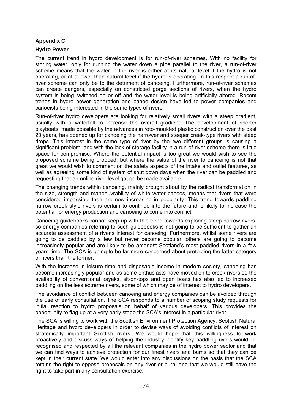### **Appendix C**

### **Hydro Power**

The current trend in hydro development is for run-of-river schemes. With no facility for storing water, only for running the water down a pipe parallel to the river, a run-of-river scheme means that the water in the river is either at its natural level if the hydro is not operating, or at a lower than natural level if the hydro is operating. In this respect a run-ofriver scheme can only be to the detriment of canoeing. Furthermore, run-of-river schemes can create dangers, especially on constricted gorge sections of rivers, when the hydro system is being switched on or off and the water level is being artificially altered. Recent trends in hydro power generation and canoe design have led to power companies and canoeists being interested in the same types of rivers.

Run-of-river hydro developers are looking for relatively small rivers with a steep gradient, usually with a waterfall to increase the overall gradient. The development of shorter playboats, made possible by the advances in roto-moulded plastic construction over the past 20 years, has opened up for canoeing the narrower and steeper creek-type rivers with steep drops. This interest in the same type of river by the two different groups is causing a significant problem, and with the lack of storage facility in a run-of-river scheme there is little space for compromise. Where the potential impact is too great we would wish to see the proposed scheme being dropped, but where the value of the river to canoeing is not that great we would wish to comment on the safety aspects of the intake and outlet features, as well as agreeing some kind of system of shut down days when the river can be paddled and requesting that an online river level gauge be made available.

The changing trends within canoeing, mainly brought about by the radical transformation in the size, strength and manoeuvrability of white water canoes, means that rivers that were considered impossible then are now increasing in popularity. This trend towards paddling narrow creek style rivers is certain to continue into the future and is likely to increase the potential for energy production and canoeing to come into conflict.

Canoeing guidebooks cannot keep up with this trend towards exploring steep narrow rivers, so energy companies referring to such guidebooks is not going to be sufficient to gather an accurate assessment of a river's interest for canoeing. Furthermore, whilst some rivers are going to be paddled by a few but never become popular, others are going to become increasingly popular and are likely to be amongst Scotland's most paddled rivers in a few years time. The SCA is going to be far more concerned about protecting the latter category of rivers than the former.

With the increase in leisure time and disposable income in modern society, canoeing has become increasingly popular and as some enthusiasts have moved on to creek rivers so the availability of conventional kayaks, sit-on-tops and open boats has also led to increased paddling on the less extreme rivers, some of which may be of interest to hydro developers.

The avoidance of conflict between canoeing and energy companies can be avoided through the use of early consultation. The SCA responds to a number of scoping study requests for initial reaction to hydro proposals on behalf of various developers. This provides the opportunity to flag up at a very early stage the SCA's interest in a particular river.

The SCA is willing to work with the Scottish Environment Protection Agency, Scottish Natural Heritage and hydro developers in order to devise ways of avoiding conflicts of interest on strategically important Scottish rivers. We would hope that this willingness to work proactively and discuss ways of helping the industry identify key paddling rivers would be recognised and respected by all the relevant companies in the hydro power sector and that we can find ways to achieve protection for our finest rivers and burns so that they can be kept in their current state. We would enter into any discussions on the basis that the SCA retains the right to oppose proposals on any river or burn, and that we would still have the right to take part in any consultation exercise.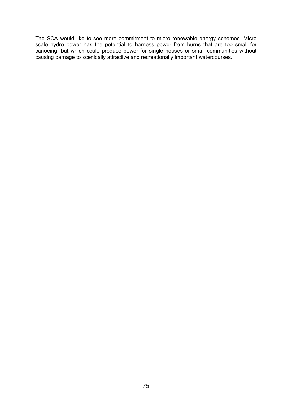The SCA would like to see more commitment to micro renewable energy schemes. Micro scale hydro power has the potential to harness power from burns that are too small for canoeing, but which could produce power for single houses or small communities without causing damage to scenically attractive and recreationally important watercourses.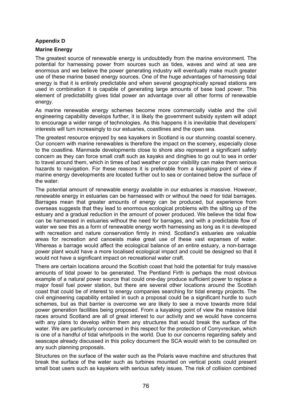### **Appendix D**

### **Marine Energy**

The greatest source of renewable energy is undoubtedly from the marine environment. The potential for harnessing power from sources such as tides, waves and wind at sea are enormous and we believe the power generating industry will eventually make much greater use of these marine based energy sources. One of the huge advantages of harnessing tidal energy is that it is entirely predictable and when several geographically spread stations are used in combination it is capable of generating large amounts of base load power. This element of predictability gives tidal power an advantage over all other forms of renewable energy.

As marine renewable energy schemes become more commercially viable and the civil engineering capability develops further, it is likely the government subsidy system will adapt to encourage a wider range of technologies. As this happens it is inevitable that developers' interests will turn increasingly to our estuaries, coastlines and the open sea.

The greatest resource enjoyed by sea kayakers in Scotland is our stunning coastal scenery. Our concern with marine renewables is therefore the impact on the scenery, especially close to the coastline. Manmade developments close to shore also represent a significant safety concern as they can force small craft such as kayaks and dinghies to go out to sea in order to travel around them, which in times of bad weather or poor visibility can make them serious hazards to navigation. For these reasons it is preferable from a kayaking point of view if marine energy developments are located further out to sea or contained below the surface of the water.

The potential amount of renewable energy available in our estuaries is massive. However, renewable energy in estuaries can be harnessed with or without the need for tidal barrages. Barrages mean that greater amounts of energy can be produced, but experience from overseas suggests that they lead to enormous ecological problems with the silting up of the estuary and a gradual reduction in the amount of power produced. We believe the tidal flow can be harnessed in estuaries without the need for barrages, and with a predictable flow of water we see this as a form of renewable energy worth harnessing as long as it is developed with recreation and nature conservation firmly in mind. Scotland's estuaries are valuable areas for recreation and canoeists make great use of these vast expanses of water. Whereas a barrage would affect the ecological balance of an entire estuary, a non-barrage power plant would have a more localised ecological impact and could be designed so that it would not have a significant impact on recreational water craft.

There are certain locations around the Scottish coast that hold the potential for truly massive amounts of tidal power to be generated. The Pentland Firth is perhaps the most obvious example of a natural power source that could one-day produce sufficient power to replace a major fossil fuel power station, but there are several other locations around the Scottish coast that could be of interest to energy companies searching for tidal energy projects. The civil engineering capability entailed in such a proposal could be a significant hurdle to such schemes, but as that barrier is overcome we are likely to see a move towards more tidal power generation facilities being proposed. From a kayaking point of view the massive tidal races around Scotland are all of great interest to our activity and we would have concerns with any plans to develop within them any structures that would break the surface of the water. We are particularly concerned in this respect for the protection of Corryvreckan, which is one of a handful of tidal whirlpools in the world. Due to our concerns regarding safety and seascape already discussed in this policy document the SCA would wish to be consulted on any such planning proposals.

Structures on the surface of the water such as the Polaris wave machine and structures that break the surface of the water such as turbines mounted on vertical posts could present small boat users such as kayakers with serious safety issues. The risk of collision combined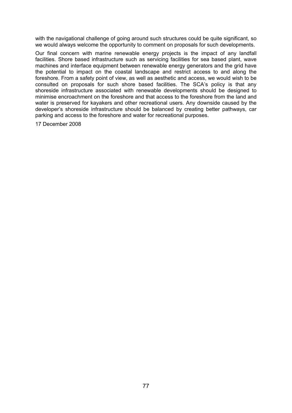with the navigational challenge of going around such structures could be quite significant, so we would always welcome the opportunity to comment on proposals for such developments.

Our final concern with marine renewable energy projects is the impact of any landfall facilities. Shore based infrastructure such as servicing facilities for sea based plant, wave machines and interface equipment between renewable energy generators and the grid have the potential to impact on the coastal landscape and restrict access to and along the foreshore. From a safety point of view, as well as aesthetic and access, we would wish to be consulted on proposals for such shore based facilities. The SCA's policy is that any shoreside infrastructure associated with renewable developments should be designed to minimise encroachment on the foreshore and that access to the foreshore from the land and water is preserved for kayakers and other recreational users. Any downside caused by the developer's shoreside infrastructure should be balanced by creating better pathways, car parking and access to the foreshore and water for recreational purposes.

17 December 2008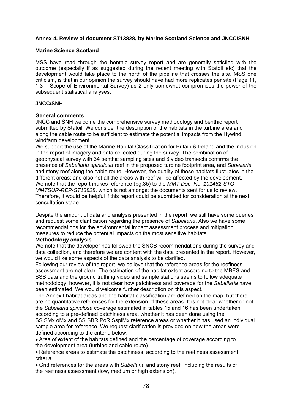### **Annex 4. Review of document ST13828, by Marine Scotland Science and JNCC/SNH**

### **Marine Science Scotland**

MSS have read through the benthic survey report and are generally satisfied with the outcome (especially if as suggested during the recent meeting with Statoil etc) that the development would take place to the north of the pipeline that crosses the site. MSS one criticism, is that in our opinion the survey should have had more replicates per site (Page 11, 1.3 – Scope of Environmental Survey) as 2 only somewhat compromises the power of the subsequent statistical analyses.

### **JNCC/SNH**

### **General comments**

JNCC and SNH welcome the comprehensive survey methodology and benthic report submitted by Statoil. We consider the description of the habitats in the turbine area and along the cable route to be sufficient to estimate the potential impacts from the Hywind windfarm development.

We support the use of the Marine Habitat Classification for Britain & Ireland and the inclusion in the report of imagery and data collected during the survey. The combination of geophysical survey with 34 benthic sampling sites and 6 video transects confirms the presence of *Sabellaria spinulosa* reef in the proposed turbine footprint area, and *Sabellaria*  and stony reef along the cable route. However, the quality of these habitats fluctuates in the different areas; and also not all the areas with reef will be affected by the development. We note that the report makes reference (pg.35) to the *MMT Doc. No. 101462-STO-MMTSUR-REP-ST13828*, which is not amongst the documents sent for us to review. Therefore, it would be helpful if this report could be submitted for consideration at the next consultation stage.

Despite the amount of data and analysis presented in the report, we still have some queries and request some clarification regarding the presence of *Sabellaria*. Also we have some recommendations for the environmental impact assessment process and mitigation measures to reduce the potential impacts on the most sensitive habitats.

### **Methodology analysis**

We note that the developer has followed the SNCB recommendations during the survey and data collection, and therefore we are content with the data presented in the report. However, we would like some aspects of the data analysis to be clarified.

Following our review of the report, we believe that the reference areas for the reefiness assessment are not clear. The estimation of the habitat extent according to the MBES and SSS data and the ground truthing video and sample stations seems to follow adequate methodology; however, it is not clear how patchiness and coverage for the *Sabellaria* have been estimated. We would welcome further description on this aspect.

The Annex I habitat areas and the habitat classification are defined on the map, but there are no quantitative references for the extension of these areas. It is not clear whether or not the *Sabellaria spinulosa* coverage estimated in tables 15 and 16 has been undertaken according to a pre-defined patchiness area, whether it has been done using the SS.SMx.oMx and SS.SBR.PoR.SspiMx reference areas or whether it has used an individual sample area for reference. We request clarification is provided on how the areas were defined according to the criteria below:

Area of extent of the habitats defined and the percentage of coverage according to the development area (turbine and cable route).

Reference areas to estimate the patchiness, according to the reefiness assessment criteria.

Grid references for the areas with *Sabellaria* and stony reef, including the results of the reefiness assessment (low, medium or high extension).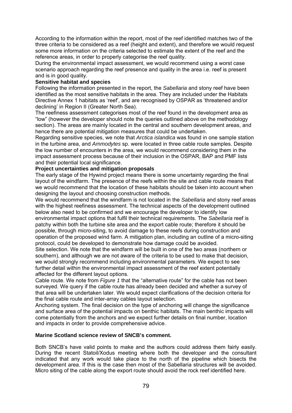According to the information within the report, most of the reef identified matches two of the three criteria to be considered as a reef (height and extent), and therefore we would request some more information on the criteria selected to estimate the extent of the reef and the reference areas, in order to properly categorise the reef quality.

During the environmental impact assessment, we would recommend using a worst case scenario approach regarding the reef presence and quality in the area i.e. reef is present and is in good quality.

### **Sensitive habitat and species**

Following the information presented in the report, the *Sabellaria* and stony reef have been identified as the most sensitive habitats in the area. They are included under the Habitats Directive Annex 1 habitats as 'reef', and are recognised by OSPAR as 'threatened and/or declining' in Region II (Greater North Sea).

The reefiness assessment categorises most of the reef found in the development area as "low" (however the developer should note the queries outlined above on the methodology section). The areas are mainly located in the central and southern development areas, and hence there are potential mitigation measures that could be undertaken.

Regarding sensitive species, we note that *Arctica islandica* was found in one sample station in the turbine area, and *Ammodytes* sp. were located in three cable route samples. Despite the low number of encounters in the area, we would recommend considering them in the impact assessment process because of their inclusion in the OSPAR, BAP and PMF lists and their potential local significance.

### **Project uncertainties and mitigation proposals**

The early stage of the Hywind project means there is some uncertainty regarding the final layout of the windfarm. The presence of the reefs within the site and cable route means that we would recommend that the location of these habitats should be taken into account when designing the layout and choosing construction methods.

We would recommend that the windfarm is not located in the *Sabellaria* and stony reef areas with the highest reefiness assessment. The technical aspects of the development outlined below also need to be confirmed and we encourage the developer to identify low environmental impact options that fulfil their technical requirements. The *Sabellaria* reef is patchy within both the turbine site area and the export cable route; therefore it should be possible, through micro-siting, to avoid damage to these reefs during construction and operation of the proposed wind farm. A mitigation plan, including an outline of a micro-siting protocol, could be developed to demonstrate how damage could be avoided.

Site selection. We note that the windfarm will be built in one of the two areas (northern or southern), and although we are not aware of the criteria to be used to make that decision, we would strongly recommend including environmental parameters. We expect to see further detail within the environmental impact assessment of the reef extent potentially affected for the different layout options.

Cable route. We note from *Figure 1* that the "alternative route" for the cable has not been surveyed. We query if the cable route has already been decided and whether a survey of that area will be undertaken later. We would expect clarifications of the decision criteria for the final cable route and inter-array cables layout selection.

Anchoring system. The final decision on the type of anchoring will change the significance and surface area of the potential impacts on benthic habitats. The main benthic impacts will come potentially from the anchors and we expect further details on final number, location and impacts in order to provide comprehensive advice.

#### **Marine Scotland science review of SNCB's comment.**

Both SNCB's have valid points to make and the authors could address them fairly easily. During the recent Statoil/Xodus meeting where both the developer and the consultant indicated that any work would take place to the north of the pipeline which bisects the development area. If this is the case then most of the Sabellaria structures will be avoided. Micro siting of the cable along the export route should avoid the rock reef identified here.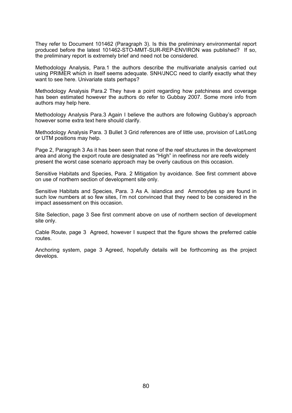They refer to Document 101462 (Paragraph 3). Is this the preliminary environmental report produced before the latest 101462-STO-MMT-SUR-REP-ENVIRON was published? If so, the preliminary report is extremely brief and need not be considered.

Methodology Analysis, Para.1 the authors describe the multivariate analysis carried out using PRIMER which in itself seems adequate. SNH/JNCC need to clarify exactly what they want to see here. Univariate stats perhaps?

Methodology Analysis Para.2 They have a point regarding how patchiness and coverage has been estimated however the authors do refer to Gubbay 2007. Some more info from authors may help here.

Methodology Analysis Para.3 Again I believe the authors are following Gubbay's approach however some extra text here should clarify.

Methodology Analysis Para. 3 Bullet 3 Grid references are of little use, provision of Lat/Long or UTM positions may help.

Page 2, Paragraph 3 As it has been seen that none of the reef structures in the development area and along the export route are designated as "High" in reefiness nor are reefs widely present the worst case scenario approach may be overly cautious on this occasion.

Sensitive Habitats and Species, Para. 2 Mitigation by avoidance. See first comment above on use of northern section of development site only.

Sensitive Habitats and Species, Para. 3 As A. islandica and Ammodytes sp are found in such low numbers at so few sites, I'm not convinced that they need to be considered in the impact assessment on this occasion.

Site Selection, page 3 See first comment above on use of northern section of development site only.

Cable Route, page 3 Agreed, however I suspect that the figure shows the preferred cable routes.

Anchoring system, page 3 Agreed, hopefully details will be forthcoming as the project develops.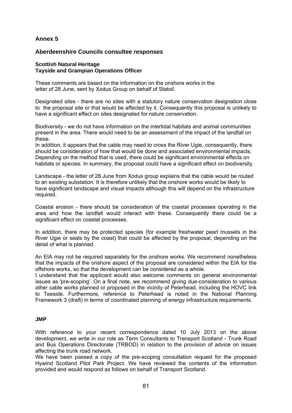# **Annex 5**

## **Aberdeenshire Councils consultee responses**

### **Scottish Natural Heritage Tayside and Grampian Operations Officer**

These comments are based on the information on the onshore works in the letter of 28 June, sent by Xodus Group on behalf of Statoil.

Designated sites - there are no sites with a statutory nature conservation designation close to the proposal site or that would be affected by it. Consequently this proposal is unlikely to have a significant effect on sites designated for nature conservation.

Biodiversity - we do not have information on the intertidal habitats and animal communities present in the area. There would need to be an assessment of the impact of the landfall on these.

In addition, it appears that the cable may need to cross the River Ugie, consequently, there should be consideration of how that would be done and associated environmental impacts. Depending on the method that is used, there could be significant environmental effects on habitats or species. In summary, the proposal could have a significant effect on biodiversity.

Landscape - the letter of 28 June from Xodus group explains that the cable would be routed to an existing substation. It is therefore unlikely that the onshore works would be likely to have significant landscape and visual impacts although this will depend on the infrastructure required.

Coastal erosion - there should be consideration of the coastal processes operating in the area and how the landfall would interact with these. Consequently there could be a significant effect on coastal processes.

In addition, there may be protected species (for example freshwater pearl mussels in the River Ugie or seals by the coast) that could be affected by the proposal, depending on the detail of what is planned.

An EIA may not be required separately for the onshore works. We recommend nonetheless that the impacts of the onshore aspect of the proposal are considered within the EIA for the offshore works, so that the development can be considered as a whole.

I understand that the applicant would also welcome comments on general environmental issues as 'pre-scoping'. On a final note, we recommend giving due-consideration to various other cable works planned or proposed in the vicinity of Peterhead, including the HOVC link to Teeside. Furthermore, reference to Peterhead is noted in the National Planning Framework 3 (draft) in terms of coordinated planning of energy infrastructure requirements.

#### **JMP**

With reference to your recent correspondence dated 10 July 2013 on the above development, we write in our role as Term Consultants to Transport Scotland - Trunk Road and Bus Operations Directorate (TRBOD) in relation to the provision of advice on issues affecting the trunk road network.

We have been passed a copy of the pre-scoping consultation request for the proposed Hywind Scotland Pilot Park Project. We have reviewed the contents of the information provided and would respond as follows on behalf of Transport Scotland.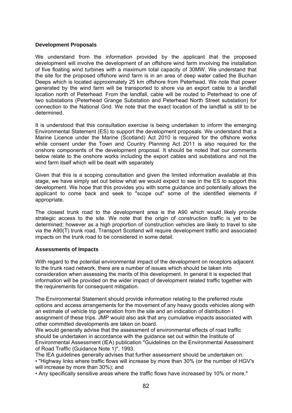### **Development Proposals**

We understand from the information provided by the applicant that the proposed development will involve the development of an offshore wind farm involving the installation of five floating wind turbines with a maximum total capacity of 30MW. We understand that the site for the proposed offshore wind farm is in an area of deep water called the Buchan Deeps which is located approximately 25 km offshore from Peterhead. We note that power generated by the wind farm will be transported to shore via an export cable to a landfall location north of Peterhead. From the landfall, cable will be routed to Peterhead to one of two substations (Peterhead Grange Substation and Peterhead North Street substation) for connection to the National Grid. We note that the exact location of the landfall is still to be determined.

It is understood that this consultation exercise is being undertaken to inform the emerging Environmental Statement (ES) to support the development proposals. We understand that a Marine Licence under the Marine (Scotland) Act 2010 is required for the offshore works while consent under the Town and Country Planning Act 2011 is also required for the onshore components of the development proposal. It should be noted that our comments below relate to the onshore works including the export cables and substations and not the wind farm itself which will be dealt with separately

Given that this is a scoping consultation and given the limited information available at this stage, we have simply set out below what we would expect to see in the ES to support this development. We hope that this provides you with some guidance and potentially allows the applicant to come back and seek to "scope out" some of the identified elements if appropriate.

The closest trunk road to the development area is the A90 which would likely provide strategic access to the site. We note that the origin of construction traffic is yet to be determined; however as a high proportion of construction vehicles are likely to travel to site via the A90(T) trunk road, Transport Scotland will require development traffic and associated impacts on the trunk road to be considered in some detail.

### **Assessments of Impacts**

With regard to the potential environmental impact of the development on receptors adjacent to the trunk road network, there are a number of issues which should be taken into consideration when assessing the merits of this development. In general it is expected that information will be provided on the wider impact of development related traffic together with the requirements for consequent mitigation.

The Environmental Statement should provide information relating to the preferred route options and access arrangements for the movement of any heavy goods vehicles along with an estimate of vehicle trip generation from the site and an indication of distribution I assignment of these trips. JMP would also ask that any cumulative impacts associated with other committed developments are taken on board.

We would generally advise that the assessment of environmental effects of road traffic should be undertaken in accordance with the guidance set out within the Institute of Environmental Assessment (lEA) publication "Guidelines on the Environmental Assessment of Road Traffic (Guidance Note 1)", 1993.

The lEA guidelines generally advises that further assessment should be undertaken on: • "Highway links where traffic flows will increase by more than 30% (or the number of HGV's will increase by more than 30%); and

• Any specifically sensitive areas where the traffic flows have increased by 10% or more."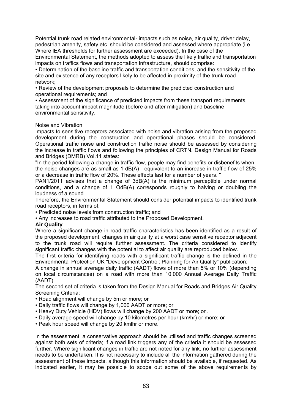Potential trunk road related environmental· impacts such as noise, air quality, driver delay, pedestrian amenity, safety etc. should be considered and assessed where appropriate (i.e. Where lEA thresholds for further assessment are exceeded). In the case of the

Environmental Statement, the methods adopted to assess the likely traffic and transportation impacts on traffics flows and transportation infrastructure, should comprise:

• Determination of the baseline traffic and transportation conditions, and the sensitivity of the site and existence of any receptors likely to be affected in proximity of the trunk road network;

• Review of the development proposals to determine the predicted construction and operational requirements; and

• Assessment of the significance of predicted impacts from these transport requirements, taking into account impact magnitude (before and after mitigation) and baseline environmental sensitivity.

### Noise and Vibration

Impacts to sensitive receptors associated with noise and vibration arising from the proposed development during the construction and operational phases should be considered. Operational traffic noise and construction traffic noise should be assessed by considering the increase in traffic flows and following the principles of CRTN. Design Manual for Roads and Bridges (DMRB) Vol.11 states:

"In the period following a change in traffic flow, people may find benefits or disbenefits when the noise changes are as small as 1 dB(A) - equivalent to an increase in traffic flow of 25% or a decrease in traffic flow of 20%. These effects last for a number of years. "

PAN1/2011 advises that a change of 3dB(A) is the minimum perceptible under normal conditions, and a change of 1 OdB(A) corresponds roughly to halving or doubling the loudness of a sound.

Therefore, the Environmental Statement should consider potential impacts to identified trunk road receptors, in terms of:

• Predicted noise levels from construction traffic; and

• Any increases to road traffic attributed to the Proposed Development.

#### **Air Quality**

Where a significant change in road traffic characteristics has been identified as a result of the proposed development, changes in air quality at a worst case sensitive receptor adjacent to the trunk road will require further assessment. The criteria considered to identify significant traffic changes with the potential to affect air quality are reproduced below.

The first criteria for identifying roads with a significant traffic change is the defined in the Environmental Protection UK "Development Control: Planning for Air Quality" publication:

A change in annual average daily traffic (AADT) flows of more than 5% or 10% (depending on local circumstances) on a road with more than 10,000 Annual Average Daily Traffic (AADT).

The second set of criteria is taken from the Design Manual for Roads and Bridges Air Quality Screening Criteria:

- Road alignment will change by 5m or more; or
- Daily traffic flows will change by 1,000 AADT or more; or
- Heavy Duty Vehicle (HDV) flows will change by 200 AADT or more; or .
- Daily average speed will change by 10 kilometres per hour (km/hr) or more; or
- Peak hour speed will change by 20 kmlhr or more.

In the assessment, a conservative approach should be utilised and traffic changes screened against both sets of criteria; if a road link triggers any of the criteria it should be assessed further. Where significant changes in traffic are not noted for any link, no further assessment needs to be undertaken. It is not necessary to include all the information gathered during the assessment of these impacts, although this information should be available, if requested. As indicated earlier, it may be possible to scope out some of the above requirements by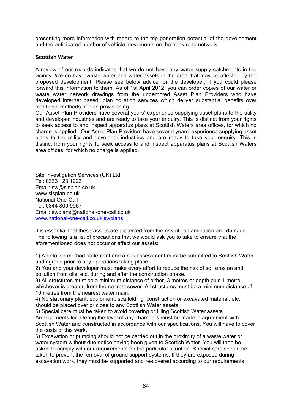presenting more information with regard to the trip generation potential of the development and the anticipated number of vehicle movements on the trunk road network.

### **Scottish Water**

A review of our records indicates that we do not have any water supply catchments in the vicinity. We do have waste water and water assets in the area that may be affected by the proposed development. Please see below advice for the developer, if you could please forward this information to them. As of 1st April 2012, you can order copies of our water or waste water network drawings from the undernoted Asset Plan Providers who have developed internet based, plan collation services which deliver substantial benefits over traditional methods of plan provisioning.

Our Asset Plan Providers have several years' experience supplying asset plans to the utility and developer industries and are ready to take your enquiry. This is distinct from your rights to seek access to and inspect apparatus plans at Scottish Waters area offices, for which no charge is applied. Our Asset Plan Providers have several years' experience supplying asset plans to the utility and developer industries and are ready to take your enquiry. This is distinct from your rights to seek access to and inspect apparatus plans at Scottish Waters area offices, for which no charge is applied.

Site Investigation Services (UK) Ltd. Tel: 0333 123 1223 Email: sw@sisplan.co.uk www.sisplan.co.uk National One-Call Tel: 0844 800 9957 Email: swplans@national-one-call.co.uk www.national-one-call.co.uklswplans

It is essential that these assets are protected from the risk of contamination and damage. The following is a list of precautions that we would ask you to take to ensure that the aforementioned does not occur or affect our assets:

1) A detailed method statement and a risk assessment must be submitted to Scottish Water and agreed prior to any operations taking place.

2) You and your developer must make every effort to reduce the risk of soil erosion and pollution from oils, etc. during and after the construction phase.

3) All structures must be a minimum distance of either, 3 metres or depth plus 1 metre, whichever is greater, from the nearest sewer. All structures must be a minimum distance of 10 metres from the nearest water main.

4) No stationary plant, equipment, scaffolding, construction or excavated material, etc. should be placed over or close to any Scottish Water assets.

5) Special care must be taken to avoid covering or filling Scottish Water assets.

Arrangements for altering the level of any chambers must be made in agreement with Scottish Water and constructed in accordance with our specifications. You will have to cover the costs of this work.

6) Excavation or pumping should not be carried out in the proximity of a waste water or water system without due notice having been given to Scottish Water. You will then be asked to comply with our requirements for the particular situation. Special care should be taken to prevent the removal of ground support systems. If they are exposed during excavation work, they must be supported and re-covered according to our requirements.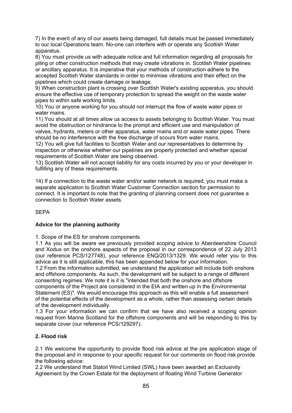7) In the event of any of our assets being damaged, full details must be passed immediately to our local Operations team. No-one can interfere with or operate any Scottish Water apparatus.

8) You must provide us with adequate notice and full information regarding all proposals for piling or other construction methods that may create vibrations in. Scottish Water pipelines or ancillary apparatus. It is imperative that your methods of construction adhere to the accepted Scottish Water standards in order to minimise vibrations and their effect on the pipelines which could create damage or leakage.

9) When construction plant is crossing over Scottish Water's existing apparatus, you should ensure the effective use of temporary protection to spread the weight on the waste water pipes to within safe working limits.

10) You or anyone working for you should not interrupt the flow of waste water pipes or water mains.

11) You should at all times allow us access to assets belonging to Scottish Water. You must avoid the obstruction or hindrance to the prompt and efficient use and manipulation of valves, hydrants, meters or other apparatus, water mains and or waste water pipes. There should be no interference with the free discharge of scours from water mains.

12) You will give full facilities to Scottish Water and our representatives to determine by inspection or otherwise whether our pipelines are properly protected and whether special requirements of Scottish Water are being observed.

13) Scottish Water will not accept liability for any costs incurred by you or your developer in fulfilling any of these requirements.

14) If a connection to the waste water and/or water network is required, you must make a separate application to Scottish Water Customer Connection section for permission to connect. It is important to note that the granting of planning consent does not guarantee a connection to Scottish Water assets.

SEPA

## **Advice for the planning authority**

1. Scope of the ES for onshore components

1.1 As you will be aware we previously provided scoping advice to Aberdeenshire Council and Xodus on the onshore aspects of the proposal in our correspondence of 22 July 2013 (our reference PCS/127748), your reference ENQ/2013/1329. We would refer you to this advice as it is still applicable, this has been appended below for your information.

1.2 From the information submitted, we understand the application will include both onshore and offshore components. As such, the development will be subject to a range of different consenting regimes. We note it is it is "intended that both the onshore and offshore components of the Project are considered in the EIA and written up in the Environmental Statement (ES)". We would encourage this approach as this will enable a full assessment of the potential effects of the development as a whole, rather than assessing certain details of the development individually.

1.3 For your information we can confirm that we have also received a scoping opinion request from Marine Scotland for the offshore components and will be responding to this by separate cover (our reference PCS/129297).

## **2. Flood risk**

2.1 We welcome the opportunity to provide flood risk advice at the pre application stage of the proposal and in response to your specific request for our comments on flood risk provide the following advice:

2.2 We understand that Statoil Wind Limited (SWL) have been awarded an Exclusivity Agreement by the Crown Estate for the deployment of floating Wind Turbine Generator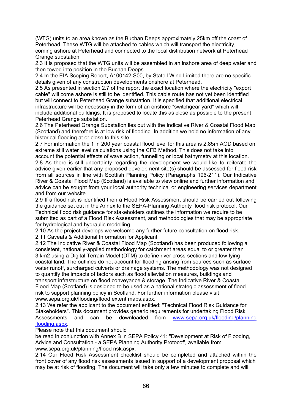(WTG) units to an area known as the Buchan Deeps approximately 25km off the coast of Peterhead. These WTG will be attached to cables which will transport the electricity, coming ashore at Peterhead and connected to the local distribution network at Peterhead Grange substation.

2.3 It is proposed that the WTG units will be assembled in an inshore area of deep water and then towed into position in the Buchan Deeps.

2.4 In the EIA Scoping Report, A100142-S00, by Statoil Wind Limited there are no specific details given of any construction developments onshore at Peterhead.

2.5 As presented in section 2.7 of the report the exact location where the electricity "export cable" will come ashore is still to be identified. This cable route has not yet been identified but will connect to Peterhead Grange substation. It is specified that additional electrical infrastructure will be necessary in the form of an onshore "switchgear yard" which will include additional buildings. It is proposed to locate this as close as possible to the present Peterhead Grange substation.

2.6 The Peterhead Grange Substation lies out with the Indicative River & Coastal Flood Map (Scotland) and therefore is at low risk of flooding. In addition we hold no information of any historical flooding at or close to this site.

2.7 For information the 1 in 200 year coastal flood level for this area is 2.85m AOD based on extreme still water level calculations using the CFB Method. This does not take into account the potential effects of wave action, funnelling or local bathymetry at this location. 2.8 As there is still uncertainty regarding the development we would like to reiterate the advice given earlier that any proposed development site(s) should be assessed for flood risk from all sources in line with Scottish Planning Policy (Paragraphs 196-211). Our Indicative

River & Coastal Flood Map (Scotland) is available to view online and further information and advice can be sought from your local authority technical or engineering services department and from our website.

2.9 If a flood risk is identified then a Flood Risk Assessment should be carried out following the guidance set out in the Annex to the SEPA-Planning Authority flood risk protocol. Our Technical flood risk guidance for stakeholders outlines the information we require to be submitted as part of a Flood Risk Assessment, and methodologies that may be appropriate for hydrological and hydraulic modelling.

2.10 As the project develops we welcome any further future consultation on flood risk.

2.11 Caveats & Additional Information for Applicant

2.12 The Indicative River & Coastal Flood Map (Scotland) has been produced following a consistent, nationally-applied methodology for catchment areas equal to or greater than 3 km2 using a Digital Terrain Model (DTM) to define river cross-sections and low-lying coastal land. The outlines do not account for flooding arising from sources such as surface water runoff, surcharged culverts or drainage systems. The methodology was not designed to quantify the impacts of factors such as flood alleviation measures, buildings and transport infrastructure on flood conveyance & storage. The Indicative River & Coastal Flood Map (Scotland) is designed to be used as a national strategic assessment of flood risk to support planning policy in Scotland. For further information please visit www.sepa.org.uk/flooding/flood extent maps.aspx.

2.13 We refer the applicant to the document entitled: "Technical Flood Risk Guidance for Stakeholders". This document provides generic requirements for undertaking Flood Risk Assessments and can be downloaded from www.sepa.org.uk/flooding/planning flooding.aspx.

### Please note that this document should

be read in conjunction with Annex B in SEPA Policy 41: "Development at Risk of Flooding, Advice and Consultation - a SEPA Planning Authority Protocof', available from www.sepa.org.uk/planning/flood risk.aspx.

2.14 Our Flood Risk Assessment checklist should be completed and attached within the front cover of any flood risk assessments issued in support of a development proposal which may be at risk of flooding. The document will take only a few minutes to complete and will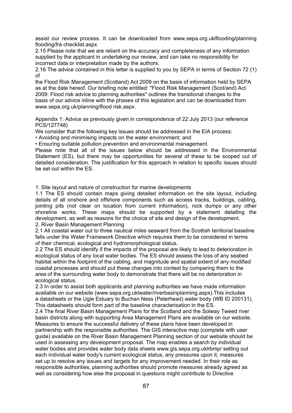assist our review process. It can be downloaded from www.sepa.org.uklflooding/planning flooding/fra checklist.aspx

2.15 Please note that we are reliant on the accuracy and completeness of any information supplied by the applicant in undertaking our review, and can take no responsibility for incorrect data or interpretation made by the authors.

2.16 The advice contained in this letter is supplied to you by SEPA in terms of Section 72 (1) of

the Flood Risk Management (Scotland) Act 2009 on the basis of information held by SEPA as at the date hereof. Our briefing note entitled: "Flood Risk Management (Scot/and) Act 2009: Flood risk advice to planning authorities" outlines the transitional changes to the basis of our advice inline with the phases of this legislation and can be downloaded from www.sepa.org.uk/planning/flood risk.aspx.

Appendix 1: Advice as previously given in correspondence of 22 July 2013 (our reference PCS/127748)

We consider that the following key issues should be addressed in the EIA process:

• Avoiding and minimising impacts on the water environment; and

• Ensuring suitable pollution prevention and environmental management.

Please note that all of the issues below should be addressed in the Environmental Statement (ES), but there may be opportunities for several of these to be scoped out of detailed consideration. The justification for this approach in relation to specific issues should be set out within the ES.

1. Site layout and nature of construction for marine developments

1.1 The ES should contain maps giving detailed information on the site layout, including details of all onshore and offshore components such as access tracks, buildings, cabling, jointing pits (not clear on location from current information), rock dumps or any other shoreline works. These maps should be supported by a statement detailing the development, as well as reasons for the choice of site and design of the development. 2. River Basin Management Planning

2.1 All coastal water out to three nautical miles seaward from the Scottish territorial baseline falls under the Water Framework Directive which requires them to be considered in terms of their chemical, ecological and hydromorphological status.

2.2 The ES should identify if the impacts of the proposal are likely to lead to deterioration in ecological status of any local water bodies. The ES should assess the loss of any seabed habitat within the footprint of the cabling, and magnitude and spatial extent of any modified coastal processes and should put these changes into context by comparing them to the area of the surrounding water body to demonstrate that there will be no deterioration in ecological status.

2.3 In order to assist both applicants and planning authorities we have made information available on our website (www.sepa.org.uklwater/riverbasinplanning.aspx).This includes a datasheets or the Ugie Estuary to Buchan Ness (Peterhead) water body (WB ID 200131). This datasheets should form part of the baseline characterisation in the ES.

2.4 The final River Basin Management Plans for the Scotland and the Solway Tweed river basin districts along with supporting Area Management Plans are available on our website. Measures to ensure the successful delivery of these plans have been developed in partnership with the responsible authorities. The GIS interactive map (complete with user guide) available on the River Basin Management Planning section of our website should be used in assessing any development proposal. The map enables a search by individual water bodies and provides water body data sheets www.gis.sepa.org.uklrbmp/ setting out each individual water body's current ecological status, any pressures upon it, measures set up to resolve any issues and targets for any improvement needed. In their role as responsible authorities, planning authorities should promote measures already agreed as well as considering how else the proposal in questions might contribute to Directive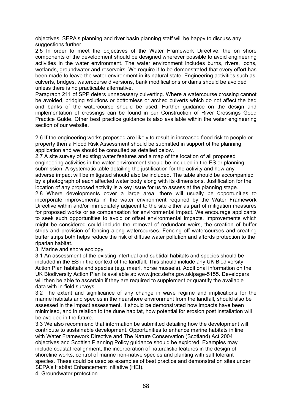objectives. SEPA's planning and river basin planning staff will be happy to discuss any suggestions further.

2.5 In order to meet the objectives of the Water Framework Directive, the on shore components of the development should be designed wherever possible to avoid engineering activities in the water environment. The water environment includes burns, rivers, lochs, wetlands, groundwater and reservoirs. We require it to be demonstrated that every effort has been made to leave the water environment in its natural state. Engineering activities such as culverts, bridges, watercourse diversions, bank modifications or dams should be avoided unless there is no practicable alternative.

Paragraph 211 of SPP deters unnecessary culverting. Where a watercourse crossing cannot be avoided, bridging solutions or bottomless or arched culverts which do not affect the bed and banks of the watercourse should be used. Further guidance on the design and implementation of crossings can be found in our Construction of River Crossings Good Practice Guide. Other best practice guidance is also available within the water engineering section of our website.

2.6 If the engineering works proposed are likely to result in increased flood risk to people or property then a Flood Risk Assessment should be submitted in support of the planning application and we should be consulted as detailed below.

2.7 A site survey of existing water features and a map of the location of all proposed engineering activities in the water environment should be included in the ES or planning submission. A systematic table detailing the justification for the activity and how any adverse impact will be mitigated should also be included. The table should be accompanied by a photograph of each affected water body along with its dimensions. Justification for the location of any proposed activity is a key issue for us to assess at the planning stage.

2.8 Where developments cover a large area, there will usually be opportunities to incorporate improvements in the water environment required by the Water Framework Directive within and/or immediately adjacent to the site either as part of mitigation measures for proposed works or as compensation for environmental impact. We encourage applicants to seek such opportunities to avoid or offset environmental impacts. Improvements which might be considered could include the removal of redundant weirs, the creation of buffer strips and provision of fencing along watercourses. Fencing off watercourses and creating buffer strips both helps reduce the risk of diffuse water pollution and affords protection to the riparian habitat.

3. Marine and shore ecology

3.1 An assessment of the existing intertidal and subtidal habitats and species should be included in the ES in the context of the landfall. This should include any UK Biodiversity Action Plan habitats and species (e.g. maerl, horse mussels). Additional information on the UK Biodiversity Action Plan is available at: www.jncc.defra.gov.uklpage-5155. Developers will then be able to ascertain if they are required to supplement or quantify the available data with in-field surveys.

3.2 The extent and significance of any change in wave regime and implications for the marine habitats and species in the nearshore environment from the landfall, should also be assessed in the impact assessment. It should be demonstrated how impacts have been minimised, and in relation to the dune habitat, how potential for erosion post installation will be avoided in the future.

3.3 We also recommend that information be submitted detailing how the development will contribute to sustainable development. Opportunities to enhance marine habitats in line with Water Framework Directive and The Nature Conservation (Scotland) Act 2004 objectives and Scottish Planning Policy guidance should be explored. Examples may include coastal realignment, the incorporation of naturalistic features in the design of shoreline works, control of marine non-native species and planting with salt tolerant species. These could be used as examples of best practice and demonstration sites under SEPA's Habitat Enhancement Initiative (HEI).

4. Groundwater protection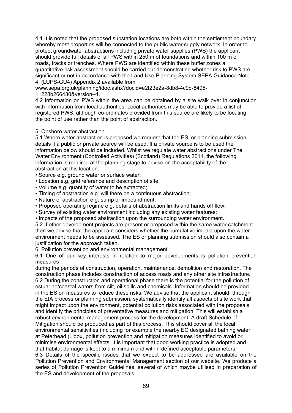4.1 It is noted that the proposed substation locations are both within the settlement boundary whereby most properties will be connected to the public water supply network. In order to protect groundwater abstractions including private water supplies (PWS) the applicant should provide full details of all PWS within 250 m of foundations and within 100 m of roads, tracks or trenches. Where PWS are identified within these buffer zones a quantitative risk assessment should be carried out demonstrating whether risk to PWS are significant or not in accordance with the Land Use Planning System SEPA Guidance Note 4, (LUPS-GU4) Appendix 2 available from

www.sepa.org.uk/planning/idoc.ashx?docid=e2f23e2a-8db8-4c9d-8495- 11228b266430&version--1.

4.2 Information on PWS within the area can be obtained by a site walk over in conjunction with information from local authorities. Local authorities may be able to provide a list of registered PWS, although co-ordinates provided from this source are likely to be locating the point of use rather than the point of abstraction.

### 5. Onshore water abstraction

5.1 Where water abstraction is proposed we request that the ES, or planning submission, details if a public or private source will be used. If a private source is to be used the information below should be included. Whilst we regulate water abstractions under The Water Environment (Controlled Activities) (Scotland) Regulations 2011, the following information is required at the planning stage to advise on the acceptability of the abstraction at this location:

- Source e.g. ground water or surface water;
- Location e.g. grid reference and description of site;
- Volume e.g. quantity of water to be extracted;
- Timing of abstraction e.g. will there be a continuous abstraction;
- Nature of abstraction e.g. sump or impoundment;
- Proposed operating regime e.g. details of abstraction limits and hands off flow;
- Survey of existing water environment including any existing water features;
- Impacts of the proposed abstraction upon the surrounding water environment.

5.2 If other development projects are present or proposed within the same water catchment then we advise that the applicant considers whether the cumulative impact upon the water environment needs to be assessed. The ES or planning submission should also contain a justification for the approach taken.

6. Pollution prevention and environmental management

6.1 One of our key interests in relation to major developments is pollution prevention measures

during the periods of construction, operation, maintenance, demolition and restoration. The construction phase includes construction of access roads and any other site infrastructure. 6.2 During the construction and operational phase there is the potential for the pollution of estuarine/coastal waters from silt, oil spills and chemicals. Information should be provided in the ES on measures to reduce these risks. We advise that the applicant should, through the EIA process or planning submission, systematically identify all aspects of site work that might impact upon the environment, potential pollution risks associated with the proposals and identify the principles of preventative measures and mitigation. This will establish a robust environmental management process for the development. A draft Schedule of Mitigation should be produced as part of this process. This should cover all the local environmental sensitivities (including for example the nearby EC designated bathing water at Peterhead (Lido», pollution prevention and mitigation measures identified to avoid or minimise environmental effects. It is important that good working practice is adopted and that habitat damage is kept to a minimum and within defined acceptable parameters.

6.3 Details of the specific issues that we expect to be addressed are available on the Pollution Prevention and Environmental Management section of our website. We produce a series of Pollution Prevention Guidelines, several of which maybe utilised in preparation of the ES and development of the proposals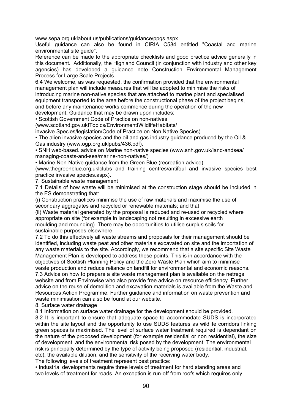www.sepa.org.uklabout us/publications/guidance/ppgs.aspx.

Useful guidance can also be found in CIRIA C584 entitled "Coastal and marine environmental site guide".

Reference can be made to the appropriate checklists and good practice advice generally in this document. Additionally, the Highland Council (in conjunction with industry and other key agencies) has developed a guidance note Construction Environmental Management Process for Large Scale Projects.

6.4 We welcome, as was requested, the confirmation provided that the environmental management plan will include measures that will be adopted to minimise the risks of introducing marine non-native species that are attached to marine plant and specialised equipment transported to the area before the constructional phase of the project begins. and before any maintenance works commence during the operation of the new development. Guidance that may be drawn upon includes:

• Scottish Government Code of Practice on non-natives

(www.scotland.gov.ukfTopics/EnvironmentIWildlifeHabitats/

invasive Species/legislation/Code of Practice on Non Native Species)

• The alien invasive species and the oil and gas industry guidance produced by the Oil & Gas industry (www.ogp.org.uklpubs/436.pdf).

• SNH web-based. advice on Marine non-native species (www.snh.gov.uk/land-andsea/ managing-coasts-and-sea/marine-non-natives/)

• Marine Non-Native guidance from the Green Blue (recreation advice)

(www.thegreenblue.org.uklclubs and training centres/antifoul and invasive species best practice invasive species.aspx).

7. Sustainable waste management

7.1 Details of how waste will be minimised at the construction stage should be included in the ES demonstrating that:

(i) Construction practices minimise the use of raw materials and maximise the use of secondary aggregates and recycled or renewable materials; and that

(ii) Waste material generated by the proposal is reduced and re-used or recycled where appropriate on site (for example in landscaping not resulting in excessive earth moulding and mounding). There may be opportunities to utilise surplus soils for sustainable purposes elsewhere.

7.2 To do this effectively all waste streams and proposals for their management should be identified, including waste peat and other materials excavated on site and the importation of any waste materials to the site. Accordingly, we recommend that a site specific Site Waste Management Plan is developed to address these points. This is in accordance with the objectives of Scottish Planning Policy and the Zero Waste Plan which aim to minimise waste production and reduce reliance on landfill for environmental and economic reasons. 7.3 Advice on how to prepare a site waste management plan is available on the netregs website and from Envirowise who also provide free advice on resource efficiency. Further advice on the reuse of demolition and excavation materials is available from the Waste and Resources Action Programme. Further guidance and information on waste prevention and waste minimisation can also be found at our website.

8. Surface water drainage

8.1 Information on surface water drainage for the development should be provided.

8.2 It is important to ensure that adequate space to accommodate SUDS is incorporated within the site layout and the opportunity to use SUDS features as wildlife corridors linking green spaces is maximised. The level of surface water treatment required is dependant on the nature of the proposed development (for example residential or non residential), the size of development, and the environmental risk posed by the development. The environmental risk is principally determined by the type of activity being proposed (residential, industrial, etc), the available dilution, and the sensitivity of the receiving water body.

The following levels of treatment represent best practice:

• Industrial developments require three levels of treatment for hard standing areas and two levels of treatment for roads. An exception is run-off from roofs which requires only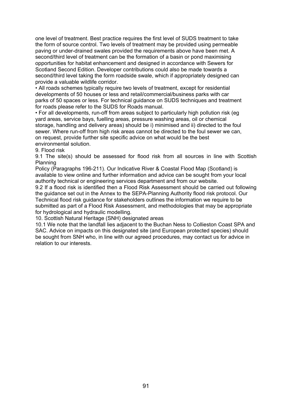one level of treatment. Best practice requires the first level of SUDS treatment to take the form of source control. Two levels of treatment may be provided using permeable paving or under-drained swales provided the requirements above have been met. A second/third level of treatment can be the formation of a basin or pond maximising opportunities for habitat enhancement and designed in accordance with Sewers for Scotland Second Edition. Developer contributions could also be made towards a second/third level taking the form roadside swale, which if appropriately designed can provide a valuable wildlife corridor.

• All roads schemes typically require two levels of treatment, except for residential developments of 50 houses or less and retail/commercial/business parks with car parks of 50 spaces or less. For technical guidance on SUDS techniques and treatment for roads please refer to the SUDS for Roads manual.

• For all developments, run-off from areas subject to particularly high pollution risk (eg yard areas, service bays, fuelling areas, pressure washing areas, oil or chemical storage, handling and delivery areas) should be i) minimised and ii) directed to the foul sewer. Where run-off from high risk areas cannot be directed to the foul sewer we can, on request, provide further site specific advice on what would be the best environmental solution.

9. Flood risk

9.1 The site(s) should be assessed for flood risk from all sources in line with Scottish Planning

Policy (Paragraphs 196-211). Our Indicative River & Coastal Flood Map (Scotland) is available to view online and further information and advice can be sought from your local authority technical or engineering services department and from our website.

9.2 If a flood risk is identified then a Flood Risk Assessment should be carried out following the guidance set out in the Annex to the SEPA-Planning Authority flood risk protocol. Our Technical flood risk guidance for stakeholders outlines the information we require to be submitted as part of a Flood Risk Assessment, and methodologies that may be appropriate for hydrological and hydraulic modelling.

10. Scottish Natural Heritage (SNH) designated areas

10.1 We note that the landfall lies adjacent to the Buchan Ness to Collieston Coast SPA and SAC. Advice on impacts on this designated site (and European protected species) should be sought from SNH who, in line with our agreed procedures, may contact us for advice in relation to our interests.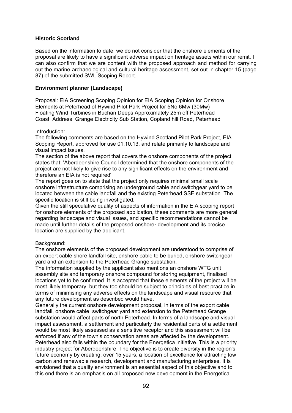### **Historic Scotland**

Based on the information to date, we do not consider that the onshore elements of the proposal are likely to have a significant adverse impact on heritage assets within our remit. I can also confirm that we are content with the proposed approach and method for carrying out the marine archaeological and cultural heritage assessment, set out in chapter 15 (page 87) of the submitted SWL Scoping Report.

### **Environment planner (Landscape)**

Proposal: EIA Screening Scoping Opinion for EIA Scoping Opinion for Onshore Elements at Peterhead of Hywind Pilot Park Project for 5No 6Mw (30Mw) Floating Wind Turbines in Buchan Deeps Approximately 25m off Peterhead Coast. Address: Grange Electricity Sub Station, Copland hill Road, Peterhead

#### Introduction:

The following comments are based on the Hywind Scotland Pilot Park Project, EIA Scoping Report, approved for use 01.10.13, and relate primarily to landscape and visual impact issues.

The section of the above report that covers the onshore components of the project states that; 'Aberdeenshire Council determined that the onshore components of the project are not likely to give rise to any significant effects on the environment and therefore an EIA is not required'.

The report goes on to state that the project only requires minimal small scale onshore infrastructure comprising an underground cable and switchgear yard to be located between the cable landfall and the existing Peterhead SSE substation. The specific location is still being investigated.

Given the still speculative quality of aspects of information in the EIA scoping report for onshore elements of the proposed application, these comments are more general regarding landscape and visual issues, and specific recommendations cannot be made until further details of the proposed onshore· development and its precise location are supplied by the applicant.

#### Background:

The onshore elements of the proposed development are understood to comprise of an export cable shore landfall site, onshore cable to be buried, onshore switchgear yard and an extension to the Peterhead Grange substation.

The information supplied by the applicant also mentions an onshore WTG unit assembly site and temporary onshore compound for storing equipment, finalised locations yet to be confirmed. It is accepted that these elements of the project will be most likely temporary, but they too should be subject to principles of best practice in terms of minimising any adverse effects on the landscape and visual resource that any future development as described would have.

Generally the current onshore development proposal, in terms of the export cable landfall, onshore cable, switchgear yard and extension to the Peterhead Grange substation would affect parts of north Peterhead. In terms of a landscape and visual impact assessment, a settlement and particularly the residential parts of a settlement would be most likely assessed as a sensitive receptor and this assessment will be enforced if any of the town's conservation areas are affected by the development. Peterhead also falls within the boundary for the Energetica initiative. This is a priority industry project for Aberdeenshire. The objective is to create diversity in the region's future economy by creating, over 15 years, a location of excellence for attracting low carbon and renewable research, development and manufacturing enterprises. It is envisioned that a quality environment is an essential aspect of this objective and to this end there is an emphasis on all proposed new development in the Energetica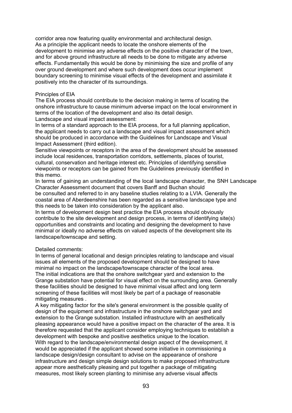corridor area now featuring quality environmental and architectural design. As a principle the applicant needs to locate the onshore elements of the development to minimise any adverse effects on the positive character of the town, and for above ground infrastructure all needs to be done to mitigate any adverse effects. Fundamentally this would be done by minimising the size and profile of any over ground development and where such development does occur implement boundary screening to minimise visual effects of the development and assimilate it positively into the character of its surroundings.

### Principles of EIA

The EIA process should contribute to the decision making in terms of locating the onshore infrastructure to cause minimum adverse impact on the local environment in terms of the location of the development and also its detail design.

Landscape and visual impact assessment:

In terms of a standard approach to the EIA process, for a full planning application, the applicant needs to carry out a landscape and visual impact assessment which should be produced in accordance with the Guidelines for Landscape and Visual Impact Assessment (third edition).

Sensitive viewpoints or receptors in the area of the development should be assessed include local residences, transportation corridors, settlements, places of tourist, cultural, conservation and heritage interest etc. Principles of identifying sensitive viewpoints or receptors can be gained from the Guidelines previously identified in this memo.

In terms of gaining an understanding of the local landscape character, the SNH Landscape Character Assessment document that covers Banff and Buchan should

be consulted and referred to in any baseline studies relating to a LVIA. Generally the coastal area of Aberdeenshire has been regarded as a sensitive landscape type and this needs to be taken into consideration by the applicant also.

In terms of development design best practice the EIA process should obviously contribute to the site development and design process, in terms of identifying site(s) opportunities and constraints and locating and designing the development to have minimal or ideally no adverse effects on valued aspects of the development site its landscape/townscape and setting.

### Detailed comments:

In terms of general locational and design principles relating to landscape and visual issues all elements of the proposed development should be designed to have minimal no impact on the landscape/townscape character of the local area. The initial indications are that the onshore switchgear yard and extension to the Grange substation have potential for visual effect on the surrounding area. Generally these facilities should be designed to have minimal visual affect and long term screening of these facilities will most likely be part of a package of reasonable mitigating measures .

A key mitigating factor for the site's general environment is the possible quality of design of the equipment and infrastructure in the onshore switchgear yard and extension to the Grange substation. Installed infrastructure with an aesthetically pleasing appearance would have a positive impact on the character of the area. It is therefore requested that the applicant consider employing techniques to establish a development with bespoke and positive aesthetics unique to the location. With regard to the landscape/environmental design aspect of the development, it would be appreciated if the applicant showed some initiative in commissioning a landscape design/design consultant to advise on the appearance of onshore infrastructure and design simple design solutions to make proposed infrastructure appear more aesthetically pleasing and put together a package of mitigating measures, most likely screen planting to minimise any adverse visual affects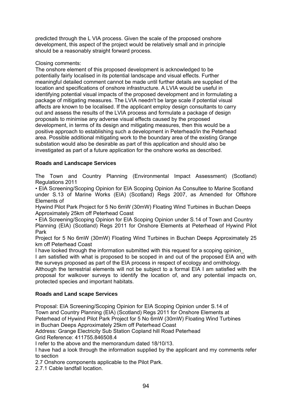predicted through the L VIA process. Given the scale of the proposed onshore development, this aspect of the project would be relatively small and in principle should be a reasonably straight forward process.

## Closing comments:

The onshore element of this proposed development is acknowledged to be potentially fairly localised in its potential landscape and visual effects. Further meaningful detailed comment cannot be made until further details are supplied of the location and specifications of onshore infrastructure. A LVIA would be useful in identifying potential visual impacts of the proposed development and in formulating a package of mitigating measures. The LVIA needn't be large scale if potential visual affects are known to be localised. If the applicant employ design consultants to carry out and assess the results of the LVIA process and formulate a package of design proposals to minimise any adverse visual effects caused by the proposed development, in terms of its design and mitigating measures, then this would be a positive approach to establishing such a development in Peterhead/in the Peterhead area. Possible additional mitigating work to the boundary area of the existing Grange substation would also be desirable as part of this application and should also be investigated as part of a future application for the onshore works as described.

## **Roads and Landscape Services**

The Town and Country Planning (Environmental Impact Assessment) (Scotland) Regulations 2011

• EIA Screening/Scoping Opinion for EIA Scoping Opinion As Consultee to Marine Scotland under S.13 of Marine Works (EIA) (Scotland) Regs 2007, as Amended for Offshore Elements of

Hywind Pilot Park Project for 5 No 6mW (30mW) Floating Wind Turbines in Buchan Deeps Approximately 25km off Peterhead Coast

• EIA Screening/Scoping Opinion for EIA Scoping Opinion under S.14 of Town and Country Planning (EIA) (Scotland) Regs 2011 for Onshore Elements at Peterhead of Hywind Pilot Park

Project for 5 No 6mW (30mW) Floating Wind Turbines in Buchan Deeps Approximately 25 km off Peterhead Coast

I have looked through the information submitted with this request for a scoping opinion\_

I am satisfied with what is proposed to be scoped in and out of the proposed EIA and with the surveys proposed as part of the EIA process in respect of ecology and ornithology.

Although the terrestrial elements will not be subject to a formal EIA I am satisfied with the proposal for walkover surveys to identify the location of, and any potential impacts on, protected species and important habitats.

## **Roads and Land scape Services**

Proposal: EIA Screening/Scoping Opinion for EIA Scoping Opinion under S.14 of Town and Country Planning (EIA) (Scotland) Regs 2011 for Onshore Elements at Peterhead of Hywind Pilot Park Project for 5 No 6mW (30mW) Floating Wind Turbines in Buchan Deeps Approximately 25km off Peterhead Coast

Address: Grange Electricity Sub Station Copland hill Road Peterhead Grid Reference: 411755.846508.4

I refer to the above and the memorandum dated 18/10/13.

I have had a look through the information supplied by the applicant and my comments refer to section

2.7 Onshore components applicable to the Pilot Park.

2.7.1 Cable landfall location.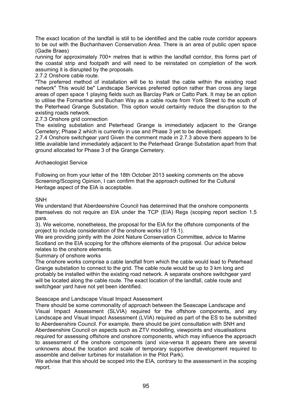The exact location of the landfall is still to be identified and the cable route corridor appears to be out with the Buchanhaven Conservation Area. There is an area of public open space (Gadle Braes)

running for approximately 700+ metres that is within the landfall corridor, this forms part of the coastal strip and footpath and will need to be reinstated on completion of the work assuming it is disrupted by the proposals.

## 2.7.2 Onshore cable route.

"The preferred method of installation will be to install the cable within the existing road network" This would be" Landscape Services preferred option rather than cross any large areas of open space 1 playing fields such as Barclay Park or Catto Park. It may be an option to utilise the Formartine and Buchan Way as a cable route from York Street to the south of the Peterhead Grange Substation. This option would certainly reduce the disruption to the existing roads network.

### 2.7.3 Onshore grid connection

The existing substation and Peterhead Grange is immediately adjacent to the Grange Cemetery; Phase 2 which is currently in use and Phase 3 yet to be developed.

2.7.4 Onshore switchgear yard Given the comment made in 2.7.3 above there appears to be little available land immediately adjacent to the Peterhead Grange Substation apart from that ground allocated for Phase 3 of the Grange Cemetery.

## Archaeologist Service

Following on from your letter of the 18th October 2013 seeking comments on the above Screening/Scoping Opinion, I can confirm that the approach outlined for the Cultural Heritage aspect of the EIA is acceptable.

### SNH

We understand that Aberdeenshire Council has determined that the onshore components themselves do not require an EIA under the TCP (EIA) Regs (scoping report section 1.5 para.

3). We welcome, nonetheless, the proposal for the EIA for the offshore components of the project to include consideration of the onshore works (cf 19.1).

We are providing jointly with the Joint Nature Conservation Committee, advice to Marine Scotland on the EIA scoping for the offshore elements of the proposal. Our advice below relates to the onshore elements.

### Summary of onshore works

The onshore works comprise a cable landfall from which the cable would lead to Peterhead Grange substation to connect to the grid. The cable route would be up to 3 km long and probably be installed within the existing road network. A separate onshore switchgear yard will be located along the cable route. The exact location of the landfall, cable route and switchgear yard have not yet been identified.

### Seascape and Landscape Visual Impact Assessment

There should be some commonality of approach between the Seascape Landscape and Visual Impact Assessment (SLVIA) required for the offshore components, and any Landscape and Visual Impact Assessment (LVIA) required as part of the ES to be submitted to Aberdeenshire Council. For example, there should be joint consultation with SNH and Aberdeenshire Council on aspects such as ZTV modelling, viewpoints and visualisations required for assessing offshore and onshore components, which may influence the approach to assessment of the onshore components (and vice-versa It appears there are several unknowns about the location and scale of temporary supportive development required to assemble and deliver turbines for installation in the Pilot Park).

We advise that this should be scoped into the EIA, contrary to the assessment in the scoping report.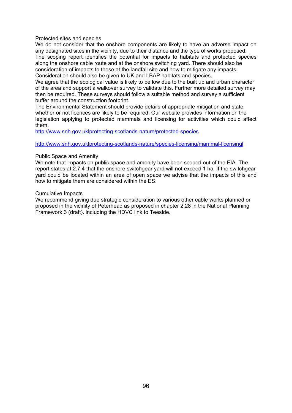Protected sites and species

We do not consider that the onshore components are likely to have an adverse impact on any designated sites in the vicinity, due to their distance and the type of works proposed. The scoping report identifies the potential for impacts to habitats and protected species along the onshore cable route and at the onshore switching yard. There should also be consideration of impacts to these at the landfall site and how to mitigate any impacts. Consideration should also be given to UK and LBAP habitats and species.

We agree that the ecological value is likely to be low due to the built up and urban character of the area and support a walkover survey to validate this. Further more detailed survey may then be required. These surveys should follow a suitable method and survey a sufficient buffer around the construction footprint.

The Environmental Statement should provide details of appropriate mitigation and state whether or not licences are likely to be required. Our website provides information on the legislation applying to protected mammals and licensing for activities which could affect them.

http://www.snh.gov.uklprotecting-scotlands-nature/protected-species

http://www.snh.gov.uklprotecting-scotlands-nature/species-licensing/mammal-licensingl

### Public Space and Amenity

We note that impacts on public space and amenity have been scoped out of the EIA. The report states at 2.7.4 that the onshore switchgear yard will not exceed 1 ha. If the switchgear yard could be located within an area of open space we advise that the impacts of this and how to mitigate them are considered within the ES.

### Cumulative Impacts

We recommend giving due strategic consideration to various other cable works planned or proposed in the vicinity of Peterhead as proposed in chapter 2.28 in the National Planning Framework 3 (draft). including the HDVC link to Teeside.